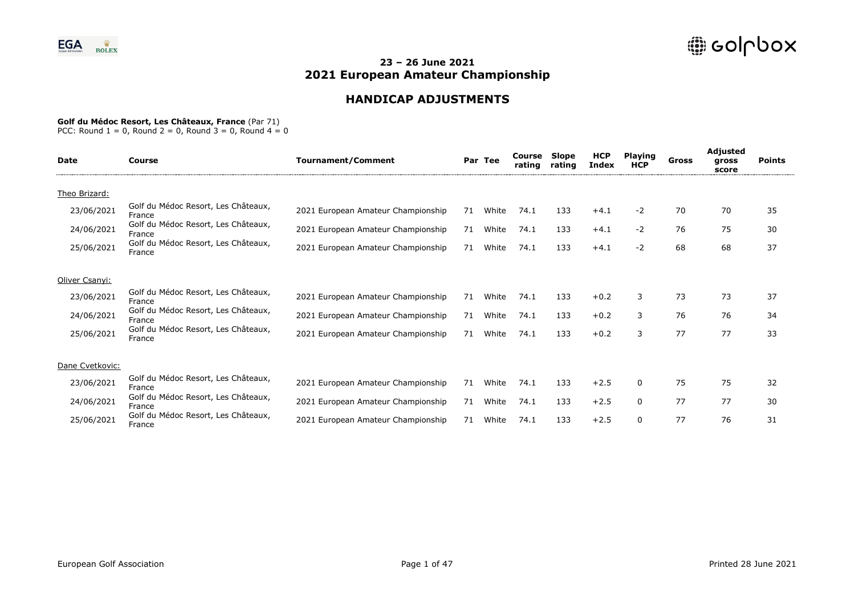# **HANDICAP ADJUSTMENTS**

### **Golf du Médoc Resort, Les Châteaux, France** (Par 71)

| <b>Date</b>     | Course                                        | <b>Tournament/Comment</b>          |    | Par Tee | Course<br>rating | Slope<br>rating | <b>HCP</b><br><b>Index</b> | <b>Playing</b><br><b>HCP</b> | Gross | Adjusted<br>gross<br>score | <b>Points</b> |  |
|-----------------|-----------------------------------------------|------------------------------------|----|---------|------------------|-----------------|----------------------------|------------------------------|-------|----------------------------|---------------|--|
| Theo Brizard:   |                                               |                                    |    |         |                  |                 |                            |                              |       |                            |               |  |
| 23/06/2021      | Golf du Médoc Resort, Les Châteaux,<br>France | 2021 European Amateur Championship | 71 | White   | 74.1             | 133             | $+4.1$                     | $-2$                         | 70    | 70                         | 35            |  |
| 24/06/2021      | Golf du Médoc Resort, Les Châteaux,<br>France | 2021 European Amateur Championship | 71 | White   | 74.1             | 133             | $+4.1$                     | $-2$                         | 76    | 75                         | 30            |  |
| 25/06/2021      | Golf du Médoc Resort, Les Châteaux,<br>France | 2021 European Amateur Championship | 71 | White   | 74.1             | 133             | $+4.1$                     | $-2$                         | 68    | 68                         | 37            |  |
| Oliver Csanyi:  |                                               |                                    |    |         |                  |                 |                            |                              |       |                            |               |  |
| 23/06/2021      | Golf du Médoc Resort, Les Châteaux,<br>France | 2021 European Amateur Championship | 71 | White   | 74.1             | 133             | $+0.2$                     | 3                            | 73    | 73                         | 37            |  |
| 24/06/2021      | Golf du Médoc Resort, Les Châteaux,<br>France | 2021 European Amateur Championship | 71 | White   | 74.1             | 133             | $+0.2$                     | 3                            | 76    | 76                         | 34            |  |
| 25/06/2021      | Golf du Médoc Resort, Les Châteaux,<br>France | 2021 European Amateur Championship | 71 | White   | 74.1             | 133             | $+0.2$                     | 3                            | 77    | 77                         | 33            |  |
| Dane Cvetkovic: |                                               |                                    |    |         |                  |                 |                            |                              |       |                            |               |  |
| 23/06/2021      | Golf du Médoc Resort, Les Châteaux,<br>France | 2021 European Amateur Championship | 71 | White   | 74.1             | 133             | $+2.5$                     | 0                            | 75    | 75                         | 32            |  |
| 24/06/2021      | Golf du Médoc Resort, Les Châteaux,<br>France | 2021 European Amateur Championship | 71 | White   | 74.1             | 133             | $+2.5$                     | 0                            | 77    | 77                         | 30            |  |
| 25/06/2021      | Golf du Médoc Resort, Les Châteaux,<br>France | 2021 European Amateur Championship | 71 | White   | 74.1             | 133             | $+2.5$                     | 0                            | 77    | 76                         | 31            |  |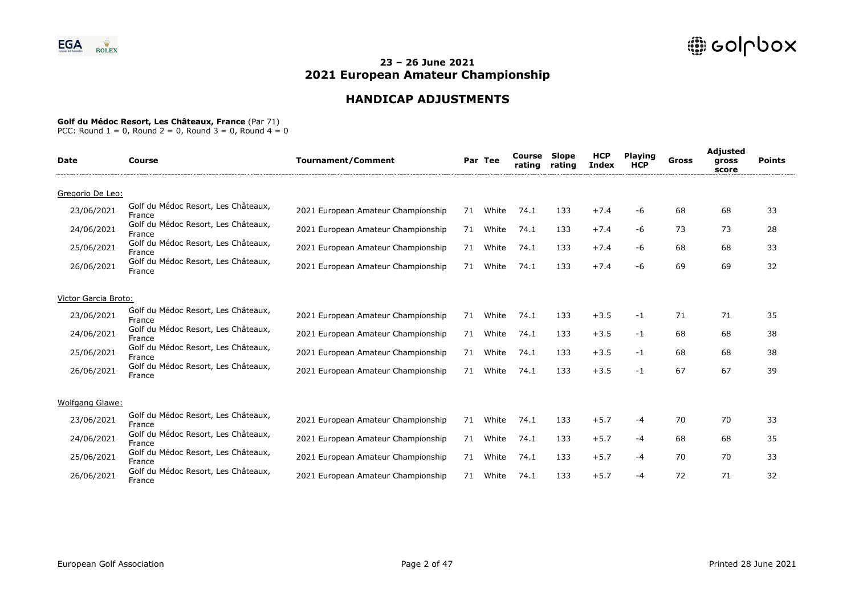# **HANDICAP ADJUSTMENTS**

### **Golf du Médoc Resort, Les Châteaux, France** (Par 71)

| <b>Date</b>            | Course                                                  | <b>Tournament/Comment</b>          |    | Par Tee | Course<br>rating | <b>Slope</b><br>rating | <b>HCP</b><br><b>Index</b> | <b>Playing</b><br><b>HCP</b> | Gross | <b>Adjusted</b><br>gross<br>score | <b>Points</b> |
|------------------------|---------------------------------------------------------|------------------------------------|----|---------|------------------|------------------------|----------------------------|------------------------------|-------|-----------------------------------|---------------|
| Gregorio De Leo:       |                                                         |                                    |    |         |                  |                        |                            |                              |       |                                   |               |
| 23/06/2021             | Golf du Médoc Resort, Les Châteaux,<br>France           | 2021 European Amateur Championship | 71 | White   | 74.1             | 133                    | $+7.4$                     | -6                           | 68    | 68                                | 33            |
| 24/06/2021             | Golf du Médoc Resort, Les Châteaux,<br>France           | 2021 European Amateur Championship | 71 | White   | 74.1             | 133                    | $+7.4$                     | -6                           | 73    | 73                                | 28            |
| 25/06/2021             | Golf du Médoc Resort, Les Châteaux,<br>France           | 2021 European Amateur Championship | 71 | White   | 74.1             | 133                    | $+7.4$                     | -6                           | 68    | 68                                | 33            |
| 26/06/2021             | Golf du Médoc Resort, Les Châteaux,<br>France           | 2021 European Amateur Championship | 71 | White   | 74.1             | 133                    | $+7.4$                     | -6                           | 69    | 69                                | 32            |
| Victor Garcia Broto:   |                                                         |                                    |    |         |                  |                        |                            |                              |       |                                   |               |
| 23/06/2021             | Golf du Médoc Resort, Les Châteaux,<br>France           | 2021 European Amateur Championship | 71 | White   | 74.1             | 133                    | $+3.5$                     | -1                           | 71    | 71                                | 35            |
| 24/06/2021             | Golf du Médoc Resort, Les Châteaux,<br>France           | 2021 European Amateur Championship | 71 | White   | 74.1             | 133                    | $+3.5$                     | -1                           | 68    | 68                                | 38            |
| 25/06/2021             | Golf du Médoc Resort, Les Châteaux,<br>France           | 2021 European Amateur Championship | 71 | White   | 74.1             | 133                    | $+3.5$                     | $-1$                         | 68    | 68                                | 38            |
| 26/06/2021             | Golf du Médoc Resort, Les Châteaux,<br>France           | 2021 European Amateur Championship | 71 | White   | 74.1             | 133                    | $+3.5$                     | $-1$                         | 67    | 67                                | 39            |
| <b>Wolfgang Glawe:</b> |                                                         |                                    |    |         |                  |                        |                            |                              |       |                                   |               |
| 23/06/2021             | Golf du Médoc Resort, Les Châteaux,                     | 2021 European Amateur Championship | 71 | White   | 74.1             | 133                    | $+5.7$                     | -4                           | 70    | 70                                | 33            |
| 24/06/2021             | France<br>Golf du Médoc Resort, Les Châteaux,<br>France | 2021 European Amateur Championship | 71 | White   | 74.1             | 133                    | $+5.7$                     | -4                           | 68    | 68                                | 35            |
| 25/06/2021             | Golf du Médoc Resort, Les Châteaux,<br>France           | 2021 European Amateur Championship | 71 | White   | 74.1             | 133                    | $+5.7$                     | -4                           | 70    | 70                                | 33            |
| 26/06/2021             | Golf du Médoc Resort, Les Châteaux,<br>France           | 2021 European Amateur Championship | 71 | White   | 74.1             | 133                    | $+5.7$                     | -4                           | 72    | 71                                | 32            |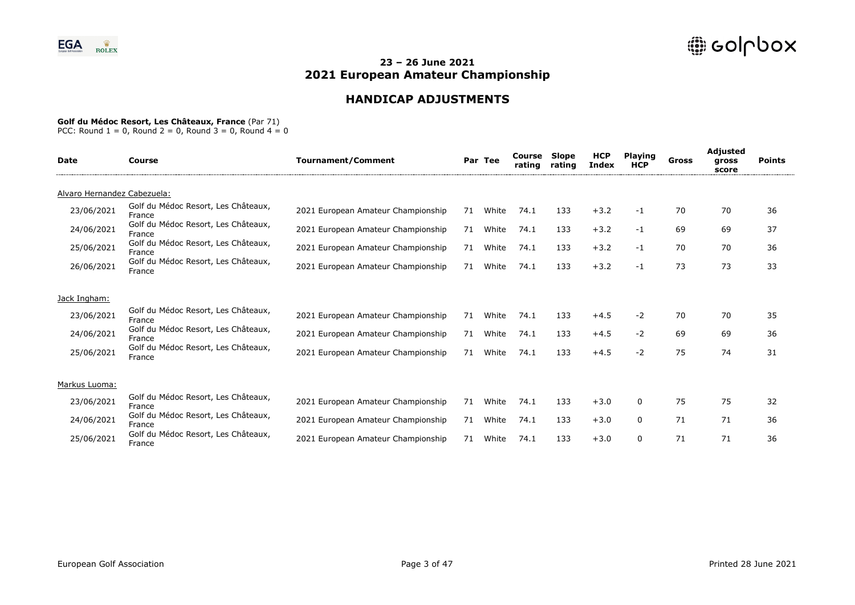# **HANDICAP ADJUSTMENTS**

### **Golf du Médoc Resort, Les Châteaux, France** (Par 71)

| <b>Date</b>                 | Course                                        | <b>Tournament/Comment</b>          |    | Par Tee | Course<br>rating | Slope<br>rating | <b>HCP</b><br><b>Index</b> | <b>Playing</b><br><b>HCP</b> | Gross | Adjusted<br>gross<br>score | <b>Points</b> |
|-----------------------------|-----------------------------------------------|------------------------------------|----|---------|------------------|-----------------|----------------------------|------------------------------|-------|----------------------------|---------------|
| Alvaro Hernandez Cabezuela: |                                               |                                    |    |         |                  |                 |                            |                              |       |                            |               |
| 23/06/2021                  | Golf du Médoc Resort, Les Châteaux,<br>France | 2021 European Amateur Championship | 71 | White   | 74.1             | 133             | $+3.2$                     | $-1$                         | 70    | 70                         | 36            |
| 24/06/2021                  | Golf du Médoc Resort, Les Châteaux,<br>France | 2021 European Amateur Championship | 71 | White   | 74.1             | 133             | $+3.2$                     | $-1$                         | 69    | 69                         | 37            |
| 25/06/2021                  | Golf du Médoc Resort, Les Châteaux,<br>France | 2021 European Amateur Championship | 71 | White   | 74.1             | 133             | $+3.2$                     | $-1$                         | 70    | 70                         | 36            |
| 26/06/2021                  | Golf du Médoc Resort, Les Châteaux,<br>France | 2021 European Amateur Championship | 71 | White   | 74.1             | 133             | $+3.2$                     | $-1$                         | 73    | 73                         | 33            |
| Jack Ingham:                |                                               |                                    |    |         |                  |                 |                            |                              |       |                            |               |
| 23/06/2021                  | Golf du Médoc Resort, Les Châteaux,<br>France | 2021 European Amateur Championship | 71 | White   | 74.1             | 133             | $+4.5$                     | $-2$                         | 70    | 70                         | 35            |
| 24/06/2021                  | Golf du Médoc Resort, Les Châteaux,<br>France | 2021 European Amateur Championship | 71 | White   | 74.1             | 133             | $+4.5$                     | -2                           | 69    | 69                         | 36            |
| 25/06/2021                  | Golf du Médoc Resort, Les Châteaux,<br>France | 2021 European Amateur Championship | 71 | White   | 74.1             | 133             | $+4.5$                     | -2                           | 75    | 74                         | 31            |
| Markus Luoma:               |                                               |                                    |    |         |                  |                 |                            |                              |       |                            |               |
| 23/06/2021                  | Golf du Médoc Resort, Les Châteaux,<br>France | 2021 European Amateur Championship | 71 | White   | 74.1             | 133             | $+3.0$                     | 0                            | 75    | 75                         | 32            |
| 24/06/2021                  | Golf du Médoc Resort, Les Châteaux,<br>France | 2021 European Amateur Championship | 71 | White   | 74.1             | 133             | $+3.0$                     | 0                            | 71    | 71                         | 36            |
| 25/06/2021                  | Golf du Médoc Resort, Les Châteaux,<br>France | 2021 European Amateur Championship | 71 | White   | 74.1             | 133             | $+3.0$                     | $\Omega$                     | 71    | 71                         | 36            |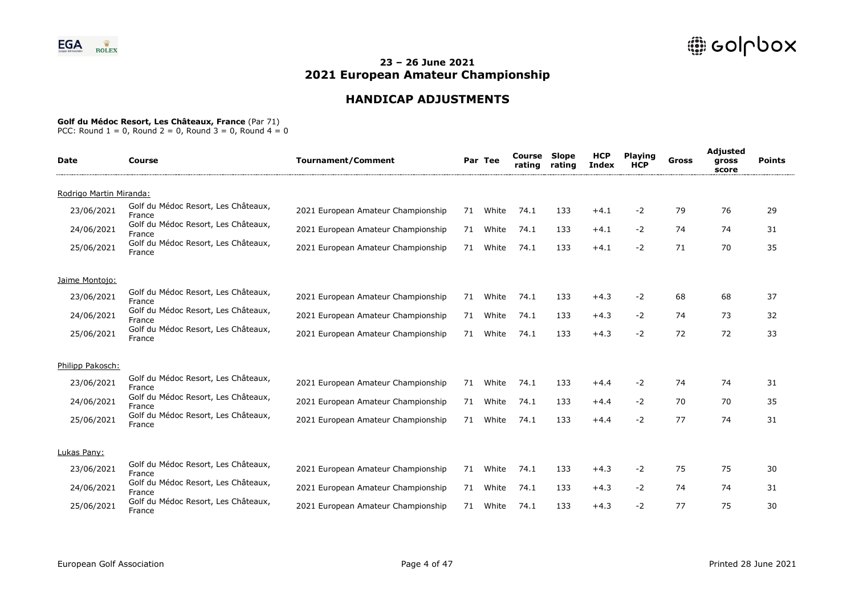# **HANDICAP ADJUSTMENTS**

### **Golf du Médoc Resort, Les Châteaux, France** (Par 71)

| <b>Date</b>             | <b>Course</b>                                 | <b>Tournament/Comment</b>          |    | Par Tee | Course<br>rating | Slope<br>rating | <b>HCP</b><br><b>Index</b> | <b>Playing</b><br><b>HCP</b> | Gross | <b>Adjusted</b><br>gross<br>score | <b>Points</b> |
|-------------------------|-----------------------------------------------|------------------------------------|----|---------|------------------|-----------------|----------------------------|------------------------------|-------|-----------------------------------|---------------|
| Rodrigo Martin Miranda: |                                               |                                    |    |         |                  |                 |                            |                              |       |                                   |               |
| 23/06/2021              | Golf du Médoc Resort, Les Châteaux,<br>France | 2021 European Amateur Championship | 71 | White   | 74.1             | 133             | $+4.1$                     | -2                           | 79    | 76                                | 29            |
| 24/06/2021              | Golf du Médoc Resort, Les Châteaux,<br>France | 2021 European Amateur Championship | 71 | White   | 74.1             | 133             | $+4.1$                     | $-2$                         | 74    | 74                                | 31            |
| 25/06/2021              | Golf du Médoc Resort, Les Châteaux,<br>France | 2021 European Amateur Championship | 71 | White   | 74.1             | 133             | $+4.1$                     | -2                           | 71    | 70                                | 35            |
| Jaime Montojo:          |                                               |                                    |    |         |                  |                 |                            |                              |       |                                   |               |
| 23/06/2021              | Golf du Médoc Resort, Les Châteaux,<br>France | 2021 European Amateur Championship | 71 | White   | 74.1             | 133             | $+4.3$                     | $-2$                         | 68    | 68                                | 37            |
| 24/06/2021              | Golf du Médoc Resort, Les Châteaux,<br>France | 2021 European Amateur Championship | 71 | White   | 74.1             | 133             | $+4.3$                     | -2                           | 74    | 73                                | 32            |
| 25/06/2021              | Golf du Médoc Resort, Les Châteaux,<br>France | 2021 European Amateur Championship | 71 | White   | 74.1             | 133             | $+4.3$                     | $-2$                         | 72    | 72                                | 33            |
| Philipp Pakosch:        |                                               |                                    |    |         |                  |                 |                            |                              |       |                                   |               |
| 23/06/2021              | Golf du Médoc Resort, Les Châteaux,<br>France | 2021 European Amateur Championship | 71 | White   | 74.1             | 133             | $+4.4$                     | -2                           | 74    | 74                                | 31            |
| 24/06/2021              | Golf du Médoc Resort, Les Châteaux,<br>France | 2021 European Amateur Championship | 71 | White   | 74.1             | 133             | $+4.4$                     | -2                           | 70    | 70                                | 35            |
| 25/06/2021              | Golf du Médoc Resort, Les Châteaux,<br>France | 2021 European Amateur Championship | 71 | White   | 74.1             | 133             | $+4.4$                     | -2                           | 77    | 74                                | 31            |
| Lukas Pany:             |                                               |                                    |    |         |                  |                 |                            |                              |       |                                   |               |
| 23/06/2021              | Golf du Médoc Resort, Les Châteaux,<br>France | 2021 European Amateur Championship | 71 | White   | 74.1             | 133             | $+4.3$                     | -2                           | 75    | 75                                | 30            |
| 24/06/2021              | Golf du Médoc Resort, Les Châteaux,<br>France | 2021 European Amateur Championship | 71 | White   | 74.1             | 133             | $+4.3$                     | $-2$                         | 74    | 74                                | 31            |
| 25/06/2021              | Golf du Médoc Resort, Les Châteaux,<br>France | 2021 European Amateur Championship | 71 | White   | 74.1             | 133             | $+4.3$                     | -2                           | 77    | 75                                | 30            |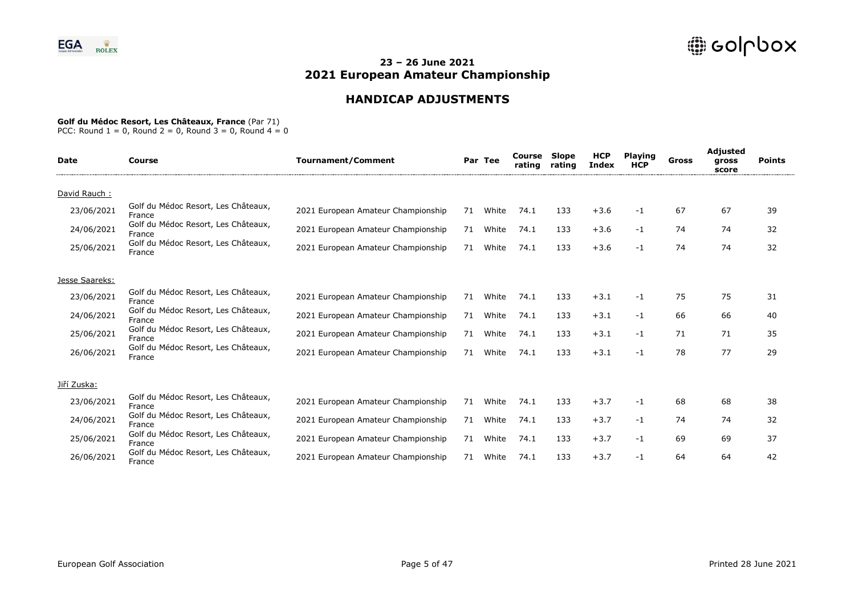# **HANDICAP ADJUSTMENTS**

### **Golf du Médoc Resort, Les Châteaux, France** (Par 71)

| Date           | <b>Course</b>                                 | <b>Tournament/Comment</b>          |    | Par Tee | Course<br>rating | Slope<br>rating | <b>HCP</b><br>Index | <b>Playing</b><br><b>HCP</b> | Gross | <b>Adjusted</b><br>gross<br>score | <b>Points</b> |
|----------------|-----------------------------------------------|------------------------------------|----|---------|------------------|-----------------|---------------------|------------------------------|-------|-----------------------------------|---------------|
| David Rauch:   |                                               |                                    |    |         |                  |                 |                     |                              |       |                                   |               |
| 23/06/2021     | Golf du Médoc Resort, Les Châteaux,<br>France | 2021 European Amateur Championship | 71 | White   | 74.1             | 133             | $+3.6$              | -1                           | 67    | 67                                | 39            |
| 24/06/2021     | Golf du Médoc Resort, Les Châteaux,<br>France | 2021 European Amateur Championship | 71 | White   | 74.1             | 133             | $+3.6$              | -1                           | 74    | 74                                | 32            |
| 25/06/2021     | Golf du Médoc Resort, Les Châteaux,<br>France | 2021 European Amateur Championship | 71 | White   | 74.1             | 133             | $+3.6$              | -1                           | 74    | 74                                | 32            |
| Jesse Saareks: |                                               |                                    |    |         |                  |                 |                     |                              |       |                                   |               |
| 23/06/2021     | Golf du Médoc Resort, Les Châteaux,<br>France | 2021 European Amateur Championship | 71 | White   | 74.1             | 133             | $+3.1$              | -1                           | 75    | 75                                | 31            |
| 24/06/2021     | Golf du Médoc Resort, Les Châteaux,<br>France | 2021 European Amateur Championship | 71 | White   | 74.1             | 133             | $+3.1$              | $-1$                         | 66    | 66                                | 40            |
| 25/06/2021     | Golf du Médoc Resort, Les Châteaux,<br>France | 2021 European Amateur Championship | 71 | White   | 74.1             | 133             | $+3.1$              | -1                           | 71    | 71                                | 35            |
| 26/06/2021     | Golf du Médoc Resort, Les Châteaux,<br>France | 2021 European Amateur Championship | 71 | White   | 74.1             | 133             | $+3.1$              | $-1$                         | 78    | 77                                | 29            |
| Jiří Zuska:    |                                               |                                    |    |         |                  |                 |                     |                              |       |                                   |               |
| 23/06/2021     | Golf du Médoc Resort, Les Châteaux,<br>France | 2021 European Amateur Championship | 71 | White   | 74.1             | 133             | $+3.7$              | $-1$                         | 68    | 68                                | 38            |
| 24/06/2021     | Golf du Médoc Resort, Les Châteaux,<br>France | 2021 European Amateur Championship | 71 | White   | 74.1             | 133             | $+3.7$              | -1                           | 74    | 74                                | 32            |
| 25/06/2021     | Golf du Médoc Resort, Les Châteaux,<br>France | 2021 European Amateur Championship | 71 | White   | 74.1             | 133             | $+3.7$              | -1                           | 69    | 69                                | 37            |
| 26/06/2021     | Golf du Médoc Resort, Les Châteaux,<br>France | 2021 European Amateur Championship | 71 | White   | 74.1             | 133             | $+3.7$              | -1                           | 64    | 64                                | 42            |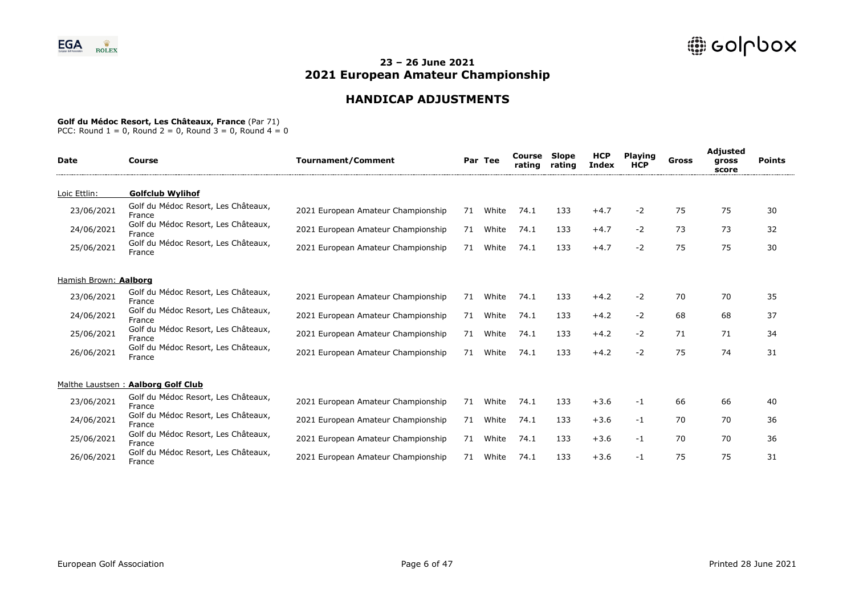# **HANDICAP ADJUSTMENTS**

#### **Golf du Médoc Resort, Les Châteaux, France** (Par 71)

| <b>Date</b>           | Course                                        | <b>Tournament/Comment</b>          |    | Par Tee | Course<br>rating | <b>Slope</b><br>rating | <b>HCP</b><br>Index | <b>Plaving</b><br><b>HCP</b> | Gross | Adjusted<br>gross<br>score | <b>Points</b> |
|-----------------------|-----------------------------------------------|------------------------------------|----|---------|------------------|------------------------|---------------------|------------------------------|-------|----------------------------|---------------|
| Loic Ettlin:          | <b>Golfclub Wylihof</b>                       |                                    |    |         |                  |                        |                     |                              |       |                            |               |
| 23/06/2021            | Golf du Médoc Resort, Les Châteaux,<br>France | 2021 European Amateur Championship | 71 | White   | 74.1             | 133                    | $+4.7$              | $-2$                         | 75    | 75                         | 30            |
| 24/06/2021            | Golf du Médoc Resort, Les Châteaux,<br>France | 2021 European Amateur Championship | 71 | White   | 74.1             | 133                    | $+4.7$              | $-2$                         | 73    | 73                         | 32            |
| 25/06/2021            | Golf du Médoc Resort, Les Châteaux,<br>France | 2021 European Amateur Championship | 71 | White   | 74.1             | 133                    | $+4.7$              | $-2$                         | 75    | 75                         | 30            |
| Hamish Brown: Aalborg |                                               |                                    |    |         |                  |                        |                     |                              |       |                            |               |
| 23/06/2021            | Golf du Médoc Resort, Les Châteaux,<br>France | 2021 European Amateur Championship | 71 | White   | 74.1             | 133                    | $+4.2$              | $-2$                         | 70    | 70                         | 35            |
| 24/06/2021            | Golf du Médoc Resort, Les Châteaux,<br>France | 2021 European Amateur Championship | 71 | White   | 74.1             | 133                    | $+4.2$              | $-2$                         | 68    | 68                         | 37            |
| 25/06/2021            | Golf du Médoc Resort, Les Châteaux,<br>France | 2021 European Amateur Championship | 71 | White   | 74.1             | 133                    | $+4.2$              | $-2$                         | 71    | 71                         | 34            |
| 26/06/2021            | Golf du Médoc Resort, Les Châteaux,<br>France | 2021 European Amateur Championship | 71 | White   | 74.1             | 133                    | $+4.2$              | $-2$                         | 75    | 74                         | 31            |
|                       | Malthe Laustsen: Aalborg Golf Club            |                                    |    |         |                  |                        |                     |                              |       |                            |               |
| 23/06/2021            | Golf du Médoc Resort, Les Châteaux,<br>France | 2021 European Amateur Championship | 71 | White   | 74.1             | 133                    | $+3.6$              | $-1$                         | 66    | 66                         | 40            |
| 24/06/2021            | Golf du Médoc Resort, Les Châteaux,<br>France | 2021 European Amateur Championship | 71 | White   | 74.1             | 133                    | $+3.6$              | $-1$                         | 70    | 70                         | 36            |
| 25/06/2021            | Golf du Médoc Resort, Les Châteaux,<br>France | 2021 European Amateur Championship | 71 | White   | 74.1             | 133                    | $+3.6$              | $-1$                         | 70    | 70                         | 36            |
| 26/06/2021            | Golf du Médoc Resort, Les Châteaux,<br>France | 2021 European Amateur Championship | 71 | White   | 74.1             | 133                    | $+3.6$              | -1                           | 75    | 75                         | 31            |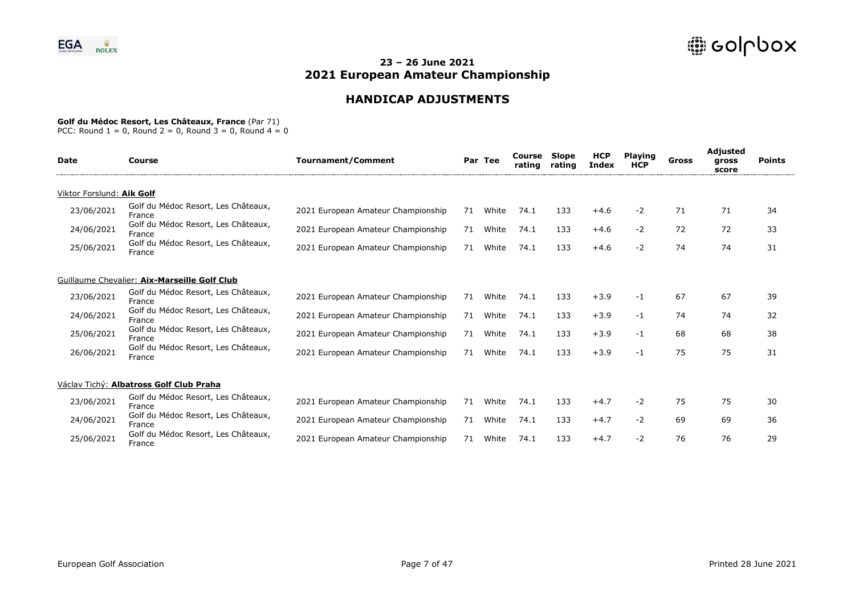# **HANDICAP ADJUSTMENTS**

### **Golf du Médoc Resort, Les Châteaux, France** (Par 71)

| Date                      | Course                                        | <b>Tournament/Comment</b>          |    | Par Tee | Course<br>rating | Slope<br>rating | <b>HCP</b><br><b>Index</b> | <b>Playing</b><br><b>HCP</b> | Gross | Adjusted<br>gross<br>score | <b>Points</b> |
|---------------------------|-----------------------------------------------|------------------------------------|----|---------|------------------|-----------------|----------------------------|------------------------------|-------|----------------------------|---------------|
| Viktor Forslund: Aik Golf |                                               |                                    |    |         |                  |                 |                            |                              |       |                            |               |
| 23/06/2021                | Golf du Médoc Resort, Les Châteaux,<br>France | 2021 European Amateur Championship | 71 | White   | 74.1             | 133             | $+4.6$                     | $-2$                         | 71    | 71                         | 34            |
| 24/06/2021                | Golf du Médoc Resort, Les Châteaux,<br>France | 2021 European Amateur Championship | 71 | White   | 74.1             | 133             | $+4.6$                     | $-2$                         | 72    | 72                         | 33            |
| 25/06/2021                | Golf du Médoc Resort, Les Châteaux,<br>France | 2021 European Amateur Championship | 71 | White   | 74.1             | 133             | $+4.6$                     | $-2$                         | 74    | 74                         | 31            |
|                           | Guillaume Chevalier: Aix-Marseille Golf Club  |                                    |    |         |                  |                 |                            |                              |       |                            |               |
| 23/06/2021                | Golf du Médoc Resort, Les Châteaux,<br>France | 2021 European Amateur Championship | 71 | White   | 74.1             | 133             | $+3.9$                     | -1                           | 67    | 67                         | 39            |
| 24/06/2021                | Golf du Médoc Resort, Les Châteaux,<br>France | 2021 European Amateur Championship | 71 | White   | 74.1             | 133             | $+3.9$                     | -1                           | 74    | 74                         | 32            |
| 25/06/2021                | Golf du Médoc Resort, Les Châteaux,<br>France | 2021 European Amateur Championship | 71 | White   | 74.1             | 133             | $+3.9$                     | -1                           | 68    | 68                         | 38            |
| 26/06/2021                | Golf du Médoc Resort, Les Châteaux,<br>France | 2021 European Amateur Championship | 71 | White   | 74.1             | 133             | $+3.9$                     | $-1$                         | 75    | 75                         | 31            |
|                           | Václav Tichý: Albatross Golf Club Praha       |                                    |    |         |                  |                 |                            |                              |       |                            |               |
| 23/06/2021                | Golf du Médoc Resort, Les Châteaux,<br>France | 2021 European Amateur Championship | 71 | White   | 74.1             | 133             | $+4.7$                     | $-2$                         | 75    | 75                         | 30            |
| 24/06/2021                | Golf du Médoc Resort, Les Châteaux,<br>France | 2021 European Amateur Championship | 71 | White   | 74.1             | 133             | $+4.7$                     | $-2$                         | 69    | 69                         | 36            |
| 25/06/2021                | Golf du Médoc Resort, Les Châteaux,<br>France | 2021 European Amateur Championship | 71 | White   | 74.1             | 133             | $+4.7$                     | $-2$                         | 76    | 76                         | 29            |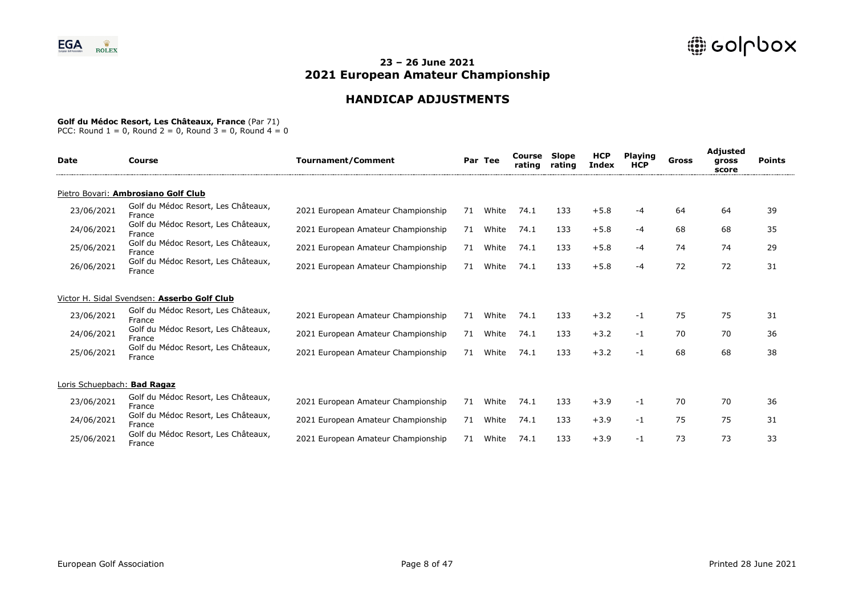# **HANDICAP ADJUSTMENTS**

#### **Golf du Médoc Resort, Les Châteaux, France** (Par 71)

| <b>Date</b>                 | Course                                        | <b>Tournament/Comment</b>          |    | Par Tee | Course<br>rating | Slope<br>rating | <b>HCP</b><br><b>Index</b> | <b>Playing</b><br><b>HCP</b> | Gross | <b>Adjusted</b><br>gross<br>score | <b>Points</b> |
|-----------------------------|-----------------------------------------------|------------------------------------|----|---------|------------------|-----------------|----------------------------|------------------------------|-------|-----------------------------------|---------------|
|                             | Pietro Bovari: Ambrosiano Golf Club           |                                    |    |         |                  |                 |                            |                              |       |                                   |               |
| 23/06/2021                  | Golf du Médoc Resort, Les Châteaux,<br>France | 2021 European Amateur Championship | 71 | White   | 74.1             | 133             | $+5.8$                     | -4                           | 64    | 64                                | 39            |
| 24/06/2021                  | Golf du Médoc Resort, Les Châteaux,<br>France | 2021 European Amateur Championship | 71 | White   | 74.1             | 133             | $+5.8$                     | -4                           | 68    | 68                                | 35            |
| 25/06/2021                  | Golf du Médoc Resort, Les Châteaux,<br>France | 2021 European Amateur Championship | 71 | White   | 74.1             | 133             | $+5.8$                     | -4                           | 74    | 74                                | 29            |
| 26/06/2021                  | Golf du Médoc Resort, Les Châteaux,<br>France | 2021 European Amateur Championship | 71 | White   | 74.1             | 133             | $+5.8$                     | -4                           | 72    | 72                                | 31            |
|                             | Victor H. Sidal Svendsen: Asserbo Golf Club   |                                    |    |         |                  |                 |                            |                              |       |                                   |               |
| 23/06/2021                  | Golf du Médoc Resort, Les Châteaux,<br>France | 2021 European Amateur Championship | 71 | White   | 74.1             | 133             | $+3.2$                     | $-1$                         | 75    | 75                                | 31            |
| 24/06/2021                  | Golf du Médoc Resort, Les Châteaux,<br>France | 2021 European Amateur Championship | 71 | White   | 74.1             | 133             | $+3.2$                     | -1                           | 70    | 70                                | 36            |
| 25/06/2021                  | Golf du Médoc Resort, Les Châteaux,<br>France | 2021 European Amateur Championship | 71 | White   | 74.1             | 133             | $+3.2$                     | $-1$                         | 68    | 68                                | 38            |
| Loris Schuepbach: Bad Ragaz |                                               |                                    |    |         |                  |                 |                            |                              |       |                                   |               |
| 23/06/2021                  | Golf du Médoc Resort, Les Châteaux,<br>France | 2021 European Amateur Championship | 71 | White   | 74.1             | 133             | $+3.9$                     | -1                           | 70    | 70                                | 36            |
| 24/06/2021                  | Golf du Médoc Resort, Les Châteaux,<br>France | 2021 European Amateur Championship | 71 | White   | 74.1             | 133             | $+3.9$                     | -1                           | 75    | 75                                | 31            |
| 25/06/2021                  | Golf du Médoc Resort, Les Châteaux,<br>France | 2021 European Amateur Championship | 71 | White   | 74.1             | 133             | $+3.9$                     | -1                           | 73    | 73                                | 33            |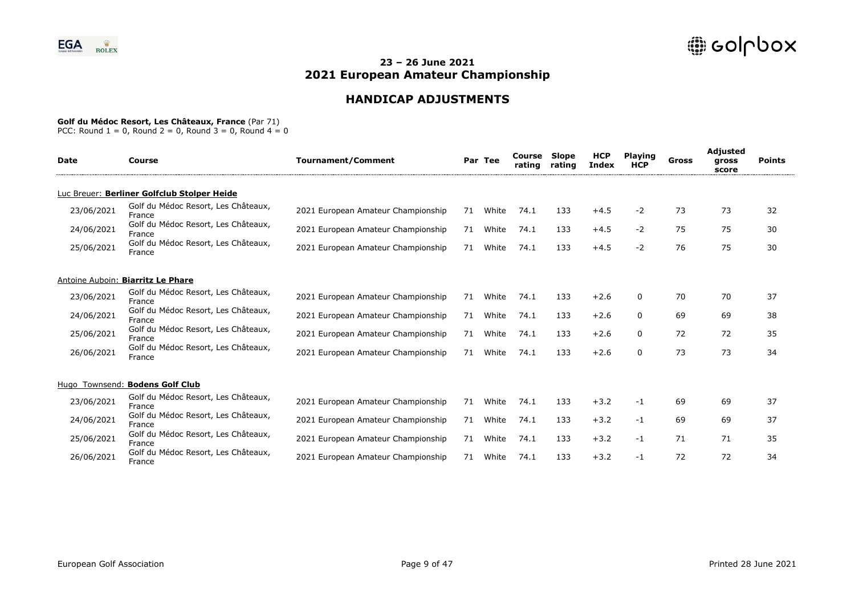# **HANDICAP ADJUSTMENTS**

#### **Golf du Médoc Resort, Les Châteaux, France** (Par 71)

| <b>Date</b> | Course                                        | <b>Tournament/Comment</b>          |    | Par Tee | Course<br>rating | Slope<br>rating | <b>HCP</b><br>Index | <b>Playing</b><br><b>HCP</b> | Gross | Adjusted<br>gross<br>score | <b>Points</b> |
|-------------|-----------------------------------------------|------------------------------------|----|---------|------------------|-----------------|---------------------|------------------------------|-------|----------------------------|---------------|
|             | Luc Breuer: Berliner Golfclub Stolper Heide   |                                    |    |         |                  |                 |                     |                              |       |                            |               |
| 23/06/2021  | Golf du Médoc Resort, Les Châteaux,<br>France | 2021 European Amateur Championship | 71 | White   | 74.1             | 133             | $+4.5$              | $-2$                         | 73    | 73                         | 32            |
| 24/06/2021  | Golf du Médoc Resort, Les Châteaux,<br>France | 2021 European Amateur Championship | 71 | White   | 74.1             | 133             | $+4.5$              | $-2$                         | 75    | 75                         | 30            |
| 25/06/2021  | Golf du Médoc Resort, Les Châteaux,<br>France | 2021 European Amateur Championship | 71 | White   | 74.1             | 133             | $+4.5$              | $-2$                         | 76    | 75                         | 30            |
|             | Antoine Auboin: Biarritz Le Phare             |                                    |    |         |                  |                 |                     |                              |       |                            |               |
| 23/06/2021  | Golf du Médoc Resort, Les Châteaux,<br>France | 2021 European Amateur Championship | 71 | White   | 74.1             | 133             | $+2.6$              | 0                            | 70    | 70                         | 37            |
| 24/06/2021  | Golf du Médoc Resort, Les Châteaux,<br>France | 2021 European Amateur Championship | 71 | White   | 74.1             | 133             | $+2.6$              | 0                            | 69    | 69                         | 38            |
| 25/06/2021  | Golf du Médoc Resort, Les Châteaux,<br>France | 2021 European Amateur Championship | 71 | White   | 74.1             | 133             | $+2.6$              | 0                            | 72    | 72                         | 35            |
| 26/06/2021  | Golf du Médoc Resort, Les Châteaux,<br>France | 2021 European Amateur Championship | 71 | White   | 74.1             | 133             | $+2.6$              | $\Omega$                     | 73    | 73                         | 34            |
|             | Hugo Townsend: Bodens Golf Club               |                                    |    |         |                  |                 |                     |                              |       |                            |               |
| 23/06/2021  | Golf du Médoc Resort, Les Châteaux,<br>France | 2021 European Amateur Championship | 71 | White   | 74.1             | 133             | $+3.2$              | $-1$                         | 69    | 69                         | 37            |
| 24/06/2021  | Golf du Médoc Resort, Les Châteaux,<br>France | 2021 European Amateur Championship | 71 | White   | 74.1             | 133             | $+3.2$              | $-1$                         | 69    | 69                         | 37            |
| 25/06/2021  | Golf du Médoc Resort, Les Châteaux,<br>France | 2021 European Amateur Championship | 71 | White   | 74.1             | 133             | $+3.2$              | $-1$                         | 71    | 71                         | 35            |
| 26/06/2021  | Golf du Médoc Resort, Les Châteaux,<br>France | 2021 European Amateur Championship | 71 | White   | 74.1             | 133             | $+3.2$              | $-1$                         | 72    | 72                         | 34            |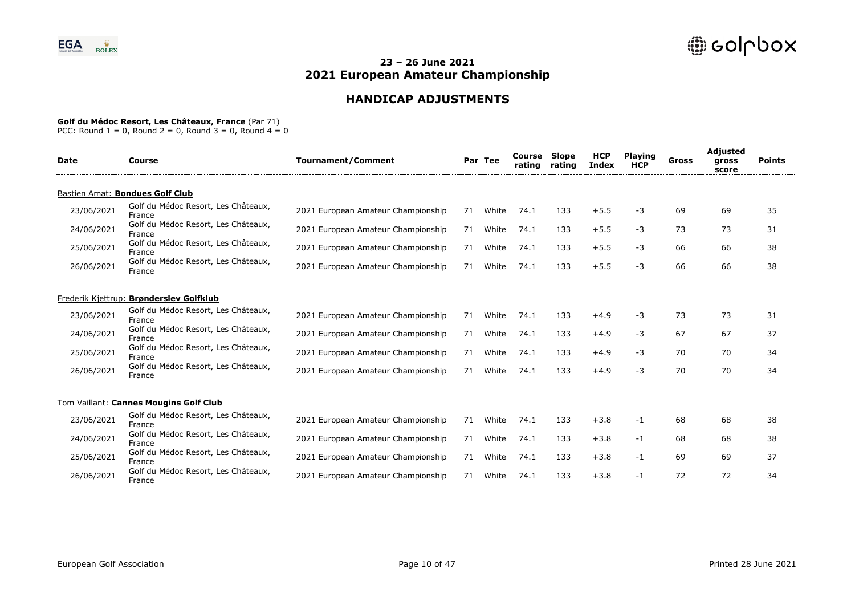# **HANDICAP ADJUSTMENTS**

### **Golf du Médoc Resort, Les Châteaux, France** (Par 71)

| <b>Date</b> | <b>Course</b>                                 | <b>Tournament/Comment</b>          |    | Par Tee | Course<br>rating | <b>Slope</b><br>rating | <b>HCP</b><br><b>Index</b> | <b>Playing</b><br><b>HCP</b> | <b>Gross</b> | Adjusted<br>gross<br>score | <b>Points</b> |
|-------------|-----------------------------------------------|------------------------------------|----|---------|------------------|------------------------|----------------------------|------------------------------|--------------|----------------------------|---------------|
|             | Bastien Amat: Bondues Golf Club               |                                    |    |         |                  |                        |                            |                              |              |                            |               |
| 23/06/2021  | Golf du Médoc Resort, Les Châteaux,<br>France | 2021 European Amateur Championship | 71 | White   | 74.1             | 133                    | $+5.5$                     | -3                           | 69           | 69                         | 35            |
| 24/06/2021  | Golf du Médoc Resort, Les Châteaux,<br>France | 2021 European Amateur Championship | 71 | White   | 74.1             | 133                    | $+5.5$                     | -3                           | 73           | 73                         | 31            |
| 25/06/2021  | Golf du Médoc Resort, Les Châteaux,<br>France | 2021 European Amateur Championship | 71 | White   | 74.1             | 133                    | $+5.5$                     | -3                           | 66           | 66                         | 38            |
| 26/06/2021  | Golf du Médoc Resort, Les Châteaux,<br>France | 2021 European Amateur Championship | 71 | White   | 74.1             | 133                    | $+5.5$                     | -3                           | 66           | 66                         | 38            |
|             | Frederik Kjettrup: Brønderslev Golfklub       |                                    |    |         |                  |                        |                            |                              |              |                            |               |
| 23/06/2021  | Golf du Médoc Resort, Les Châteaux,<br>France | 2021 European Amateur Championship | 71 | White   | 74.1             | 133                    | $+4.9$                     | -3                           | 73           | 73                         | 31            |
| 24/06/2021  | Golf du Médoc Resort, Les Châteaux,<br>France | 2021 European Amateur Championship | 71 | White   | 74.1             | 133                    | $+4.9$                     | -3                           | 67           | 67                         | 37            |
| 25/06/2021  | Golf du Médoc Resort, Les Châteaux,<br>France | 2021 European Amateur Championship | 71 | White   | 74.1             | 133                    | $+4.9$                     | -3                           | 70           | 70                         | 34            |
| 26/06/2021  | Golf du Médoc Resort, Les Châteaux,<br>France | 2021 European Amateur Championship | 71 | White   | 74.1             | 133                    | $+4.9$                     | -3                           | 70           | 70                         | 34            |
|             | Tom Vaillant: Cannes Mougins Golf Club        |                                    |    |         |                  |                        |                            |                              |              |                            |               |
| 23/06/2021  | Golf du Médoc Resort, Les Châteaux,<br>France | 2021 European Amateur Championship | 71 | White   | 74.1             | 133                    | $+3.8$                     | -1                           | 68           | 68                         | 38            |
| 24/06/2021  | Golf du Médoc Resort, Les Châteaux,<br>France | 2021 European Amateur Championship | 71 | White   | 74.1             | 133                    | $+3.8$                     | -1                           | 68           | 68                         | 38            |
| 25/06/2021  | Golf du Médoc Resort, Les Châteaux,<br>France | 2021 European Amateur Championship | 71 | White   | 74.1             | 133                    | $+3.8$                     | -1                           | 69           | 69                         | 37            |
| 26/06/2021  | Golf du Médoc Resort, Les Châteaux,<br>France | 2021 European Amateur Championship | 71 | White   | 74.1             | 133                    | $+3.8$                     | -1                           | 72           | 72                         | 34            |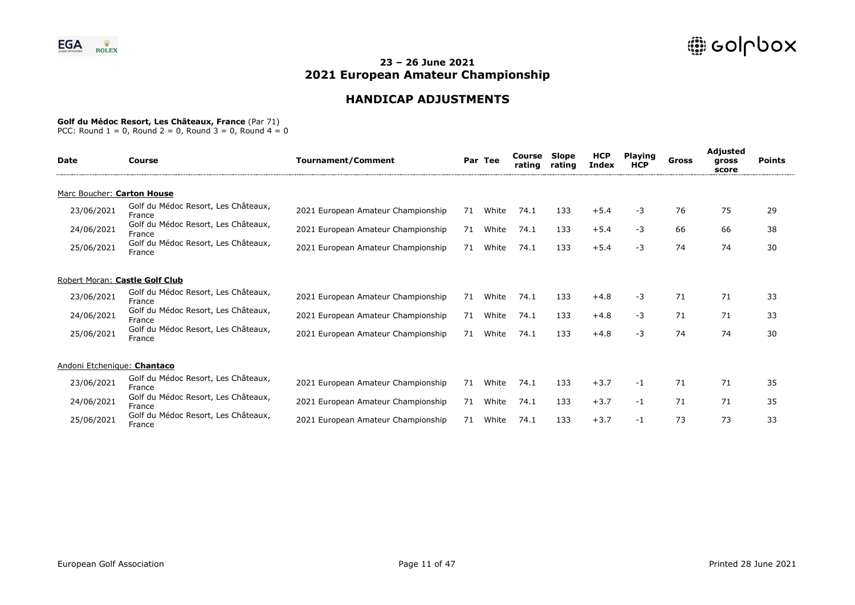# **HANDICAP ADJUSTMENTS**

### **Golf du Médoc Resort, Les Châteaux, France** (Par 71)

| <b>Date</b>                    | Course                                        | <b>Tournament/Comment</b>          |    | Par Tee | Course<br>rating | Slope<br>rating | <b>HCP</b><br><b>Index</b> | <b>Playing</b><br><b>HCP</b> | Gross | Adjusted<br>gross<br>score | <b>Points</b> |
|--------------------------------|-----------------------------------------------|------------------------------------|----|---------|------------------|-----------------|----------------------------|------------------------------|-------|----------------------------|---------------|
| Marc Boucher: Carton House     |                                               |                                    |    |         |                  |                 |                            |                              |       |                            |               |
| 23/06/2021                     | Golf du Médoc Resort, Les Châteaux,<br>France | 2021 European Amateur Championship | 71 | White   | 74.1             | 133             | $+5.4$                     | -3                           | 76    | 75                         | 29            |
| 24/06/2021                     | Golf du Médoc Resort, Les Châteaux,<br>France | 2021 European Amateur Championship | 71 | White   | 74.1             | 133             | $+5.4$                     | -3                           | 66    | 66                         | 38            |
| 25/06/2021                     | Golf du Médoc Resort, Les Châteaux,<br>France | 2021 European Amateur Championship | 71 | White   | 74.1             | 133             | $+5.4$                     | -3                           | 74    | 74                         | 30            |
| Robert Moran: Castle Golf Club |                                               |                                    |    |         |                  |                 |                            |                              |       |                            |               |
| 23/06/2021                     | Golf du Médoc Resort, Les Châteaux,<br>France | 2021 European Amateur Championship | 71 | White   | 74.1             | 133             | $+4.8$                     | $-3$                         | 71    | 71                         | 33            |
| 24/06/2021                     | Golf du Médoc Resort, Les Châteaux,<br>France | 2021 European Amateur Championship | 71 | White   | 74.1             | 133             | $+4.8$                     | -3                           | 71    | 71                         | 33            |
| 25/06/2021                     | Golf du Médoc Resort, Les Châteaux,<br>France | 2021 European Amateur Championship | 71 | White   | 74.1             | 133             | $+4.8$                     | -3                           | 74    | 74                         | 30            |
| Andoni Etchenique: Chantaco    |                                               |                                    |    |         |                  |                 |                            |                              |       |                            |               |
| 23/06/2021                     | Golf du Médoc Resort, Les Châteaux,<br>France | 2021 European Amateur Championship | 71 | White   | 74.1             | 133             | $+3.7$                     | $-1$                         | 71    | 71                         | 35            |
| 24/06/2021                     | Golf du Médoc Resort, Les Châteaux,<br>France | 2021 European Amateur Championship | 71 | White   | 74.1             | 133             | $+3.7$                     | -1                           | 71    | 71                         | 35            |
| 25/06/2021                     | Golf du Médoc Resort, Les Châteaux,<br>France | 2021 European Amateur Championship | 71 | White   | 74.1             | 133             | $+3.7$                     | -1                           | 73    | 73                         | 33            |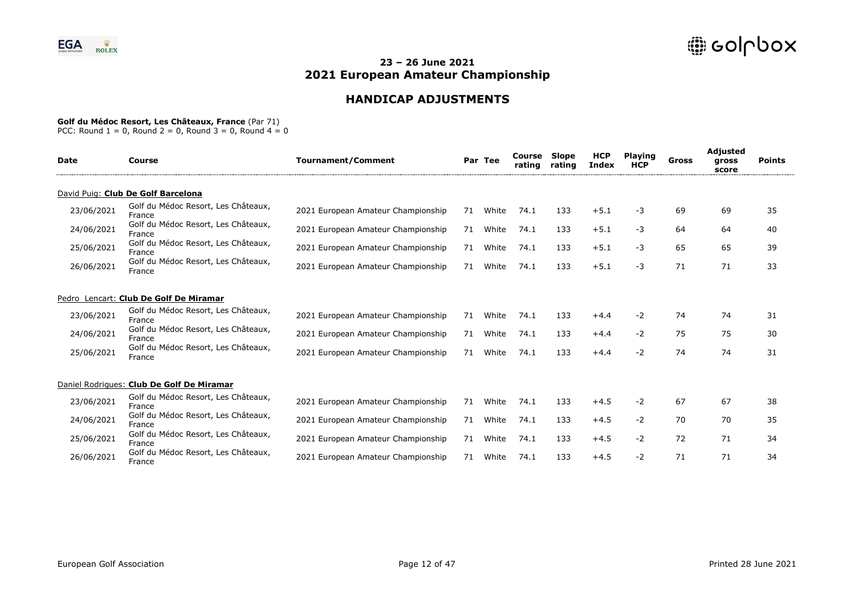# **HANDICAP ADJUSTMENTS**

### **Golf du Médoc Resort, Les Châteaux, France** (Par 71)

| <b>Date</b> | Course                                        | <b>Tournament/Comment</b>          |    | Par Tee | Course<br>rating | Slope<br>rating | <b>HCP</b><br><b>Index</b> | <b>Playing</b><br><b>HCP</b> | Gross | <b>Adjusted</b><br>gross<br>score | <b>Points</b> |
|-------------|-----------------------------------------------|------------------------------------|----|---------|------------------|-----------------|----------------------------|------------------------------|-------|-----------------------------------|---------------|
|             | David Puig: Club De Golf Barcelona            |                                    |    |         |                  |                 |                            |                              |       |                                   |               |
| 23/06/2021  | Golf du Médoc Resort, Les Châteaux,<br>France | 2021 European Amateur Championship | 71 | White   | 74.1             | 133             | $+5.1$                     | -3                           | 69    | 69                                | 35            |
| 24/06/2021  | Golf du Médoc Resort, Les Châteaux,<br>France | 2021 European Amateur Championship | 71 | White   | 74.1             | 133             | $+5.1$                     | -3                           | 64    | 64                                | 40            |
| 25/06/2021  | Golf du Médoc Resort, Les Châteaux,<br>France | 2021 European Amateur Championship | 71 | White   | 74.1             | 133             | $+5.1$                     | -3                           | 65    | 65                                | 39            |
| 26/06/2021  | Golf du Médoc Resort, Les Châteaux,<br>France | 2021 European Amateur Championship | 71 | White   | 74.1             | 133             | $+5.1$                     | $-3$                         | 71    | 71                                | 33            |
|             | Pedro Lencart: Club De Golf De Miramar        |                                    |    |         |                  |                 |                            |                              |       |                                   |               |
| 23/06/2021  | Golf du Médoc Resort, Les Châteaux,<br>France | 2021 European Amateur Championship | 71 | White   | 74.1             | 133             | $+4.4$                     | $-2$                         | 74    | 74                                | 31            |
| 24/06/2021  | Golf du Médoc Resort, Les Châteaux,<br>France | 2021 European Amateur Championship | 71 | White   | 74.1             | 133             | $+4.4$                     | $-2$                         | 75    | 75                                | 30            |
| 25/06/2021  | Golf du Médoc Resort, Les Châteaux,<br>France | 2021 European Amateur Championship | 71 | White   | 74.1             | 133             | $+4.4$                     | $-2$                         | 74    | 74                                | 31            |
|             | Daniel Rodrigues: Club De Golf De Miramar     |                                    |    |         |                  |                 |                            |                              |       |                                   |               |
| 23/06/2021  | Golf du Médoc Resort, Les Châteaux,<br>France | 2021 European Amateur Championship | 71 | White   | 74.1             | 133             | $+4.5$                     | $-2$                         | 67    | 67                                | 38            |
| 24/06/2021  | Golf du Médoc Resort, Les Châteaux,<br>France | 2021 European Amateur Championship | 71 | White   | 74.1             | 133             | $+4.5$                     | $-2$                         | 70    | 70                                | 35            |
| 25/06/2021  | Golf du Médoc Resort, Les Châteaux,<br>France | 2021 European Amateur Championship | 71 | White   | 74.1             | 133             | $+4.5$                     | $-2$                         | 72    | 71                                | 34            |
| 26/06/2021  | Golf du Médoc Resort, Les Châteaux,<br>France | 2021 European Amateur Championship | 71 | White   | 74.1             | 133             | $+4.5$                     | -2                           | 71    | 71                                | 34            |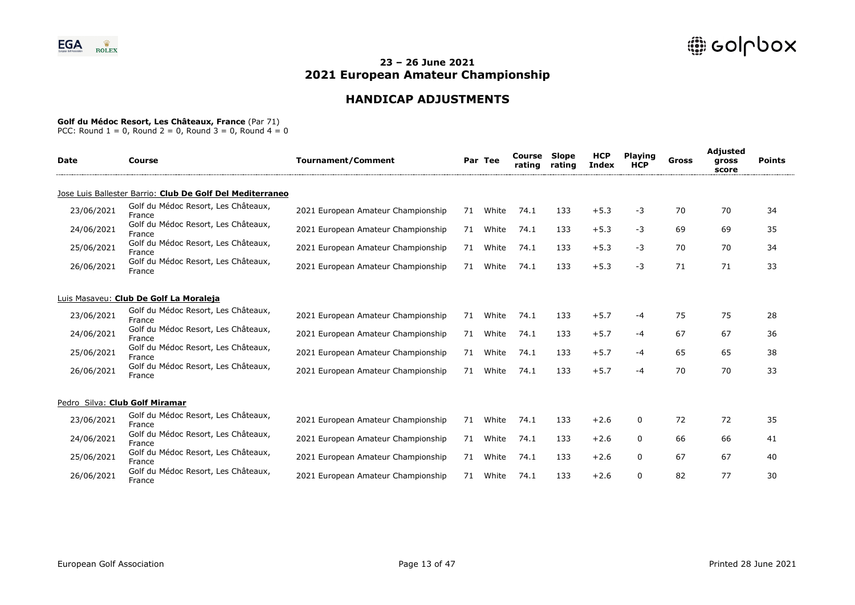# **HANDICAP ADJUSTMENTS**

### **Golf du Médoc Resort, Les Châteaux, France** (Par 71)

| <b>Date</b> | Course                                                    | <b>Tournament/Comment</b>          |    | Par Tee | Course<br>rating | <b>Slope</b><br>rating | <b>HCP</b><br><b>Index</b> | <b>Playing</b><br><b>HCP</b> | Gross | <b>Adjusted</b><br>gross<br>score | <b>Points</b> |
|-------------|-----------------------------------------------------------|------------------------------------|----|---------|------------------|------------------------|----------------------------|------------------------------|-------|-----------------------------------|---------------|
|             | Jose Luis Ballester Barrio: Club De Golf Del Mediterraneo |                                    |    |         |                  |                        |                            |                              |       |                                   |               |
| 23/06/2021  | Golf du Médoc Resort, Les Châteaux,<br>France             | 2021 European Amateur Championship | 71 | White   | 74.1             | 133                    | $+5.3$                     | -3                           | 70    | 70                                | 34            |
| 24/06/2021  | Golf du Médoc Resort, Les Châteaux,<br>France             | 2021 European Amateur Championship | 71 | White   | 74.1             | 133                    | $+5.3$                     | -3                           | 69    | 69                                | 35            |
| 25/06/2021  | Golf du Médoc Resort, Les Châteaux,<br>France             | 2021 European Amateur Championship | 71 | White   | 74.1             | 133                    | $+5.3$                     | -3                           | 70    | 70                                | 34            |
| 26/06/2021  | Golf du Médoc Resort, Les Châteaux,<br>France             | 2021 European Amateur Championship | 71 | White   | 74.1             | 133                    | $+5.3$                     | -3                           | 71    | 71                                | 33            |
|             | Luis Masaveu: Club De Golf La Moraleja                    |                                    |    |         |                  |                        |                            |                              |       |                                   |               |
| 23/06/2021  | Golf du Médoc Resort, Les Châteaux,<br>France             | 2021 European Amateur Championship | 71 | White   | 74.1             | 133                    | $+5.7$                     | -4                           | 75    | 75                                | 28            |
| 24/06/2021  | Golf du Médoc Resort, Les Châteaux,<br>France             | 2021 European Amateur Championship | 71 | White   | 74.1             | 133                    | $+5.7$                     | -4                           | 67    | 67                                | 36            |
| 25/06/2021  | Golf du Médoc Resort, Les Châteaux,<br>France             | 2021 European Amateur Championship | 71 | White   | 74.1             | 133                    | $+5.7$                     | -4                           | 65    | 65                                | 38            |
| 26/06/2021  | Golf du Médoc Resort, Les Châteaux,<br>France             | 2021 European Amateur Championship | 71 | White   | 74.1             | 133                    | $+5.7$                     | -4                           | 70    | 70                                | 33            |
|             | Pedro Silva: Club Golf Miramar                            |                                    |    |         |                  |                        |                            |                              |       |                                   |               |
| 23/06/2021  | Golf du Médoc Resort, Les Châteaux,<br>France             | 2021 European Amateur Championship | 71 | White   | 74.1             | 133                    | $+2.6$                     | 0                            | 72    | 72                                | 35            |
| 24/06/2021  | Golf du Médoc Resort, Les Châteaux,<br>France             | 2021 European Amateur Championship | 71 | White   | 74.1             | 133                    | $+2.6$                     | $\mathbf{0}$                 | 66    | 66                                | 41            |
| 25/06/2021  | Golf du Médoc Resort, Les Châteaux,<br>France             | 2021 European Amateur Championship | 71 | White   | 74.1             | 133                    | $+2.6$                     | $\Omega$                     | 67    | 67                                | 40            |
| 26/06/2021  | Golf du Médoc Resort, Les Châteaux,<br>France             | 2021 European Amateur Championship | 71 | White   | 74.1             | 133                    | $+2.6$                     | $\Omega$                     | 82    | 77                                | 30            |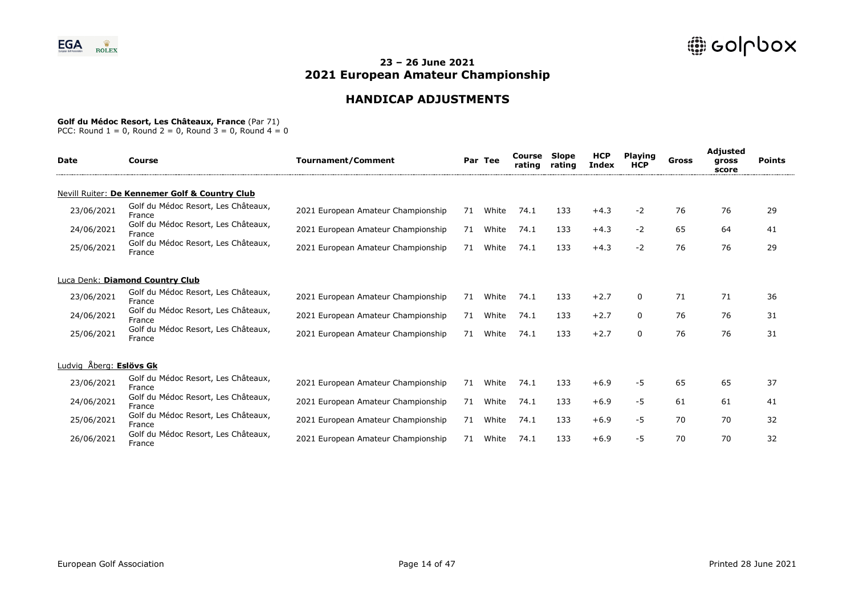# **HANDICAP ADJUSTMENTS**

#### **Golf du Médoc Resort, Les Châteaux, France** (Par 71)

| <b>Date</b>             | Course                                         | <b>Tournament/Comment</b>          |    | Par Tee | Course<br>rating | Slope<br>rating | <b>HCP</b><br><b>Index</b> | <b>Playing</b><br><b>HCP</b> | Gross | Adjusted<br>gross<br>score | <b>Points</b> |
|-------------------------|------------------------------------------------|------------------------------------|----|---------|------------------|-----------------|----------------------------|------------------------------|-------|----------------------------|---------------|
|                         | Nevill Ruiter: De Kennemer Golf & Country Club |                                    |    |         |                  |                 |                            |                              |       |                            |               |
| 23/06/2021              | Golf du Médoc Resort, Les Châteaux,<br>France  | 2021 European Amateur Championship | 71 | White   | 74.1             | 133             | $+4.3$                     | $-2$                         | 76    | 76                         | 29            |
| 24/06/2021              | Golf du Médoc Resort, Les Châteaux,<br>France  | 2021 European Amateur Championship | 71 | White   | 74.1             | 133             | $+4.3$                     | $-2$                         | 65    | 64                         | 41            |
| 25/06/2021              | Golf du Médoc Resort, Les Châteaux,<br>France  | 2021 European Amateur Championship | 71 | White   | 74.1             | 133             | $+4.3$                     | $-2$                         | 76    | 76                         | 29            |
|                         | Luca Denk: Diamond Country Club                |                                    |    |         |                  |                 |                            |                              |       |                            |               |
| 23/06/2021              | Golf du Médoc Resort, Les Châteaux,<br>France  | 2021 European Amateur Championship | 71 | White   | 74.1             | 133             | $+2.7$                     | $\Omega$                     | 71    | 71                         | 36            |
| 24/06/2021              | Golf du Médoc Resort, Les Châteaux,<br>France  | 2021 European Amateur Championship | 71 | White   | 74.1             | 133             | $+2.7$                     | $\Omega$                     | 76    | 76                         | 31            |
| 25/06/2021              | Golf du Médoc Resort, Les Châteaux,<br>France  | 2021 European Amateur Championship | 71 | White   | 74.1             | 133             | $+2.7$                     | $\Omega$                     | 76    | 76                         | 31            |
| Ludvig Åberg: Eslövs Gk |                                                |                                    |    |         |                  |                 |                            |                              |       |                            |               |
| 23/06/2021              | Golf du Médoc Resort, Les Châteaux,<br>France  | 2021 European Amateur Championship | 71 | White   | 74.1             | 133             | $+6.9$                     | -5                           | 65    | 65                         | 37            |
| 24/06/2021              | Golf du Médoc Resort, Les Châteaux,<br>France  | 2021 European Amateur Championship | 71 | White   | 74.1             | 133             | $+6.9$                     | -5                           | 61    | 61                         | 41            |
| 25/06/2021              | Golf du Médoc Resort, Les Châteaux,<br>France  | 2021 European Amateur Championship | 71 | White   | 74.1             | 133             | $+6.9$                     | -5                           | 70    | 70                         | 32            |
| 26/06/2021              | Golf du Médoc Resort, Les Châteaux,<br>France  | 2021 European Amateur Championship | 71 | White   | 74.1             | 133             | $+6.9$                     | -5                           | 70    | 70                         | 32            |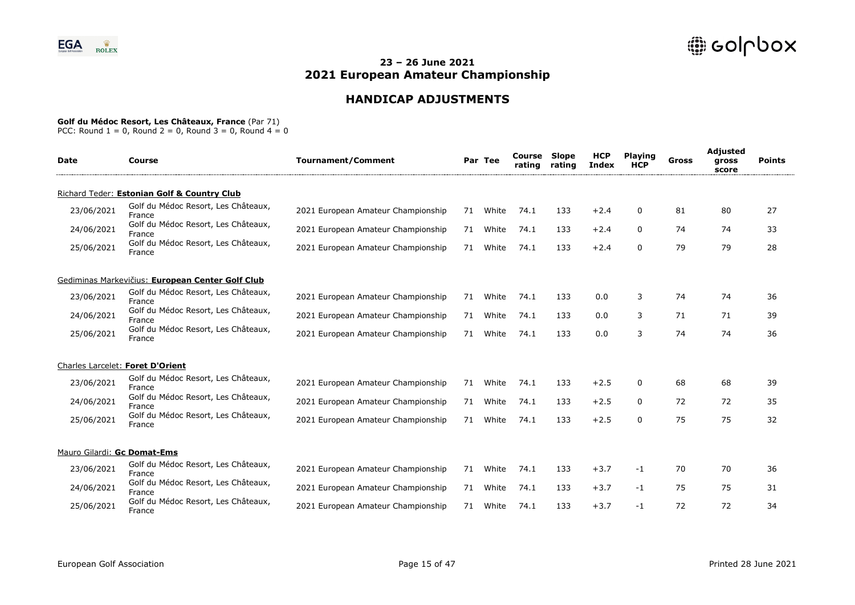# **HANDICAP ADJUSTMENTS**

### **Golf du Médoc Resort, Les Châteaux, France** (Par 71)

| <b>Date</b>                 | Course                                           | <b>Tournament/Comment</b>          |    | Par Tee | Course<br>rating | <b>Slope</b><br>rating | <b>HCP</b><br><b>Index</b> | <b>Playing</b><br><b>HCP</b> | Gross | Adjusted<br>gross<br>score | <b>Points</b> |
|-----------------------------|--------------------------------------------------|------------------------------------|----|---------|------------------|------------------------|----------------------------|------------------------------|-------|----------------------------|---------------|
|                             | Richard Teder: Estonian Golf & Country Club      |                                    |    |         |                  |                        |                            |                              |       |                            |               |
| 23/06/2021                  | Golf du Médoc Resort, Les Châteaux,<br>France    | 2021 European Amateur Championship | 71 | White   | 74.1             | 133                    | $+2.4$                     | $\Omega$                     | 81    | 80                         | 27            |
| 24/06/2021                  | Golf du Médoc Resort, Les Châteaux,<br>France    | 2021 European Amateur Championship | 71 | White   | 74.1             | 133                    | $+2.4$                     | 0                            | 74    | 74                         | 33            |
| 25/06/2021                  | Golf du Médoc Resort, Les Châteaux,<br>France    | 2021 European Amateur Championship | 71 | White   | 74.1             | 133                    | $+2.4$                     | $\mathbf 0$                  | 79    | 79                         | 28            |
|                             | Gediminas Markevičius: European Center Golf Club |                                    |    |         |                  |                        |                            |                              |       |                            |               |
| 23/06/2021                  | Golf du Médoc Resort, Les Châteaux,<br>France    | 2021 European Amateur Championship | 71 | White   | 74.1             | 133                    | 0.0                        | 3                            | 74    | 74                         | 36            |
| 24/06/2021                  | Golf du Médoc Resort, Les Châteaux,<br>France    | 2021 European Amateur Championship | 71 | White   | 74.1             | 133                    | 0.0                        | 3                            | 71    | 71                         | 39            |
| 25/06/2021                  | Golf du Médoc Resort, Les Châteaux,<br>France    | 2021 European Amateur Championship | 71 | White   | 74.1             | 133                    | 0.0                        | 3                            | 74    | 74                         | 36            |
|                             | Charles Larcelet: Foret D'Orient                 |                                    |    |         |                  |                        |                            |                              |       |                            |               |
| 23/06/2021                  | Golf du Médoc Resort, Les Châteaux,<br>France    | 2021 European Amateur Championship | 71 | White   | 74.1             | 133                    | $+2.5$                     | 0                            | 68    | 68                         | 39            |
| 24/06/2021                  | Golf du Médoc Resort, Les Châteaux,<br>France    | 2021 European Amateur Championship | 71 | White   | 74.1             | 133                    | $+2.5$                     | 0                            | 72    | 72                         | 35            |
| 25/06/2021                  | Golf du Médoc Resort, Les Châteaux,<br>France    | 2021 European Amateur Championship | 71 | White   | 74.1             | 133                    | $+2.5$                     | $\Omega$                     | 75    | 75                         | 32            |
| Mauro Gilardi: Gc Domat-Ems |                                                  |                                    |    |         |                  |                        |                            |                              |       |                            |               |
| 23/06/2021                  | Golf du Médoc Resort, Les Châteaux,<br>France    | 2021 European Amateur Championship | 71 | White   | 74.1             | 133                    | $+3.7$                     | -1                           | 70    | 70                         | 36            |
| 24/06/2021                  | Golf du Médoc Resort, Les Châteaux,<br>France    | 2021 European Amateur Championship | 71 | White   | 74.1             | 133                    | $+3.7$                     | -1                           | 75    | 75                         | 31            |
| 25/06/2021                  | Golf du Médoc Resort, Les Châteaux,<br>France    | 2021 European Amateur Championship | 71 | White   | 74.1             | 133                    | $+3.7$                     | -1                           | 72    | 72                         | 34            |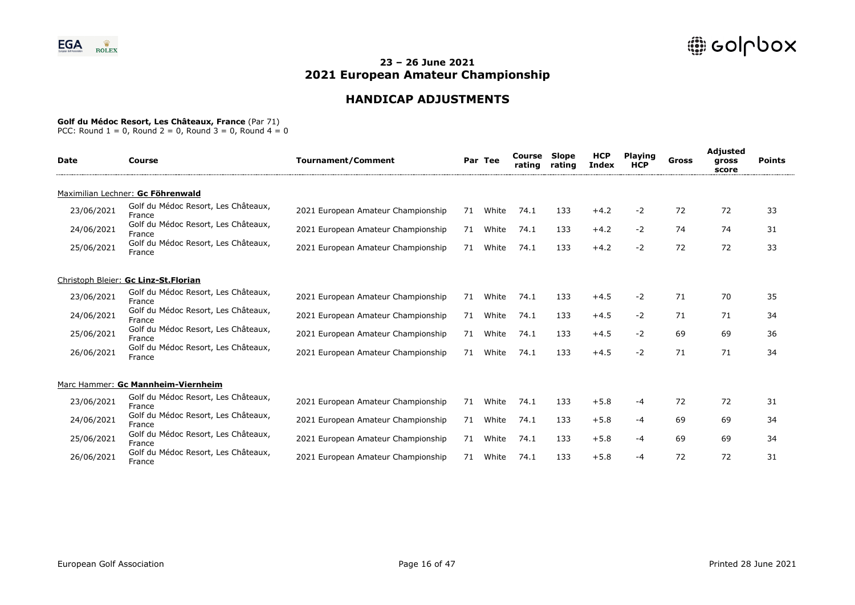# **HANDICAP ADJUSTMENTS**

### **Golf du Médoc Resort, Les Châteaux, France** (Par 71)

| <b>Date</b> | Course                                        | <b>Tournament/Comment</b>          |    | Par Tee | Course<br>rating | Slope<br>rating | <b>HCP</b><br><b>Index</b> | <b>Playing</b><br><b>HCP</b> | Gross | <b>Adjusted</b><br>gross<br>score | <b>Points</b> |
|-------------|-----------------------------------------------|------------------------------------|----|---------|------------------|-----------------|----------------------------|------------------------------|-------|-----------------------------------|---------------|
|             | Maximilian Lechner: Gc Föhrenwald             |                                    |    |         |                  |                 |                            |                              |       |                                   |               |
| 23/06/2021  | Golf du Médoc Resort, Les Châteaux,<br>France | 2021 European Amateur Championship | 71 | White   | 74.1             | 133             | $+4.2$                     | $-2$                         | 72    | 72                                | 33            |
| 24/06/2021  | Golf du Médoc Resort, Les Châteaux,<br>France | 2021 European Amateur Championship | 71 | White   | 74.1             | 133             | $+4.2$                     | $-2$                         | 74    | 74                                | 31            |
| 25/06/2021  | Golf du Médoc Resort, Les Châteaux,<br>France | 2021 European Amateur Championship | 71 | White   | 74.1             | 133             | $+4.2$                     | $-2$                         | 72    | 72                                | 33            |
|             | Christoph Bleier: Gc Linz-St.Florian          |                                    |    |         |                  |                 |                            |                              |       |                                   |               |
| 23/06/2021  | Golf du Médoc Resort, Les Châteaux,<br>France | 2021 European Amateur Championship | 71 | White   | 74.1             | 133             | $+4.5$                     | $-2$                         | 71    | 70                                | 35            |
| 24/06/2021  | Golf du Médoc Resort, Les Châteaux,<br>France | 2021 European Amateur Championship | 71 | White   | 74.1             | 133             | $+4.5$                     | $-2$                         | 71    | 71                                | 34            |
| 25/06/2021  | Golf du Médoc Resort, Les Châteaux,<br>France | 2021 European Amateur Championship | 71 | White   | 74.1             | 133             | $+4.5$                     | $-2$                         | 69    | 69                                | 36            |
| 26/06/2021  | Golf du Médoc Resort, Les Châteaux,<br>France | 2021 European Amateur Championship | 71 | White   | 74.1             | 133             | $+4.5$                     | $-2$                         | 71    | 71                                | 34            |
|             | Marc Hammer: Gc Mannheim-Viernheim            |                                    |    |         |                  |                 |                            |                              |       |                                   |               |
| 23/06/2021  | Golf du Médoc Resort, Les Châteaux,<br>France | 2021 European Amateur Championship | 71 | White   | 74.1             | 133             | $+5.8$                     | -4                           | 72    | 72                                | 31            |
| 24/06/2021  | Golf du Médoc Resort, Les Châteaux,<br>France | 2021 European Amateur Championship | 71 | White   | 74.1             | 133             | $+5.8$                     | -4                           | 69    | 69                                | 34            |
| 25/06/2021  | Golf du Médoc Resort, Les Châteaux,<br>France | 2021 European Amateur Championship | 71 | White   | 74.1             | 133             | $+5.8$                     | -4                           | 69    | 69                                | 34            |
| 26/06/2021  | Golf du Médoc Resort, Les Châteaux,<br>France | 2021 European Amateur Championship | 71 | White   | 74.1             | 133             | $+5.8$                     | -4                           | 72    | 72                                | 31            |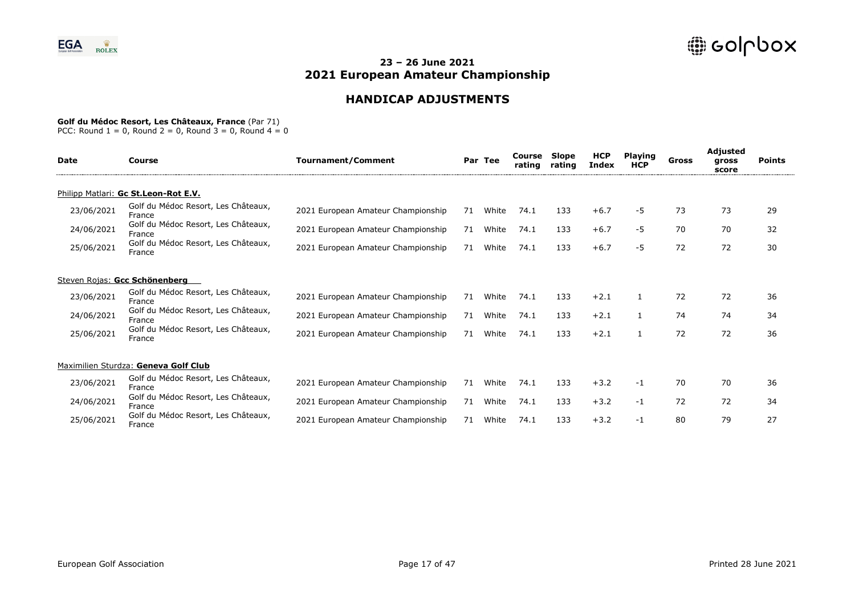# **HANDICAP ADJUSTMENTS**

### **Golf du Médoc Resort, Les Châteaux, France** (Par 71)

| <b>Date</b> | Course                                        | <b>Tournament/Comment</b>          |    | Par Tee | Course<br>rating | Slope<br>rating | <b>HCP</b><br>Index | <b>Playing</b><br><b>HCP</b> | Gross | Adjusted<br>gross<br>score | <b>Points</b> |
|-------------|-----------------------------------------------|------------------------------------|----|---------|------------------|-----------------|---------------------|------------------------------|-------|----------------------------|---------------|
|             | Philipp Matlari: Gc St.Leon-Rot E.V.          |                                    |    |         |                  |                 |                     |                              |       |                            |               |
| 23/06/2021  | Golf du Médoc Resort, Les Châteaux,<br>France | 2021 European Amateur Championship | 71 | White   | 74.1             | 133             | $+6.7$              | -5                           | 73    | 73                         | 29            |
| 24/06/2021  | Golf du Médoc Resort, Les Châteaux,<br>France | 2021 European Amateur Championship | 71 | White   | 74.1             | 133             | $+6.7$              | $-5$                         | 70    | 70                         | 32            |
| 25/06/2021  | Golf du Médoc Resort, Les Châteaux,<br>France | 2021 European Amateur Championship | 71 | White   | 74.1             | 133             | $+6.7$              | -5                           | 72    | 72                         | 30            |
|             | Steven Rojas: Gcc Schönenberg                 |                                    |    |         |                  |                 |                     |                              |       |                            |               |
| 23/06/2021  | Golf du Médoc Resort, Les Châteaux,<br>France | 2021 European Amateur Championship | 71 | White   | 74.1             | 133             | $+2.1$              | 1                            | 72    | 72                         | 36            |
| 24/06/2021  | Golf du Médoc Resort, Les Châteaux,<br>France | 2021 European Amateur Championship | 71 | White   | 74.1             | 133             | $+2.1$              |                              | 74    | 74                         | 34            |
| 25/06/2021  | Golf du Médoc Resort, Les Châteaux,<br>France | 2021 European Amateur Championship | 71 | White   | 74.1             | 133             | $+2.1$              | 1                            | 72    | 72                         | 36            |
|             | Maximilien Sturdza: Geneva Golf Club          |                                    |    |         |                  |                 |                     |                              |       |                            |               |
| 23/06/2021  | Golf du Médoc Resort, Les Châteaux,<br>France | 2021 European Amateur Championship | 71 | White   | 74.1             | 133             | $+3.2$              | $-1$                         | 70    | 70                         | 36            |
| 24/06/2021  | Golf du Médoc Resort, Les Châteaux,<br>France | 2021 European Amateur Championship | 71 | White   | 74.1             | 133             | $+3.2$              | -1                           | 72    | 72                         | 34            |
| 25/06/2021  | Golf du Médoc Resort, Les Châteaux,<br>France | 2021 European Amateur Championship | 71 | White   | 74.1             | 133             | $+3.2$              | $-1$                         | 80    | 79                         | 27            |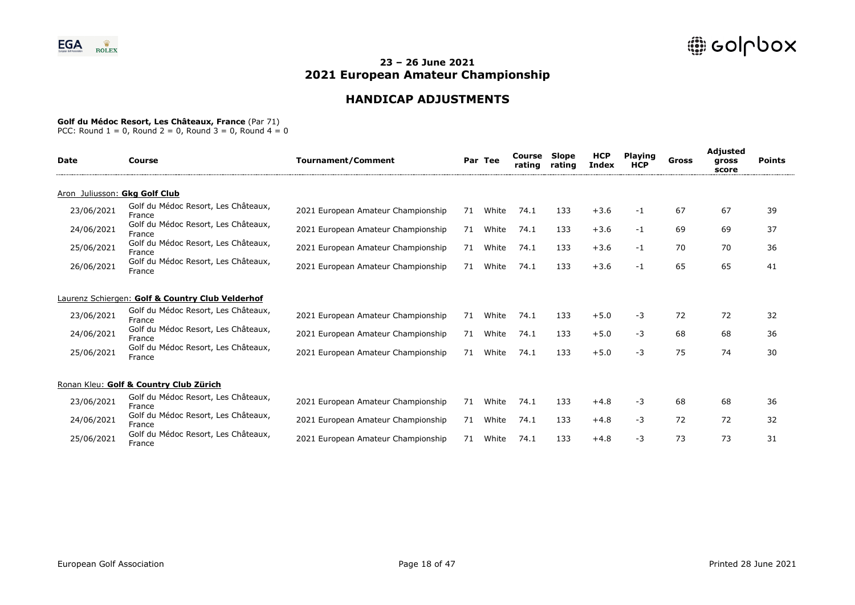# **HANDICAP ADJUSTMENTS**

### **Golf du Médoc Resort, Les Châteaux, France** (Par 71)

| <b>Date</b>                   | Course                                           | <b>Tournament/Comment</b>          |    | Par Tee | Course<br>rating | Slope<br>rating | <b>HCP</b><br><b>Index</b> | <b>Playing</b><br><b>HCP</b> | Gross | <b>Adjusted</b><br>gross<br>score | <b>Points</b> |
|-------------------------------|--------------------------------------------------|------------------------------------|----|---------|------------------|-----------------|----------------------------|------------------------------|-------|-----------------------------------|---------------|
| Aron Juliusson: Gkg Golf Club |                                                  |                                    |    |         |                  |                 |                            |                              |       |                                   |               |
| 23/06/2021                    | Golf du Médoc Resort, Les Châteaux,<br>France    | 2021 European Amateur Championship | 71 | White   | 74.1             | 133             | $+3.6$                     | -1                           | 67    | 67                                | 39            |
| 24/06/2021                    | Golf du Médoc Resort, Les Châteaux,<br>France    | 2021 European Amateur Championship | 71 | White   | 74.1             | 133             | $+3.6$                     | -1                           | 69    | 69                                | 37            |
| 25/06/2021                    | Golf du Médoc Resort, Les Châteaux,<br>France    | 2021 European Amateur Championship | 71 | White   | 74.1             | 133             | $+3.6$                     | -1                           | 70    | 70                                | 36            |
| 26/06/2021                    | Golf du Médoc Resort, Les Châteaux,<br>France    | 2021 European Amateur Championship | 71 | White   | 74.1             | 133             | $+3.6$                     | -1                           | 65    | 65                                | 41            |
|                               | Laurenz Schiergen: Golf & Country Club Velderhof |                                    |    |         |                  |                 |                            |                              |       |                                   |               |
| 23/06/2021                    | Golf du Médoc Resort, Les Châteaux,<br>France    | 2021 European Amateur Championship | 71 | White   | 74.1             | 133             | $+5.0$                     | $-3$                         | 72    | 72                                | 32            |
| 24/06/2021                    | Golf du Médoc Resort, Les Châteaux,<br>France    | 2021 European Amateur Championship | 71 | White   | 74.1             | 133             | $+5.0$                     | -3                           | 68    | 68                                | 36            |
| 25/06/2021                    | Golf du Médoc Resort, Les Châteaux,<br>France    | 2021 European Amateur Championship | 71 | White   | 74.1             | 133             | $+5.0$                     | -3                           | 75    | 74                                | 30            |
|                               | Ronan Kleu: Golf & Country Club Zürich           |                                    |    |         |                  |                 |                            |                              |       |                                   |               |
| 23/06/2021                    | Golf du Médoc Resort, Les Châteaux,<br>France    | 2021 European Amateur Championship | 71 | White   | 74.1             | 133             | $+4.8$                     | -3                           | 68    | 68                                | 36            |
| 24/06/2021                    | Golf du Médoc Resort, Les Châteaux,<br>France    | 2021 European Amateur Championship | 71 | White   | 74.1             | 133             | $+4.8$                     | -3                           | 72    | 72                                | 32            |
| 25/06/2021                    | Golf du Médoc Resort, Les Châteaux,<br>France    | 2021 European Amateur Championship | 71 | White   | 74.1             | 133             | $+4.8$                     | -3                           | 73    | 73                                | 31            |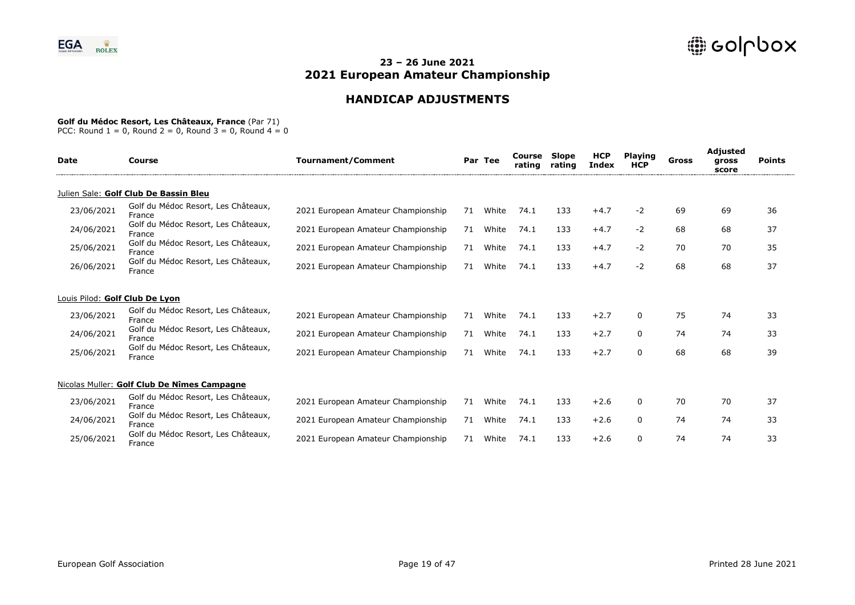# **HANDICAP ADJUSTMENTS**

### **Golf du Médoc Resort, Les Châteaux, France** (Par 71)

| <b>Date</b>                    | Course                                        | <b>Tournament/Comment</b>          |    | Par Tee | Course<br>rating | Slope<br>rating | <b>HCP</b><br>Index | <b>Playing</b><br><b>HCP</b> | Gross | Adjusted<br>gross<br>score | <b>Points</b> |  |
|--------------------------------|-----------------------------------------------|------------------------------------|----|---------|------------------|-----------------|---------------------|------------------------------|-------|----------------------------|---------------|--|
|                                | Julien Sale: Golf Club De Bassin Bleu         |                                    |    |         |                  |                 |                     |                              |       |                            |               |  |
| 23/06/2021                     | Golf du Médoc Resort, Les Châteaux,<br>France | 2021 European Amateur Championship | 71 | White   | 74.1             | 133             | $+4.7$              | $-2$                         | 69    | 69                         | 36            |  |
| 24/06/2021                     | Golf du Médoc Resort, Les Châteaux,<br>France | 2021 European Amateur Championship | 71 | White   | 74.1             | 133             | $+4.7$              | $-2$                         | 68    | 68                         | 37            |  |
| 25/06/2021                     | Golf du Médoc Resort, Les Châteaux,<br>France | 2021 European Amateur Championship | 71 | White   | 74.1             | 133             | $+4.7$              | $-2$                         | 70    | 70                         | 35            |  |
| 26/06/2021                     | Golf du Médoc Resort, Les Châteaux,<br>France | 2021 European Amateur Championship | 71 | White   | 74.1             | 133             | $+4.7$              | -2                           | 68    | 68                         | 37            |  |
| Louis Pilod: Golf Club De Lyon |                                               |                                    |    |         |                  |                 |                     |                              |       |                            |               |  |
| 23/06/2021                     | Golf du Médoc Resort, Les Châteaux,<br>France | 2021 European Amateur Championship | 71 | White   | 74.1             | 133             | $+2.7$              | 0                            | 75    | 74                         | 33            |  |
| 24/06/2021                     | Golf du Médoc Resort, Les Châteaux,<br>France | 2021 European Amateur Championship | 71 | White   | 74.1             | 133             | $+2.7$              | $\mathbf{0}$                 | 74    | 74                         | 33            |  |
| 25/06/2021                     | Golf du Médoc Resort, Les Châteaux,<br>France | 2021 European Amateur Championship | 71 | White   | 74.1             | 133             | $+2.7$              | $\Omega$                     | 68    | 68                         | 39            |  |
|                                | Nicolas Muller: Golf Club De Nîmes Campagne   |                                    |    |         |                  |                 |                     |                              |       |                            |               |  |
| 23/06/2021                     | Golf du Médoc Resort, Les Châteaux,<br>France | 2021 European Amateur Championship | 71 | White   | 74.1             | 133             | $+2.6$              | $\mathbf{0}$                 | 70    | 70                         | 37            |  |
| 24/06/2021                     | Golf du Médoc Resort, Les Châteaux,<br>France | 2021 European Amateur Championship | 71 | White   | 74.1             | 133             | $+2.6$              | 0                            | 74    | 74                         | 33            |  |
| 25/06/2021                     | Golf du Médoc Resort, Les Châteaux,<br>France | 2021 European Amateur Championship | 71 | White   | 74.1             | 133             | $+2.6$              | $\Omega$                     | 74    | 74                         | 33            |  |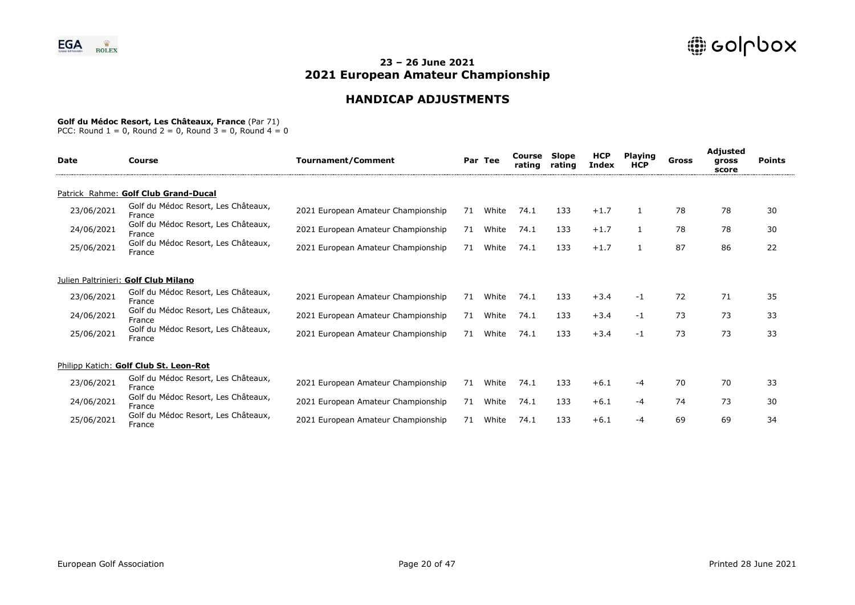# **HANDICAP ADJUSTMENTS**

#### **Golf du Médoc Resort, Les Châteaux, France** (Par 71)

| <b>Date</b> | Course                                        | <b>Tournament/Comment</b>          |    | Par Tee | Course<br>rating | Slope<br>rating | <b>HCP</b><br><b>Index</b> | <b>Playing</b><br><b>HCP</b> | Gross | Adjusted<br>gross<br>score | <b>Points</b> |
|-------------|-----------------------------------------------|------------------------------------|----|---------|------------------|-----------------|----------------------------|------------------------------|-------|----------------------------|---------------|
|             | Patrick Rahme: Golf Club Grand-Ducal          |                                    |    |         |                  |                 |                            |                              |       |                            |               |
| 23/06/2021  | Golf du Médoc Resort, Les Châteaux,<br>France | 2021 European Amateur Championship | 71 | White   | 74.1             | 133             | $+1.7$                     |                              | 78    | 78                         | 30            |
| 24/06/2021  | Golf du Médoc Resort, Les Châteaux,<br>France | 2021 European Amateur Championship | 71 | White   | 74.1             | 133             | $+1.7$                     |                              | 78    | 78                         | 30            |
| 25/06/2021  | Golf du Médoc Resort, Les Châteaux,<br>France | 2021 European Amateur Championship | 71 | White   | 74.1             | 133             | $+1.7$                     |                              | 87    | 86                         | 22            |
|             | Julien Paltrinieri: Golf Club Milano          |                                    |    |         |                  |                 |                            |                              |       |                            |               |
| 23/06/2021  | Golf du Médoc Resort, Les Châteaux,<br>France | 2021 European Amateur Championship | 71 | White   | 74.1             | 133             | $+3.4$                     | -1                           | 72    | 71                         | 35            |
| 24/06/2021  | Golf du Médoc Resort, Les Châteaux,<br>France | 2021 European Amateur Championship | 71 | White   | 74.1             | 133             | $+3.4$                     | -1                           | 73    | 73                         | 33            |
| 25/06/2021  | Golf du Médoc Resort, Les Châteaux,<br>France | 2021 European Amateur Championship | 71 | White   | 74.1             | 133             | $+3.4$                     | -1                           | 73    | 73                         | 33            |
|             | Philipp Katich: Golf Club St. Leon-Rot        |                                    |    |         |                  |                 |                            |                              |       |                            |               |
| 23/06/2021  | Golf du Médoc Resort, Les Châteaux,<br>France | 2021 European Amateur Championship | 71 | White   | 74.1             | 133             | $+6.1$                     | -4                           | 70    | 70                         | 33            |
| 24/06/2021  | Golf du Médoc Resort, Les Châteaux,<br>France | 2021 European Amateur Championship | 71 | White   | 74.1             | 133             | $+6.1$                     | -4                           | 74    | 73                         | 30            |
| 25/06/2021  | Golf du Médoc Resort, Les Châteaux,<br>France | 2021 European Amateur Championship | 71 | White   | 74.1             | 133             | $+6.1$                     | -4                           | 69    | 69                         | 34            |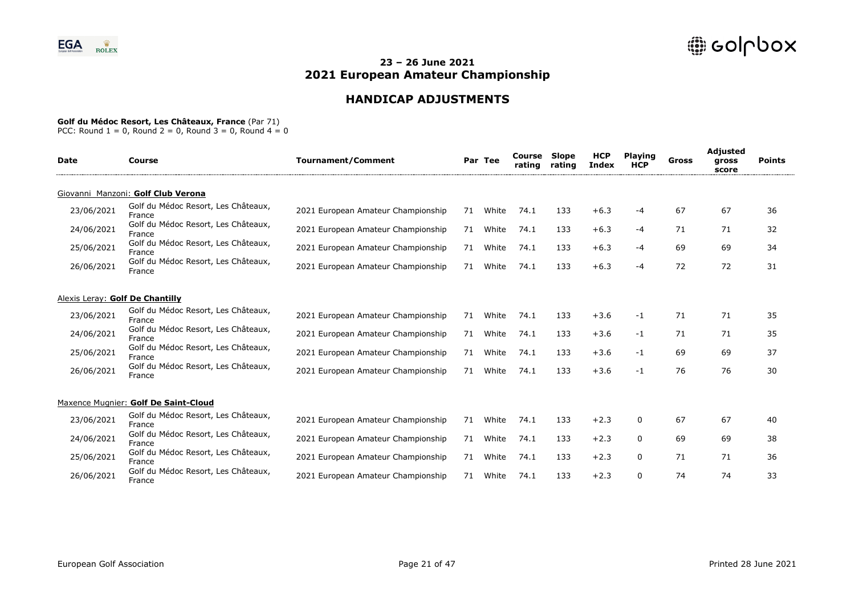# **HANDICAP ADJUSTMENTS**

### **Golf du Médoc Resort, Les Châteaux, France** (Par 71)

| <b>Date</b> | Course                                        | <b>Tournament/Comment</b>          |    | Par Tee | Course<br>rating | <b>Slope</b><br>rating | <b>HCP</b><br><b>Index</b> | <b>Playing</b><br><b>HCP</b> | Gross | Adjusted<br>gross<br>score | <b>Points</b> |
|-------------|-----------------------------------------------|------------------------------------|----|---------|------------------|------------------------|----------------------------|------------------------------|-------|----------------------------|---------------|
|             | Giovanni Manzoni: Golf Club Verona            |                                    |    |         |                  |                        |                            |                              |       |                            |               |
| 23/06/2021  | Golf du Médoc Resort, Les Châteaux,<br>France | 2021 European Amateur Championship | 71 | White   | 74.1             | 133                    | $+6.3$                     | $-4$                         | 67    | 67                         | 36            |
| 24/06/2021  | Golf du Médoc Resort, Les Châteaux,<br>France | 2021 European Amateur Championship | 71 | White   | 74.1             | 133                    | $+6.3$                     | -4                           | 71    | 71                         | 32            |
| 25/06/2021  | Golf du Médoc Resort, Les Châteaux,<br>France | 2021 European Amateur Championship | 71 | White   | 74.1             | 133                    | $+6.3$                     | -4                           | 69    | 69                         | 34            |
| 26/06/2021  | Golf du Médoc Resort, Les Châteaux,<br>France | 2021 European Amateur Championship | 71 | White   | 74.1             | 133                    | $+6.3$                     | $-4$                         | 72    | 72                         | 31            |
|             | Alexis Leray: Golf De Chantilly               |                                    |    |         |                  |                        |                            |                              |       |                            |               |
| 23/06/2021  | Golf du Médoc Resort, Les Châteaux,<br>France | 2021 European Amateur Championship | 71 | White   | 74.1             | 133                    | $+3.6$                     | $-1$                         | 71    | 71                         | 35            |
| 24/06/2021  | Golf du Médoc Resort, Les Châteaux,<br>France | 2021 European Amateur Championship | 71 | White   | 74.1             | 133                    | $+3.6$                     | $-1$                         | 71    | 71                         | 35            |
| 25/06/2021  | Golf du Médoc Resort, Les Châteaux,<br>France | 2021 European Amateur Championship | 71 | White   | 74.1             | 133                    | $+3.6$                     | -1                           | 69    | 69                         | 37            |
| 26/06/2021  | Golf du Médoc Resort, Les Châteaux,<br>France | 2021 European Amateur Championship | 71 | White   | 74.1             | 133                    | $+3.6$                     | -1                           | 76    | 76                         | 30            |
|             | Maxence Mugnier: Golf De Saint-Cloud          |                                    |    |         |                  |                        |                            |                              |       |                            |               |
| 23/06/2021  | Golf du Médoc Resort, Les Châteaux,<br>France | 2021 European Amateur Championship | 71 | White   | 74.1             | 133                    | $+2.3$                     | 0                            | 67    | 67                         | 40            |
| 24/06/2021  | Golf du Médoc Resort, Les Châteaux,<br>France | 2021 European Amateur Championship | 71 | White   | 74.1             | 133                    | $+2.3$                     | $\Omega$                     | 69    | 69                         | 38            |
| 25/06/2021  | Golf du Médoc Resort, Les Châteaux,<br>France | 2021 European Amateur Championship | 71 | White   | 74.1             | 133                    | $+2.3$                     | $\Omega$                     | 71    | 71                         | 36            |
| 26/06/2021  | Golf du Médoc Resort, Les Châteaux,<br>France | 2021 European Amateur Championship | 71 | White   | 74.1             | 133                    | $+2.3$                     | $\Omega$                     | 74    | 74                         | 33            |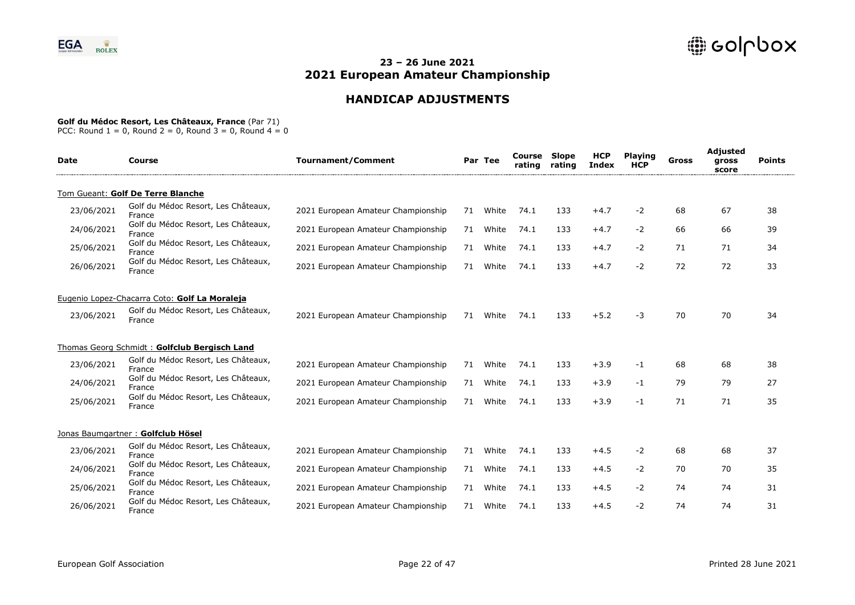# **HANDICAP ADJUSTMENTS**

#### **Golf du Médoc Resort, Les Châteaux, France** (Par 71)

| <b>Date</b> | Course                                        | <b>Tournament/Comment</b>          |    | Par Tee | Course<br>rating | Slope<br>rating | HCP<br>Index | <b>Playing</b><br><b>HCP</b> | Gross | <b>Adjusted</b><br>gross<br>score | <b>Points</b> |
|-------------|-----------------------------------------------|------------------------------------|----|---------|------------------|-----------------|--------------|------------------------------|-------|-----------------------------------|---------------|
|             | Tom Gueant: Golf De Terre Blanche             |                                    |    |         |                  |                 |              |                              |       |                                   |               |
| 23/06/2021  | Golf du Médoc Resort, Les Châteaux,<br>France | 2021 European Amateur Championship | 71 | White   | 74.1             | 133             | $+4.7$       | -2                           | 68    | 67                                | 38            |
| 24/06/2021  | Golf du Médoc Resort, Les Châteaux,<br>France | 2021 European Amateur Championship | 71 | White   | 74.1             | 133             | $+4.7$       | $-2$                         | 66    | 66                                | 39            |
| 25/06/2021  | Golf du Médoc Resort, Les Châteaux,<br>France | 2021 European Amateur Championship | 71 | White   | 74.1             | 133             | $+4.7$       | -2                           | 71    | 71                                | 34            |
| 26/06/2021  | Golf du Médoc Resort, Les Châteaux,<br>France | 2021 European Amateur Championship | 71 | White   | 74.1             | 133             | $+4.7$       | $-2$                         | 72    | 72                                | 33            |
|             | Eugenio Lopez-Chacarra Coto: Golf La Moraleja |                                    |    |         |                  |                 |              |                              |       |                                   |               |
| 23/06/2021  | Golf du Médoc Resort, Les Châteaux,<br>France | 2021 European Amateur Championship | 71 | White   | 74.1             | 133             | $+5.2$       | $-3$                         | 70    | 70                                | 34            |
|             | Thomas Georg Schmidt: Golfclub Bergisch Land  |                                    |    |         |                  |                 |              |                              |       |                                   |               |
| 23/06/2021  | Golf du Médoc Resort, Les Châteaux,<br>France | 2021 European Amateur Championship | 71 | White   | 74.1             | 133             | $+3.9$       | -1                           | 68    | 68                                | 38            |
| 24/06/2021  | Golf du Médoc Resort, Les Châteaux,<br>France | 2021 European Amateur Championship | 71 | White   | 74.1             | 133             | $+3.9$       | -1                           | 79    | 79                                | 27            |
| 25/06/2021  | Golf du Médoc Resort, Les Châteaux,<br>France | 2021 European Amateur Championship | 71 | White   | 74.1             | 133             | $+3.9$       | $-1$                         | 71    | 71                                | 35            |
|             | Jonas Baumgartner: Golfclub Hösel             |                                    |    |         |                  |                 |              |                              |       |                                   |               |
| 23/06/2021  | Golf du Médoc Resort, Les Châteaux,<br>France | 2021 European Amateur Championship | 71 | White   | 74.1             | 133             | $+4.5$       | $-2$                         | 68    | 68                                | 37            |
| 24/06/2021  | Golf du Médoc Resort, Les Châteaux,<br>France | 2021 European Amateur Championship | 71 | White   | 74.1             | 133             | $+4.5$       | $-2$                         | 70    | 70                                | 35            |
| 25/06/2021  | Golf du Médoc Resort, Les Châteaux,<br>France | 2021 European Amateur Championship | 71 | White   | 74.1             | 133             | $+4.5$       | $-2$                         | 74    | 74                                | 31            |
| 26/06/2021  | Golf du Médoc Resort, Les Châteaux,<br>France | 2021 European Amateur Championship | 71 | White   | 74.1             | 133             | $+4.5$       | -2                           | 74    | 74                                | 31            |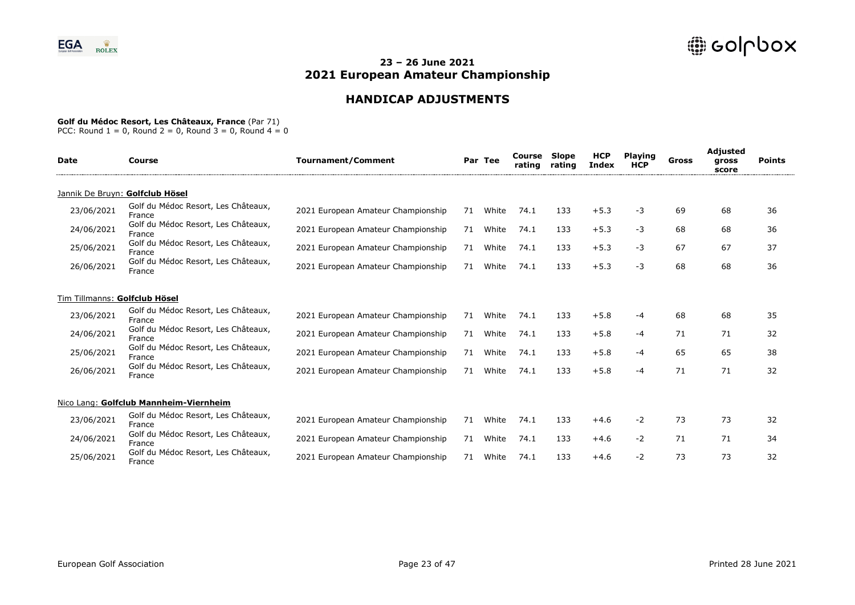# **HANDICAP ADJUSTMENTS**

### **Golf du Médoc Resort, Les Châteaux, France** (Par 71)

| Date                          | Course                                        | <b>Tournament/Comment</b>          |    | Par Tee | Course<br>rating | <b>Slope</b><br>rating | <b>HCP</b><br><b>Index</b> | <b>Playing</b><br><b>HCP</b> | Gross | <b>Adjusted</b><br>gross<br>score | <b>Points</b> |
|-------------------------------|-----------------------------------------------|------------------------------------|----|---------|------------------|------------------------|----------------------------|------------------------------|-------|-----------------------------------|---------------|
|                               | Jannik De Bruyn: Golfclub Hösel               |                                    |    |         |                  |                        |                            |                              |       |                                   |               |
| 23/06/2021                    | Golf du Médoc Resort, Les Châteaux,<br>France | 2021 European Amateur Championship | 71 | White   | 74.1             | 133                    | $+5.3$                     | -3                           | 69    | 68                                | 36            |
| 24/06/2021                    | Golf du Médoc Resort, Les Châteaux,<br>France | 2021 European Amateur Championship | 71 | White   | 74.1             | 133                    | $+5.3$                     | -3                           | 68    | 68                                | 36            |
| 25/06/2021                    | Golf du Médoc Resort, Les Châteaux,<br>France | 2021 European Amateur Championship | 71 | White   | 74.1             | 133                    | $+5.3$                     | -3                           | 67    | 67                                | 37            |
| 26/06/2021                    | Golf du Médoc Resort, Les Châteaux,<br>France | 2021 European Amateur Championship | 71 | White   | 74.1             | 133                    | $+5.3$                     | $-3$                         | 68    | 68                                | 36            |
| Tim Tillmanns: Golfclub Hösel |                                               |                                    |    |         |                  |                        |                            |                              |       |                                   |               |
| 23/06/2021                    | Golf du Médoc Resort, Les Châteaux,<br>France | 2021 European Amateur Championship | 71 | White   | 74.1             | 133                    | $+5.8$                     | -4                           | 68    | 68                                | 35            |
| 24/06/2021                    | Golf du Médoc Resort, Les Châteaux,<br>France | 2021 European Amateur Championship | 71 | White   | 74.1             | 133                    | $+5.8$                     | $-4$                         | 71    | 71                                | 32            |
| 25/06/2021                    | Golf du Médoc Resort, Les Châteaux,<br>France | 2021 European Amateur Championship | 71 | White   | 74.1             | 133                    | $+5.8$                     | -4                           | 65    | 65                                | 38            |
| 26/06/2021                    | Golf du Médoc Resort, Les Châteaux,<br>France | 2021 European Amateur Championship | 71 | White   | 74.1             | 133                    | $+5.8$                     | -4                           | 71    | 71                                | 32            |
|                               | Nico Lang: Golfclub Mannheim-Viernheim        |                                    |    |         |                  |                        |                            |                              |       |                                   |               |
| 23/06/2021                    | Golf du Médoc Resort, Les Châteaux,<br>France | 2021 European Amateur Championship | 71 | White   | 74.1             | 133                    | $+4.6$                     | $-2$                         | 73    | 73                                | 32            |
| 24/06/2021                    | Golf du Médoc Resort, Les Châteaux,<br>France | 2021 European Amateur Championship | 71 | White   | 74.1             | 133                    | $+4.6$                     | $-2$                         | 71    | 71                                | 34            |
| 25/06/2021                    | Golf du Médoc Resort, Les Châteaux,<br>France | 2021 European Amateur Championship | 71 | White   | 74.1             | 133                    | $+4.6$                     | $-2$                         | 73    | 73                                | 32            |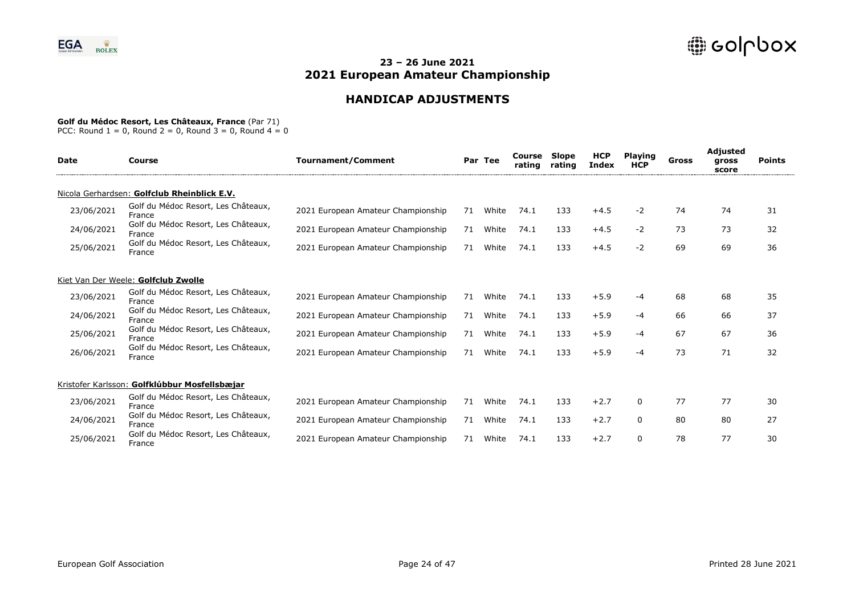# **HANDICAP ADJUSTMENTS**

#### **Golf du Médoc Resort, Les Châteaux, France** (Par 71)

| <b>Date</b> | Course                                        | <b>Tournament/Comment</b>          |    | Par Tee | Course<br>rating | <b>Slope</b><br>rating | <b>HCP</b><br>Index | <b>Playing</b><br><b>HCP</b> | Gross | Adjusted<br>gross<br>score | <b>Points</b> |
|-------------|-----------------------------------------------|------------------------------------|----|---------|------------------|------------------------|---------------------|------------------------------|-------|----------------------------|---------------|
|             | Nicola Gerhardsen: Golfclub Rheinblick E.V.   |                                    |    |         |                  |                        |                     |                              |       |                            |               |
| 23/06/2021  | Golf du Médoc Resort, Les Châteaux,<br>France | 2021 European Amateur Championship | 71 | White   | 74.1             | 133                    | $+4.5$              | $-2$                         | 74    | 74                         | 31            |
| 24/06/2021  | Golf du Médoc Resort, Les Châteaux,<br>France | 2021 European Amateur Championship | 71 | White   | 74.1             | 133                    | $+4.5$              | $-2$                         | 73    | 73                         | 32            |
| 25/06/2021  | Golf du Médoc Resort, Les Châteaux,<br>France | 2021 European Amateur Championship | 71 | White   | 74.1             | 133                    | $+4.5$              | $-2$                         | 69    | 69                         | 36            |
|             | Kiet Van Der Weele: Golfclub Zwolle           |                                    |    |         |                  |                        |                     |                              |       |                            |               |
| 23/06/2021  | Golf du Médoc Resort, Les Châteaux,<br>France | 2021 European Amateur Championship | 71 | White   | 74.1             | 133                    | $+5.9$              | -4                           | 68    | 68                         | 35            |
| 24/06/2021  | Golf du Médoc Resort, Les Châteaux,<br>France | 2021 European Amateur Championship | 71 | White   | 74.1             | 133                    | $+5.9$              | -4                           | 66    | 66                         | 37            |
| 25/06/2021  | Golf du Médoc Resort, Les Châteaux,<br>France | 2021 European Amateur Championship | 71 | White   | 74.1             | 133                    | $+5.9$              | -4                           | 67    | 67                         | 36            |
| 26/06/2021  | Golf du Médoc Resort, Les Châteaux,<br>France | 2021 European Amateur Championship | 71 | White   | 74.1             | 133                    | $+5.9$              | -4                           | 73    | 71                         | 32            |
|             | Kristofer Karlsson: Golfklúbbur Mosfellsbæjar |                                    |    |         |                  |                        |                     |                              |       |                            |               |
| 23/06/2021  | Golf du Médoc Resort, Les Châteaux,<br>France | 2021 European Amateur Championship | 71 | White   | 74.1             | 133                    | $+2.7$              | $\mathbf{0}$                 | 77    | 77                         | 30            |
| 24/06/2021  | Golf du Médoc Resort, Les Châteaux,<br>France | 2021 European Amateur Championship | 71 | White   | 74.1             | 133                    | $+2.7$              | 0                            | 80    | 80                         | 27            |
| 25/06/2021  | Golf du Médoc Resort, Les Châteaux,<br>France | 2021 European Amateur Championship | 71 | White   | 74.1             | 133                    | $+2.7$              | $\Omega$                     | 78    | 77                         | 30            |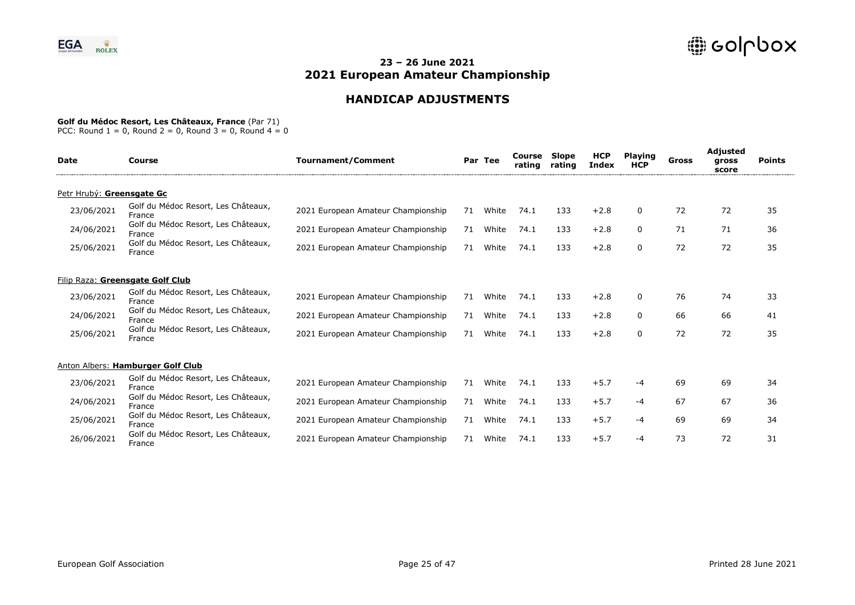# **HANDICAP ADJUSTMENTS**

### **Golf du Médoc Resort, Les Châteaux, France** (Par 71)

| Date                             | Course                                        | <b>Tournament/Comment</b>          |    | Par Tee | Course<br>rating | Slope<br>rating | <b>HCP</b><br><b>Index</b> | <b>Playing</b><br><b>HCP</b> | Gross | <b>Adjusted</b><br>gross<br>score | <b>Points</b> |
|----------------------------------|-----------------------------------------------|------------------------------------|----|---------|------------------|-----------------|----------------------------|------------------------------|-------|-----------------------------------|---------------|
| Petr Hrubý: Greensgate Gc        |                                               |                                    |    |         |                  |                 |                            |                              |       |                                   |               |
| 23/06/2021                       | Golf du Médoc Resort, Les Châteaux,<br>France | 2021 European Amateur Championship | 71 | White   | 74.1             | 133             | $+2.8$                     | 0                            | 72    | 72                                | 35            |
| 24/06/2021                       | Golf du Médoc Resort, Les Châteaux,<br>France | 2021 European Amateur Championship | 71 | White   | 74.1             | 133             | $+2.8$                     | $\Omega$                     | 71    | 71                                | 36            |
| 25/06/2021                       | Golf du Médoc Resort, Les Châteaux,<br>France | 2021 European Amateur Championship | 71 | White   | 74.1             | 133             | $+2.8$                     | 0                            | 72    | 72                                | 35            |
| Filip Raza: Greensgate Golf Club |                                               |                                    |    |         |                  |                 |                            |                              |       |                                   |               |
| 23/06/2021                       | Golf du Médoc Resort, Les Châteaux,<br>France | 2021 European Amateur Championship | 71 | White   | 74.1             | 133             | $+2.8$                     | 0                            | 76    | 74                                | 33            |
| 24/06/2021                       | Golf du Médoc Resort, Les Châteaux,<br>France | 2021 European Amateur Championship | 71 | White   | 74.1             | 133             | $+2.8$                     | $\Omega$                     | 66    | 66                                | 41            |
| 25/06/2021                       | Golf du Médoc Resort, Les Châteaux,<br>France | 2021 European Amateur Championship | 71 | White   | 74.1             | 133             | $+2.8$                     | 0                            | 72    | 72                                | 35            |
|                                  | Anton Albers: Hamburger Golf Club             |                                    |    |         |                  |                 |                            |                              |       |                                   |               |
| 23/06/2021                       | Golf du Médoc Resort, Les Châteaux,<br>France | 2021 European Amateur Championship | 71 | White   | 74.1             | 133             | $+5.7$                     | -4                           | 69    | 69                                | 34            |
| 24/06/2021                       | Golf du Médoc Resort, Les Châteaux,<br>France | 2021 European Amateur Championship | 71 | White   | 74.1             | 133             | $+5.7$                     | -4                           | 67    | 67                                | 36            |
| 25/06/2021                       | Golf du Médoc Resort, Les Châteaux,<br>France | 2021 European Amateur Championship | 71 | White   | 74.1             | 133             | $+5.7$                     | -4                           | 69    | 69                                | 34            |
| 26/06/2021                       | Golf du Médoc Resort, Les Châteaux,<br>France | 2021 European Amateur Championship | 71 | White   | 74.1             | 133             | $+5.7$                     | -4                           | 73    | 72                                | 31            |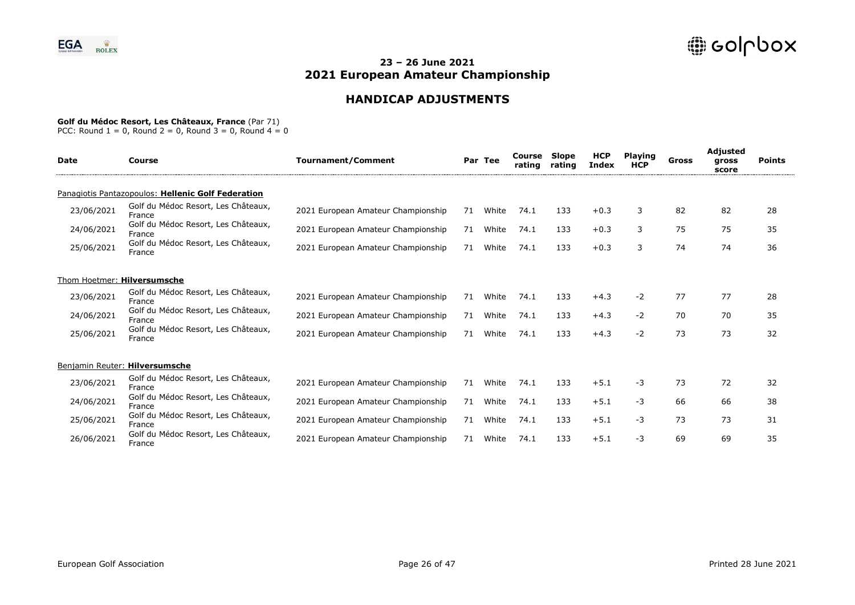# **HANDICAP ADJUSTMENTS**

#### **Golf du Médoc Resort, Les Châteaux, France** (Par 71)

| Date                           | Course                                             | <b>Tournament/Comment</b>          |    | Par Tee | Course<br>rating | <b>Slope</b><br>rating | <b>HCP</b><br>Index | <b>Playing</b><br><b>HCP</b> | Gross | <b>Adjusted</b><br>gross<br>score | <b>Points</b> |
|--------------------------------|----------------------------------------------------|------------------------------------|----|---------|------------------|------------------------|---------------------|------------------------------|-------|-----------------------------------|---------------|
|                                | Panagiotis Pantazopoulos: Hellenic Golf Federation |                                    |    |         |                  |                        |                     |                              |       |                                   |               |
| 23/06/2021                     | Golf du Médoc Resort, Les Châteaux,<br>France      | 2021 European Amateur Championship | 71 | White   | 74.1             | 133                    | $+0.3$              | 3                            | 82    | 82                                | 28            |
| 24/06/2021                     | Golf du Médoc Resort, Les Châteaux,<br>France      | 2021 European Amateur Championship | 71 | White   | 74.1             | 133                    | $+0.3$              | 3                            | 75    | 75                                | 35            |
| 25/06/2021                     | Golf du Médoc Resort, Les Châteaux,<br>France      | 2021 European Amateur Championship | 71 | White   | 74.1             | 133                    | $+0.3$              | 3                            | 74    | 74                                | 36            |
| Thom Hoetmer: Hilversumsche    |                                                    |                                    |    |         |                  |                        |                     |                              |       |                                   |               |
| 23/06/2021                     | Golf du Médoc Resort, Les Châteaux,<br>France      | 2021 European Amateur Championship | 71 | White   | 74.1             | 133                    | $+4.3$              | -2                           | 77    | 77                                | 28            |
| 24/06/2021                     | Golf du Médoc Resort, Les Châteaux,<br>France      | 2021 European Amateur Championship | 71 | White   | 74.1             | 133                    | $+4.3$              | -2                           | 70    | 70                                | 35            |
| 25/06/2021                     | Golf du Médoc Resort, Les Châteaux,<br>France      | 2021 European Amateur Championship | 71 | White   | 74.1             | 133                    | $+4.3$              | -2                           | 73    | 73                                | 32            |
| Benjamin Reuter: Hilversumsche |                                                    |                                    |    |         |                  |                        |                     |                              |       |                                   |               |
| 23/06/2021                     | Golf du Médoc Resort, Les Châteaux,<br>France      | 2021 European Amateur Championship | 71 | White   | 74.1             | 133                    | $+5.1$              | $-3$                         | 73    | 72                                | 32            |
| 24/06/2021                     | Golf du Médoc Resort, Les Châteaux,<br>France      | 2021 European Amateur Championship | 71 | White   | 74.1             | 133                    | $+5.1$              | -3                           | 66    | 66                                | 38            |
| 25/06/2021                     | Golf du Médoc Resort, Les Châteaux,<br>France      | 2021 European Amateur Championship | 71 | White   | 74.1             | 133                    | $+5.1$              | -3                           | 73    | 73                                | 31            |
| 26/06/2021                     | Golf du Médoc Resort, Les Châteaux,<br>France      | 2021 European Amateur Championship | 71 | White   | 74.1             | 133                    | $+5.1$              | -3                           | 69    | 69                                | 35            |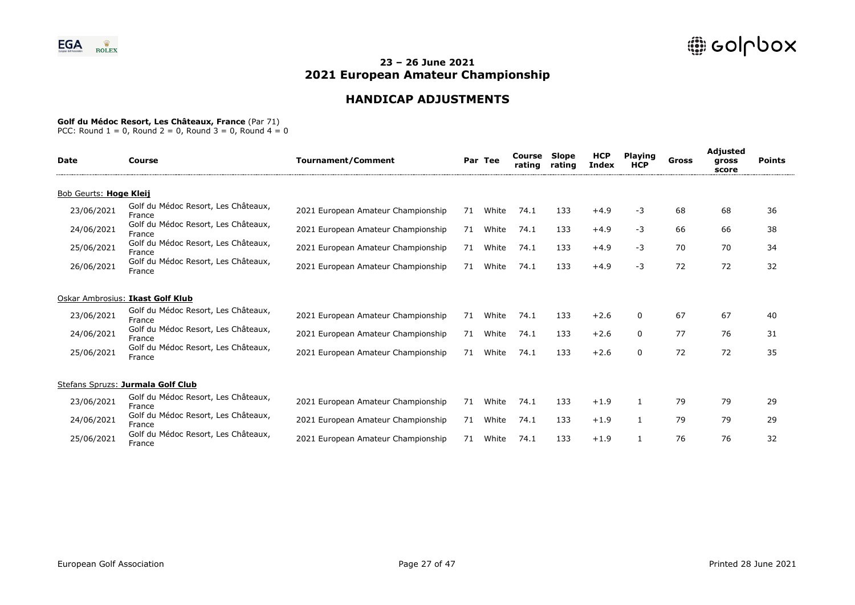# **HANDICAP ADJUSTMENTS**

### **Golf du Médoc Resort, Les Châteaux, France** (Par 71)

| <b>Date</b>            | Course                                        | <b>Tournament/Comment</b>          |    | Par Tee | Course<br>rating | Slope<br>rating | <b>HCP</b><br><b>Index</b> | <b>Playing</b><br><b>HCP</b> | Gross | <b>Adjusted</b><br>gross<br>score | <b>Points</b> |
|------------------------|-----------------------------------------------|------------------------------------|----|---------|------------------|-----------------|----------------------------|------------------------------|-------|-----------------------------------|---------------|
| Bob Geurts: Hoge Kleij |                                               |                                    |    |         |                  |                 |                            |                              |       |                                   |               |
| 23/06/2021             | Golf du Médoc Resort, Les Châteaux,<br>France | 2021 European Amateur Championship | 71 | White   | 74.1             | 133             | $+4.9$                     | -3                           | 68    | 68                                | 36            |
| 24/06/2021             | Golf du Médoc Resort, Les Châteaux,<br>France | 2021 European Amateur Championship | 71 | White   | 74.1             | 133             | $+4.9$                     | $-3$                         | 66    | 66                                | 38            |
| 25/06/2021             | Golf du Médoc Resort, Les Châteaux,<br>France | 2021 European Amateur Championship | 71 | White   | 74.1             | 133             | $+4.9$                     | -3                           | 70    | 70                                | 34            |
| 26/06/2021             | Golf du Médoc Resort, Les Châteaux,<br>France | 2021 European Amateur Championship | 71 | White   | 74.1             | 133             | $+4.9$                     | $-3$                         | 72    | 72                                | 32            |
|                        | Oskar Ambrosius: Ikast Golf Klub              |                                    |    |         |                  |                 |                            |                              |       |                                   |               |
| 23/06/2021             | Golf du Médoc Resort, Les Châteaux,<br>France | 2021 European Amateur Championship | 71 | White   | 74.1             | 133             | $+2.6$                     | $\Omega$                     | 67    | 67                                | 40            |
| 24/06/2021             | Golf du Médoc Resort, Les Châteaux,<br>France | 2021 European Amateur Championship | 71 | White   | 74.1             | 133             | $+2.6$                     | 0                            | 77    | 76                                | 31            |
| 25/06/2021             | Golf du Médoc Resort, Les Châteaux,<br>France | 2021 European Amateur Championship | 71 | White   | 74.1             | 133             | $+2.6$                     | 0                            | 72    | 72                                | 35            |
|                        | Stefans Spruzs: Jurmala Golf Club             |                                    |    |         |                  |                 |                            |                              |       |                                   |               |
| 23/06/2021             | Golf du Médoc Resort, Les Châteaux,<br>France | 2021 European Amateur Championship | 71 | White   | 74.1             | 133             | $+1.9$                     |                              | 79    | 79                                | 29            |
| 24/06/2021             | Golf du Médoc Resort, Les Châteaux,<br>France | 2021 European Amateur Championship | 71 | White   | 74.1             | 133             | $+1.9$                     | 1                            | 79    | 79                                | 29            |
| 25/06/2021             | Golf du Médoc Resort, Les Châteaux,<br>France | 2021 European Amateur Championship | 71 | White   | 74.1             | 133             | $+1.9$                     |                              | 76    | 76                                | 32            |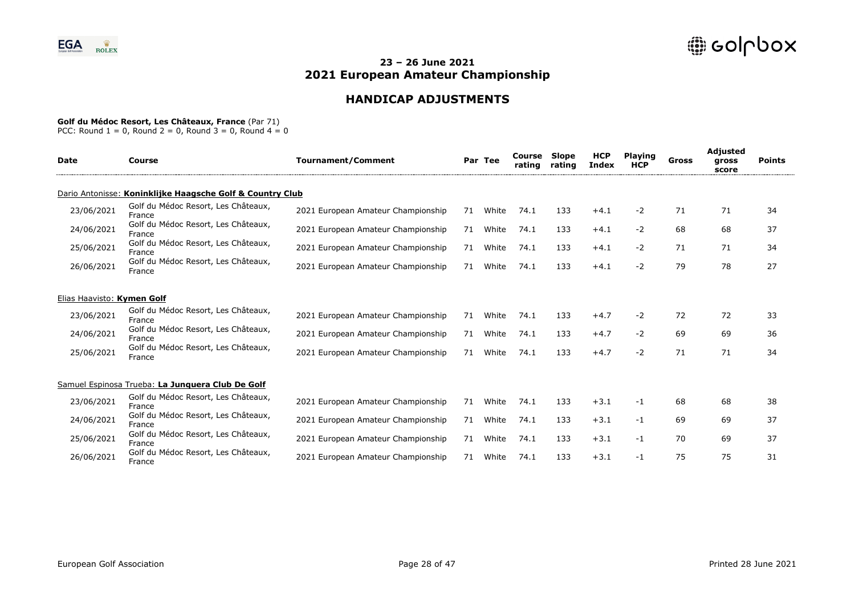# **HANDICAP ADJUSTMENTS**

### **Golf du Médoc Resort, Les Châteaux, France** (Par 71)

| <b>Date</b>                | Course                                                    | <b>Tournament/Comment</b>          |    | Par Tee | Course<br>rating | Slope<br>rating | <b>HCP</b><br><b>Index</b> | <b>Playing</b><br><b>HCP</b> | Gross | <b>Adjusted</b><br>gross<br>score | <b>Points</b> |
|----------------------------|-----------------------------------------------------------|------------------------------------|----|---------|------------------|-----------------|----------------------------|------------------------------|-------|-----------------------------------|---------------|
|                            | Dario Antonisse: Koninklijke Haagsche Golf & Country Club |                                    |    |         |                  |                 |                            |                              |       |                                   |               |
| 23/06/2021                 | Golf du Médoc Resort, Les Châteaux,<br>France             | 2021 European Amateur Championship | 71 | White   | 74.1             | 133             | $+4.1$                     | $-2$                         | 71    | 71                                | 34            |
| 24/06/2021                 | Golf du Médoc Resort, Les Châteaux,<br>France             | 2021 European Amateur Championship | 71 | White   | 74.1             | 133             | $+4.1$                     | $-2$                         | 68    | 68                                | 37            |
| 25/06/2021                 | Golf du Médoc Resort, Les Châteaux,<br>France             | 2021 European Amateur Championship | 71 | White   | 74.1             | 133             | $+4.1$                     | $-2$                         | 71    | 71                                | 34            |
| 26/06/2021                 | Golf du Médoc Resort, Les Châteaux,<br>France             | 2021 European Amateur Championship | 71 | White   | 74.1             | 133             | $+4.1$                     | $-2$                         | 79    | 78                                | 27            |
| Elias Haavisto: Kymen Golf |                                                           |                                    |    |         |                  |                 |                            |                              |       |                                   |               |
| 23/06/2021                 | Golf du Médoc Resort, Les Châteaux,<br>France             | 2021 European Amateur Championship | 71 | White   | 74.1             | 133             | $+4.7$                     | $-2$                         | 72    | 72                                | 33            |
| 24/06/2021                 | Golf du Médoc Resort, Les Châteaux,<br>France             | 2021 European Amateur Championship | 71 | White   | 74.1             | 133             | $+4.7$                     | $-2$                         | 69    | 69                                | 36            |
| 25/06/2021                 | Golf du Médoc Resort, Les Châteaux,<br>France             | 2021 European Amateur Championship | 71 | White   | 74.1             | 133             | $+4.7$                     | $-2$                         | 71    | 71                                | 34            |
|                            | Samuel Espinosa Trueba: La Junquera Club De Golf          |                                    |    |         |                  |                 |                            |                              |       |                                   |               |
| 23/06/2021                 | Golf du Médoc Resort, Les Châteaux,<br>France             | 2021 European Amateur Championship | 71 | White   | 74.1             | 133             | $+3.1$                     | $-1$                         | 68    | 68                                | 38            |
| 24/06/2021                 | Golf du Médoc Resort, Les Châteaux,<br>France             | 2021 European Amateur Championship | 71 | White   | 74.1             | 133             | $+3.1$                     | -1                           | 69    | 69                                | 37            |
| 25/06/2021                 | Golf du Médoc Resort, Les Châteaux,<br>France             | 2021 European Amateur Championship | 71 | White   | 74.1             | 133             | $+3.1$                     | -1                           | 70    | 69                                | 37            |
| 26/06/2021                 | Golf du Médoc Resort, Les Châteaux,<br>France             | 2021 European Amateur Championship | 71 | White   | 74.1             | 133             | $+3.1$                     | -1                           | 75    | 75                                | 31            |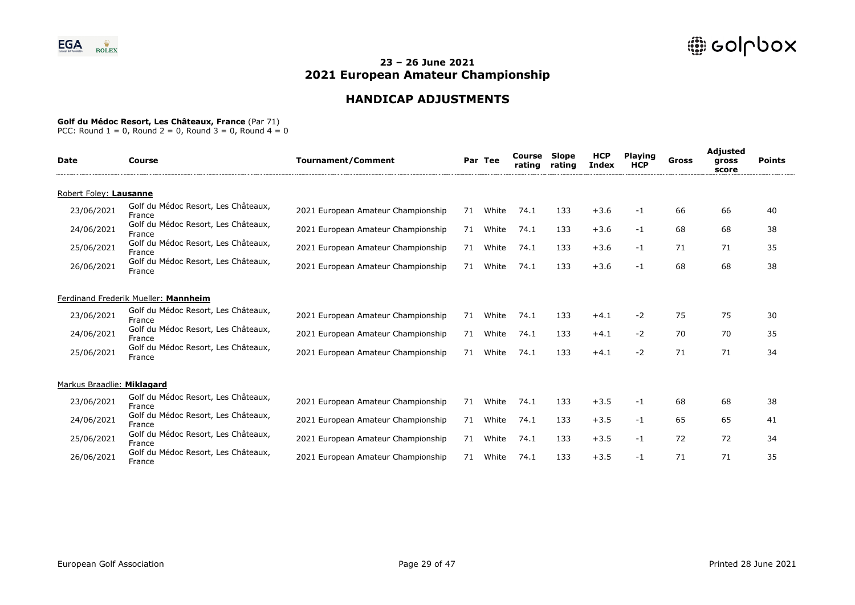# **HANDICAP ADJUSTMENTS**

### **Golf du Médoc Resort, Les Châteaux, France** (Par 71)

| <b>Date</b>                | Course                                        | <b>Tournament/Comment</b>          |    | Par Tee | Course<br>rating | Slope<br>rating | <b>HCP</b><br><b>Index</b> | <b>Playing</b><br><b>HCP</b> | Gross | <b>Adjusted</b><br>gross<br>score | <b>Points</b> |
|----------------------------|-----------------------------------------------|------------------------------------|----|---------|------------------|-----------------|----------------------------|------------------------------|-------|-----------------------------------|---------------|
| Robert Foley: Lausanne     |                                               |                                    |    |         |                  |                 |                            |                              |       |                                   |               |
| 23/06/2021                 | Golf du Médoc Resort, Les Châteaux,<br>France | 2021 European Amateur Championship | 71 | White   | 74.1             | 133             | $+3.6$                     | $-1$                         | 66    | 66                                | 40            |
| 24/06/2021                 | Golf du Médoc Resort, Les Châteaux,<br>France | 2021 European Amateur Championship | 71 | White   | 74.1             | 133             | $+3.6$                     | $-1$                         | 68    | 68                                | 38            |
| 25/06/2021                 | Golf du Médoc Resort, Les Châteaux,<br>France | 2021 European Amateur Championship | 71 | White   | 74.1             | 133             | $+3.6$                     | $-1$                         | 71    | 71                                | 35            |
| 26/06/2021                 | Golf du Médoc Resort, Les Châteaux,<br>France | 2021 European Amateur Championship | 71 | White   | 74.1             | 133             | $+3.6$                     | $-1$                         | 68    | 68                                | 38            |
|                            | Ferdinand Frederik Mueller: Mannheim          |                                    |    |         |                  |                 |                            |                              |       |                                   |               |
| 23/06/2021                 | Golf du Médoc Resort, Les Châteaux,<br>France | 2021 European Amateur Championship | 71 | White   | 74.1             | 133             | $+4.1$                     | $-2$                         | 75    | 75                                | 30            |
| 24/06/2021                 | Golf du Médoc Resort, Les Châteaux,<br>France | 2021 European Amateur Championship | 71 | White   | 74.1             | 133             | $+4.1$                     | $-2$                         | 70    | 70                                | 35            |
| 25/06/2021                 | Golf du Médoc Resort, Les Châteaux,<br>France | 2021 European Amateur Championship | 71 | White   | 74.1             | 133             | $+4.1$                     | $-2$                         | 71    | 71                                | 34            |
| Markus Braadlie: Miklagard |                                               |                                    |    |         |                  |                 |                            |                              |       |                                   |               |
| 23/06/2021                 | Golf du Médoc Resort, Les Châteaux,<br>France | 2021 European Amateur Championship | 71 | White   | 74.1             | 133             | $+3.5$                     | $-1$                         | 68    | 68                                | 38            |
| 24/06/2021                 | Golf du Médoc Resort, Les Châteaux,<br>France | 2021 European Amateur Championship | 71 | White   | 74.1             | 133             | $+3.5$                     | $-1$                         | 65    | 65                                | 41            |
| 25/06/2021                 | Golf du Médoc Resort, Les Châteaux,<br>France | 2021 European Amateur Championship | 71 | White   | 74.1             | 133             | $+3.5$                     | $-1$                         | 72    | 72                                | 34            |
| 26/06/2021                 | Golf du Médoc Resort, Les Châteaux,<br>France | 2021 European Amateur Championship | 71 | White   | 74.1             | 133             | $+3.5$                     | $-1$                         | 71    | 71                                | 35            |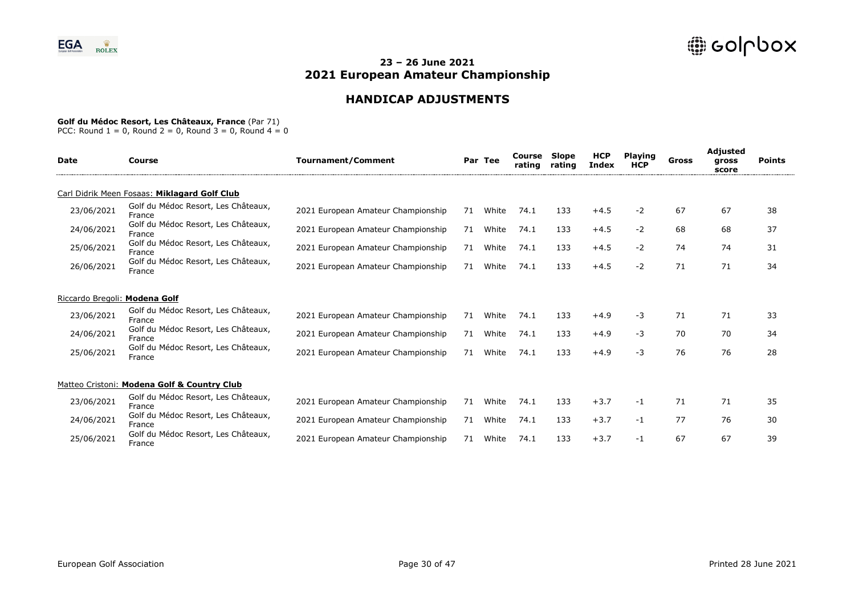# **HANDICAP ADJUSTMENTS**

#### **Golf du Médoc Resort, Les Châteaux, France** (Par 71)

| <b>Date</b>                   | Course                                        | <b>Tournament/Comment</b>          |    | Par Tee | Course<br>rating | Slope<br>rating | <b>HCP</b><br><b>Index</b> | <b>Playing</b><br><b>HCP</b> | Gross | Adjusted<br>gross<br>score | <b>Points</b> |
|-------------------------------|-----------------------------------------------|------------------------------------|----|---------|------------------|-----------------|----------------------------|------------------------------|-------|----------------------------|---------------|
|                               | Carl Didrik Meen Fosaas: Miklagard Golf Club  |                                    |    |         |                  |                 |                            |                              |       |                            |               |
| 23/06/2021                    | Golf du Médoc Resort, Les Châteaux,<br>France | 2021 European Amateur Championship | 71 | White   | 74.1             | 133             | $+4.5$                     | $-2$                         | 67    | 67                         | 38            |
| 24/06/2021                    | Golf du Médoc Resort, Les Châteaux,<br>France | 2021 European Amateur Championship | 71 | White   | 74.1             | 133             | $+4.5$                     | $-2$                         | 68    | 68                         | 37            |
| 25/06/2021                    | Golf du Médoc Resort, Les Châteaux,<br>France | 2021 European Amateur Championship | 71 | White   | 74.1             | 133             | $+4.5$                     | $-2$                         | 74    | 74                         | 31            |
| 26/06/2021                    | Golf du Médoc Resort, Les Châteaux,<br>France | 2021 European Amateur Championship | 71 | White   | 74.1             | 133             | $+4.5$                     | $-2$                         | 71    | 71                         | 34            |
| Riccardo Bregoli: Modena Golf |                                               |                                    |    |         |                  |                 |                            |                              |       |                            |               |
| 23/06/2021                    | Golf du Médoc Resort, Les Châteaux,<br>France | 2021 European Amateur Championship | 71 | White   | 74.1             | 133             | $+4.9$                     | -3                           | 71    | 71                         | 33            |
| 24/06/2021                    | Golf du Médoc Resort, Les Châteaux,<br>France | 2021 European Amateur Championship | 71 | White   | 74.1             | 133             | $+4.9$                     | $-3$                         | 70    | 70                         | 34            |
| 25/06/2021                    | Golf du Médoc Resort, Les Châteaux,<br>France | 2021 European Amateur Championship | 71 | White   | 74.1             | 133             | $+4.9$                     | $-3$                         | 76    | 76                         | 28            |
|                               | Matteo Cristoni: Modena Golf & Country Club   |                                    |    |         |                  |                 |                            |                              |       |                            |               |
| 23/06/2021                    | Golf du Médoc Resort, Les Châteaux,<br>France | 2021 European Amateur Championship | 71 | White   | 74.1             | 133             | $+3.7$                     | -1                           | 71    | 71                         | 35            |
| 24/06/2021                    | Golf du Médoc Resort, Les Châteaux,<br>France | 2021 European Amateur Championship | 71 | White   | 74.1             | 133             | $+3.7$                     | -1                           | 77    | 76                         | 30            |
| 25/06/2021                    | Golf du Médoc Resort, Les Châteaux,<br>France | 2021 European Amateur Championship | 71 | White   | 74.1             | 133             | $+3.7$                     | -1                           | 67    | 67                         | 39            |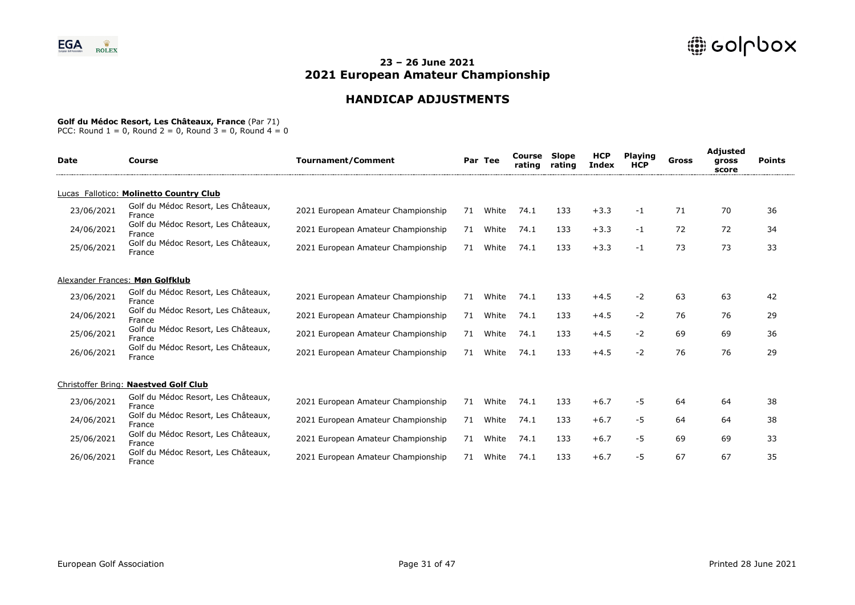# **HANDICAP ADJUSTMENTS**

#### **Golf du Médoc Resort, Les Châteaux, France** (Par 71)

| <b>Date</b> | Course                                        | <b>Tournament/Comment</b>          |    | Par Tee | Course<br>rating | <b>Slope</b><br>rating | <b>HCP</b><br><b>Index</b> | <b>Plaving</b><br><b>HCP</b> | Gross | Adjusted<br>gross<br>score | <b>Points</b> |
|-------------|-----------------------------------------------|------------------------------------|----|---------|------------------|------------------------|----------------------------|------------------------------|-------|----------------------------|---------------|
|             | Lucas Fallotico: Molinetto Country Club       |                                    |    |         |                  |                        |                            |                              |       |                            |               |
| 23/06/2021  | Golf du Médoc Resort, Les Châteaux,<br>France | 2021 European Amateur Championship | 71 | White   | 74.1             | 133                    | $+3.3$                     | $-1$                         | 71    | 70                         | 36            |
| 24/06/2021  | Golf du Médoc Resort, Les Châteaux,<br>France | 2021 European Amateur Championship | 71 | White   | 74.1             | 133                    | $+3.3$                     | $-1$                         | 72    | 72                         | 34            |
| 25/06/2021  | Golf du Médoc Resort, Les Châteaux,<br>France | 2021 European Amateur Championship | 71 | White   | 74.1             | 133                    | $+3.3$                     | $-1$                         | 73    | 73                         | 33            |
|             | Alexander Frances: Møn Golfklub               |                                    |    |         |                  |                        |                            |                              |       |                            |               |
| 23/06/2021  | Golf du Médoc Resort, Les Châteaux,<br>France | 2021 European Amateur Championship | 71 | White   | 74.1             | 133                    | $+4.5$                     | $-2$                         | 63    | 63                         | 42            |
| 24/06/2021  | Golf du Médoc Resort, Les Châteaux,<br>France | 2021 European Amateur Championship | 71 | White   | 74.1             | 133                    | $+4.5$                     | $-2$                         | 76    | 76                         | 29            |
| 25/06/2021  | Golf du Médoc Resort, Les Châteaux,<br>France | 2021 European Amateur Championship | 71 | White   | 74.1             | 133                    | $+4.5$                     | $-2$                         | 69    | 69                         | 36            |
| 26/06/2021  | Golf du Médoc Resort, Les Châteaux,<br>France | 2021 European Amateur Championship | 71 | White   | 74.1             | 133                    | $+4.5$                     | $-2$                         | 76    | 76                         | 29            |
|             | Christoffer Bring: Naestved Golf Club         |                                    |    |         |                  |                        |                            |                              |       |                            |               |
| 23/06/2021  | Golf du Médoc Resort, Les Châteaux,<br>France | 2021 European Amateur Championship | 71 | White   | 74.1             | 133                    | $+6.7$                     | -5                           | 64    | 64                         | 38            |
| 24/06/2021  | Golf du Médoc Resort, Les Châteaux,<br>France | 2021 European Amateur Championship | 71 | White   | 74.1             | 133                    | $+6.7$                     | $-5$                         | 64    | 64                         | 38            |
| 25/06/2021  | Golf du Médoc Resort, Les Châteaux,<br>France | 2021 European Amateur Championship | 71 | White   | 74.1             | 133                    | $+6.7$                     | $-5$                         | 69    | 69                         | 33            |
| 26/06/2021  | Golf du Médoc Resort, Les Châteaux,<br>France | 2021 European Amateur Championship | 71 | White   | 74.1             | 133                    | $+6.7$                     | -5                           | 67    | 67                         | 35            |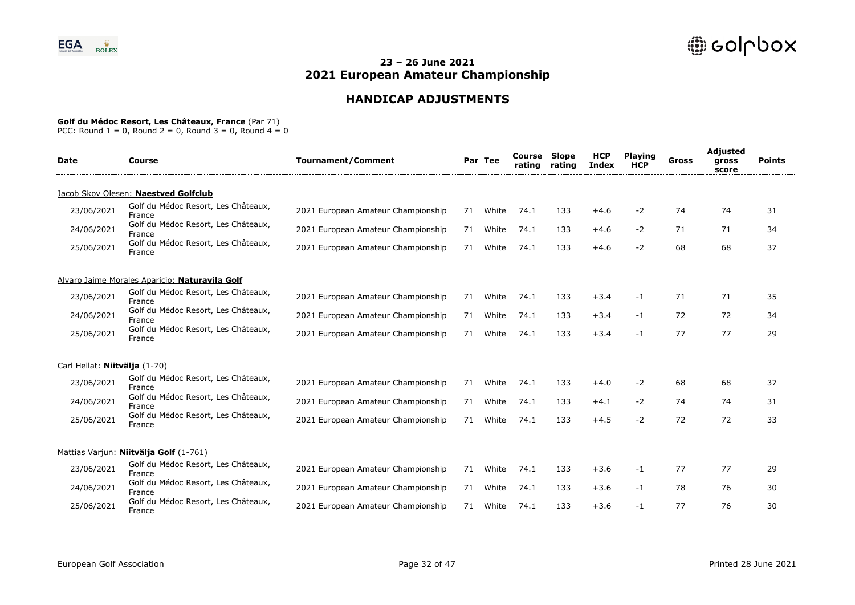# **HANDICAP ADJUSTMENTS**

### **Golf du Médoc Resort, Les Châteaux, France** (Par 71)

| <b>Date</b>                   | Course                                         | <b>Tournament/Comment</b>          |    | Par Tee | Course<br>rating | <b>Slope</b><br>rating | <b>HCP</b><br><b>Index</b> | <b>Playing</b><br><b>HCP</b> | Gross | Adjusted<br>gross<br>score | <b>Points</b> |  |
|-------------------------------|------------------------------------------------|------------------------------------|----|---------|------------------|------------------------|----------------------------|------------------------------|-------|----------------------------|---------------|--|
|                               | Jacob Skov Olesen: Naestved Golfclub           |                                    |    |         |                  |                        |                            |                              |       |                            |               |  |
| 23/06/2021                    | Golf du Médoc Resort, Les Châteaux,<br>France  | 2021 European Amateur Championship | 71 | White   | 74.1             | 133                    | $+4.6$                     | -2                           | 74    | 74                         | 31            |  |
| 24/06/2021                    | Golf du Médoc Resort, Les Châteaux,<br>France  | 2021 European Amateur Championship | 71 | White   | 74.1             | 133                    | $+4.6$                     | -2                           | 71    | 71                         | 34            |  |
| 25/06/2021                    | Golf du Médoc Resort, Les Châteaux,<br>France  | 2021 European Amateur Championship | 71 | White   | 74.1             | 133                    | $+4.6$                     | -2                           | 68    | 68                         | 37            |  |
|                               | Alvaro Jaime Morales Aparicio: Naturavila Golf |                                    |    |         |                  |                        |                            |                              |       |                            |               |  |
| 23/06/2021                    | Golf du Médoc Resort, Les Châteaux,<br>France  | 2021 European Amateur Championship | 71 | White   | 74.1             | 133                    | $+3.4$                     | $-1$                         | 71    | 71                         | 35            |  |
| 24/06/2021                    | Golf du Médoc Resort, Les Châteaux,<br>France  | 2021 European Amateur Championship | 71 | White   | 74.1             | 133                    | $+3.4$                     | -1                           | 72    | 72                         | 34            |  |
| 25/06/2021                    | Golf du Médoc Resort, Les Châteaux,<br>France  | 2021 European Amateur Championship | 71 | White   | 74.1             | 133                    | $+3.4$                     | $-1$                         | 77    | 77                         | 29            |  |
| Carl Hellat: Niitvälja (1-70) |                                                |                                    |    |         |                  |                        |                            |                              |       |                            |               |  |
| 23/06/2021                    | Golf du Médoc Resort, Les Châteaux,<br>France  | 2021 European Amateur Championship | 71 | White   | 74.1             | 133                    | $+4.0$                     | -2                           | 68    | 68                         | 37            |  |
| 24/06/2021                    | Golf du Médoc Resort, Les Châteaux,<br>France  | 2021 European Amateur Championship | 71 | White   | 74.1             | 133                    | $+4.1$                     | -2                           | 74    | 74                         | 31            |  |
| 25/06/2021                    | Golf du Médoc Resort, Les Châteaux,<br>France  | 2021 European Amateur Championship | 71 | White   | 74.1             | 133                    | $+4.5$                     | $-2$                         | 72    | 72                         | 33            |  |
|                               | Mattias Variun: <b>Niitvälja Golf</b> (1-761)  |                                    |    |         |                  |                        |                            |                              |       |                            |               |  |
| 23/06/2021                    | Golf du Médoc Resort, Les Châteaux,<br>France  | 2021 European Amateur Championship | 71 | White   | 74.1             | 133                    | $+3.6$                     | -1                           | 77    | 77                         | 29            |  |
| 24/06/2021                    | Golf du Médoc Resort, Les Châteaux,<br>France  | 2021 European Amateur Championship | 71 | White   | 74.1             | 133                    | $+3.6$                     | -1                           | 78    | 76                         | 30            |  |
| 25/06/2021                    | Golf du Médoc Resort, Les Châteaux,<br>France  | 2021 European Amateur Championship | 71 | White   | 74.1             | 133                    | $+3.6$                     | -1                           | 77    | 76                         | 30            |  |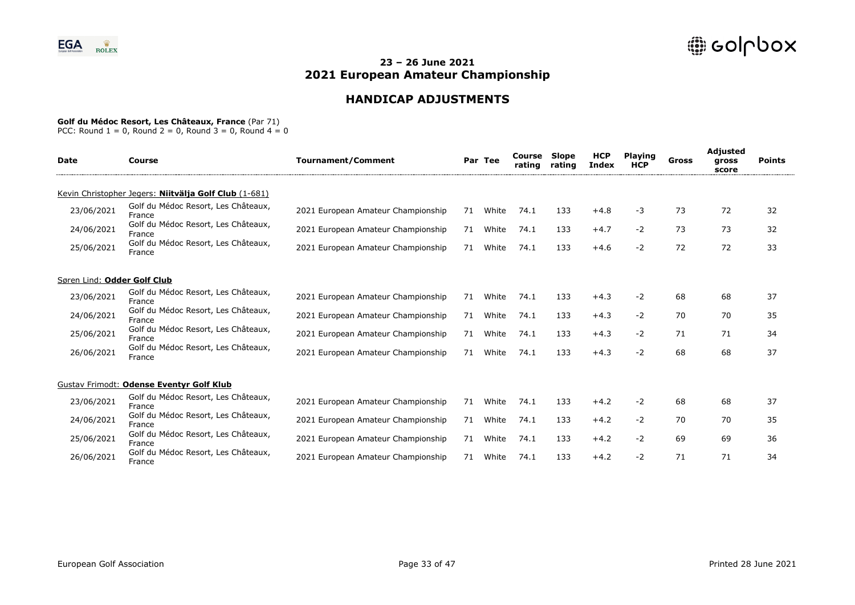# **HANDICAP ADJUSTMENTS**

#### **Golf du Médoc Resort, Les Châteaux, France** (Par 71)

| <b>Date</b>                 | Course                                                | <b>Tournament/Comment</b>          |    | Par Tee | Course<br>rating | Slope<br>rating | <b>HCP</b><br><b>Index</b> | <b>Playing</b><br><b>HCP</b> | Gross | Adjusted<br>gross<br>score | <b>Points</b> |
|-----------------------------|-------------------------------------------------------|------------------------------------|----|---------|------------------|-----------------|----------------------------|------------------------------|-------|----------------------------|---------------|
|                             | Kevin Christopher Jegers: Niitvälja Golf Club (1-681) |                                    |    |         |                  |                 |                            |                              |       |                            |               |
| 23/06/2021                  | Golf du Médoc Resort, Les Châteaux,<br>France         | 2021 European Amateur Championship | 71 | White   | 74.1             | 133             | $+4.8$                     | -3                           | 73    | 72                         | 32            |
| 24/06/2021                  | Golf du Médoc Resort, Les Châteaux,<br>France         | 2021 European Amateur Championship | 71 | White   | 74.1             | 133             | $+4.7$                     | $-2$                         | 73    | 73                         | 32            |
| 25/06/2021                  | Golf du Médoc Resort, Les Châteaux,<br>France         | 2021 European Amateur Championship | 71 | White   | 74.1             | 133             | $+4.6$                     | $-2$                         | 72    | 72                         | 33            |
| Søren Lind: Odder Golf Club |                                                       |                                    |    |         |                  |                 |                            |                              |       |                            |               |
| 23/06/2021                  | Golf du Médoc Resort, Les Châteaux,<br>France         | 2021 European Amateur Championship | 71 | White   | 74.1             | 133             | $+4.3$                     | $-2$                         | 68    | 68                         | 37            |
| 24/06/2021                  | Golf du Médoc Resort, Les Châteaux,<br>France         | 2021 European Amateur Championship | 71 | White   | 74.1             | 133             | $+4.3$                     | $-2$                         | 70    | 70                         | 35            |
| 25/06/2021                  | Golf du Médoc Resort, Les Châteaux,<br>France         | 2021 European Amateur Championship | 71 | White   | 74.1             | 133             | $+4.3$                     | $-2$                         | 71    | 71                         | 34            |
| 26/06/2021                  | Golf du Médoc Resort, Les Châteaux,<br>France         | 2021 European Amateur Championship | 71 | White   | 74.1             | 133             | $+4.3$                     | $-2$                         | 68    | 68                         | 37            |
|                             | Gustav Frimodt: Odense Eventyr Golf Klub              |                                    |    |         |                  |                 |                            |                              |       |                            |               |
| 23/06/2021                  | Golf du Médoc Resort, Les Châteaux,<br>France         | 2021 European Amateur Championship | 71 | White   | 74.1             | 133             | $+4.2$                     | $-2$                         | 68    | 68                         | 37            |
| 24/06/2021                  | Golf du Médoc Resort, Les Châteaux,<br>France         | 2021 European Amateur Championship | 71 | White   | 74.1             | 133             | $+4.2$                     | $-2$                         | 70    | 70                         | 35            |
| 25/06/2021                  | Golf du Médoc Resort, Les Châteaux,<br>France         | 2021 European Amateur Championship | 71 | White   | 74.1             | 133             | $+4.2$                     | $-2$                         | 69    | 69                         | 36            |
| 26/06/2021                  | Golf du Médoc Resort, Les Châteaux,<br>France         | 2021 European Amateur Championship | 71 | White   | 74.1             | 133             | $+4.2$                     | $-2$                         | 71    | 71                         | 34            |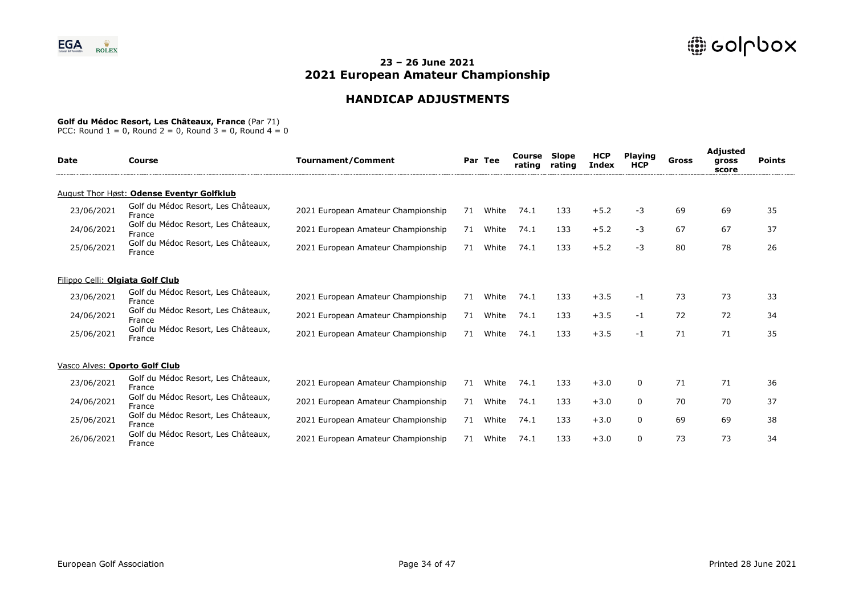# **HANDICAP ADJUSTMENTS**

#### **Golf du Médoc Resort, Les Châteaux, France** (Par 71)

| <b>Date</b>                      | Course                                        | <b>Tournament/Comment</b>          |    | Par Tee | Course<br>rating | <b>Slope</b><br>rating | <b>HCP</b><br><b>Index</b> | <b>Playing</b><br><b>HCP</b> | Gross | Adjusted<br>gross<br>score | <b>Points</b> |
|----------------------------------|-----------------------------------------------|------------------------------------|----|---------|------------------|------------------------|----------------------------|------------------------------|-------|----------------------------|---------------|
|                                  | August Thor Høst: Odense Eventyr Golfklub     |                                    |    |         |                  |                        |                            |                              |       |                            |               |
| 23/06/2021                       | Golf du Médoc Resort, Les Châteaux,<br>France | 2021 European Amateur Championship | 71 | White   | 74.1             | 133                    | $+5.2$                     | -3                           | 69    | 69                         | 35            |
| 24/06/2021                       | Golf du Médoc Resort, Les Châteaux,<br>France | 2021 European Amateur Championship | 71 | White   | 74.1             | 133                    | $+5.2$                     | $-3$                         | 67    | 67                         | 37            |
| 25/06/2021                       | Golf du Médoc Resort, Les Châteaux,<br>France | 2021 European Amateur Championship | 71 | White   | 74.1             | 133                    | $+5.2$                     | -3                           | 80    | 78                         | 26            |
| Filippo Celli: Olgiata Golf Club |                                               |                                    |    |         |                  |                        |                            |                              |       |                            |               |
| 23/06/2021                       | Golf du Médoc Resort, Les Châteaux,<br>France | 2021 European Amateur Championship | 71 | White   | 74.1             | 133                    | $+3.5$                     | -1                           | 73    | 73                         | 33            |
| 24/06/2021                       | Golf du Médoc Resort, Les Châteaux,<br>France | 2021 European Amateur Championship | 71 | White   | 74.1             | 133                    | $+3.5$                     | -1                           | 72    | 72                         | 34            |
| 25/06/2021                       | Golf du Médoc Resort, Les Châteaux,<br>France | 2021 European Amateur Championship | 71 | White   | 74.1             | 133                    | $+3.5$                     | -1                           | 71    | 71                         | 35            |
| Vasco Alves: Oporto Golf Club    |                                               |                                    |    |         |                  |                        |                            |                              |       |                            |               |
| 23/06/2021                       | Golf du Médoc Resort, Les Châteaux,<br>France | 2021 European Amateur Championship | 71 | White   | 74.1             | 133                    | $+3.0$                     | 0                            | 71    | 71                         | 36            |
| 24/06/2021                       | Golf du Médoc Resort, Les Châteaux,<br>France | 2021 European Amateur Championship | 71 | White   | 74.1             | 133                    | $+3.0$                     | $\mathbf{0}$                 | 70    | 70                         | 37            |
| 25/06/2021                       | Golf du Médoc Resort, Les Châteaux,<br>France | 2021 European Amateur Championship | 71 | White   | 74.1             | 133                    | $+3.0$                     | 0                            | 69    | 69                         | 38            |
| 26/06/2021                       | Golf du Médoc Resort, Les Châteaux,<br>France | 2021 European Amateur Championship | 71 | White   | 74.1             | 133                    | $+3.0$                     | 0                            | 73    | 73                         | 34            |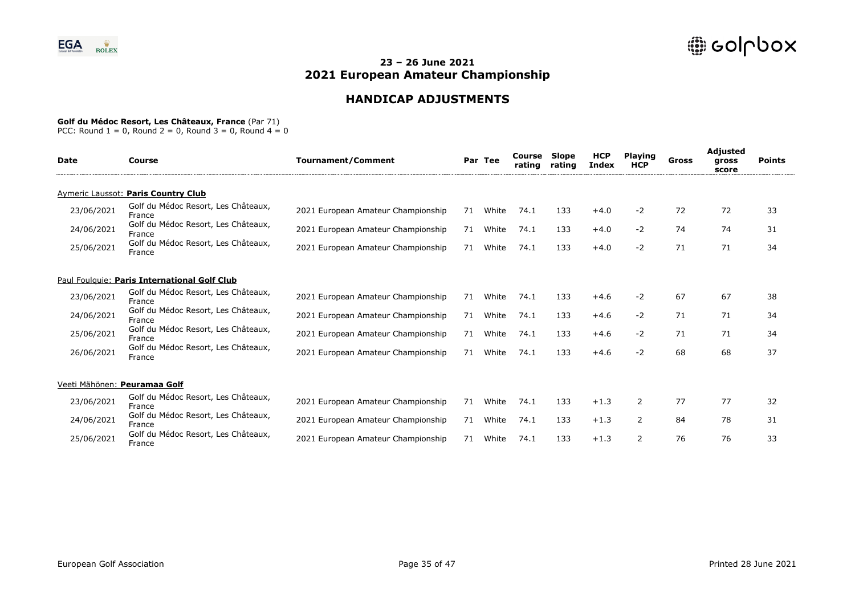# **HANDICAP ADJUSTMENTS**

#### **Golf du Médoc Resort, Les Châteaux, France** (Par 71)

| <b>Date</b>                  | Course                                        | <b>Tournament/Comment</b>          |    | Par Tee | Course<br>rating | <b>Slope</b><br>rating | <b>HCP</b><br><b>Index</b> | <b>Playing</b><br><b>HCP</b> | Gross | Adjusted<br>gross<br>score | <b>Points</b> |
|------------------------------|-----------------------------------------------|------------------------------------|----|---------|------------------|------------------------|----------------------------|------------------------------|-------|----------------------------|---------------|
|                              | Aymeric Laussot: Paris Country Club           |                                    |    |         |                  |                        |                            |                              |       |                            |               |
| 23/06/2021                   | Golf du Médoc Resort, Les Châteaux,<br>France | 2021 European Amateur Championship | 71 | White   | 74.1             | 133                    | $+4.0$                     | $-2$                         | 72    | 72                         | 33            |
| 24/06/2021                   | Golf du Médoc Resort, Les Châteaux,<br>France | 2021 European Amateur Championship | 71 | White   | 74.1             | 133                    | $+4.0$                     | $-2$                         | 74    | 74                         | 31            |
| 25/06/2021                   | Golf du Médoc Resort, Les Châteaux,<br>France | 2021 European Amateur Championship | 71 | White   | 74.1             | 133                    | $+4.0$                     | $-2$                         | 71    | 71                         | 34            |
|                              | Paul Foulquie: Paris International Golf Club  |                                    |    |         |                  |                        |                            |                              |       |                            |               |
| 23/06/2021                   | Golf du Médoc Resort, Les Châteaux,<br>France | 2021 European Amateur Championship | 71 | White   | 74.1             | 133                    | $+4.6$                     | $-2$                         | 67    | 67                         | 38            |
| 24/06/2021                   | Golf du Médoc Resort, Les Châteaux,<br>France | 2021 European Amateur Championship | 71 | White   | 74.1             | 133                    | $+4.6$                     | $-2$                         | 71    | 71                         | 34            |
| 25/06/2021                   | Golf du Médoc Resort, Les Châteaux,<br>France | 2021 European Amateur Championship | 71 | White   | 74.1             | 133                    | $+4.6$                     | $-2$                         | 71    | 71                         | 34            |
| 26/06/2021                   | Golf du Médoc Resort, Les Châteaux,<br>France | 2021 European Amateur Championship | 71 | White   | 74.1             | 133                    | $+4.6$                     | $-2$                         | 68    | 68                         | 37            |
| Veeti Mähönen: Peuramaa Golf |                                               |                                    |    |         |                  |                        |                            |                              |       |                            |               |
| 23/06/2021                   | Golf du Médoc Resort, Les Châteaux,<br>France | 2021 European Amateur Championship | 71 | White   | 74.1             | 133                    | $+1.3$                     | 2                            | 77    | 77                         | 32            |
| 24/06/2021                   | Golf du Médoc Resort, Les Châteaux,<br>France | 2021 European Amateur Championship | 71 | White   | 74.1             | 133                    | $+1.3$                     | 2                            | 84    | 78                         | 31            |
| 25/06/2021                   | Golf du Médoc Resort, Les Châteaux,<br>France | 2021 European Amateur Championship | 71 | White   | 74.1             | 133                    | $+1.3$                     | 2                            | 76    | 76                         | 33            |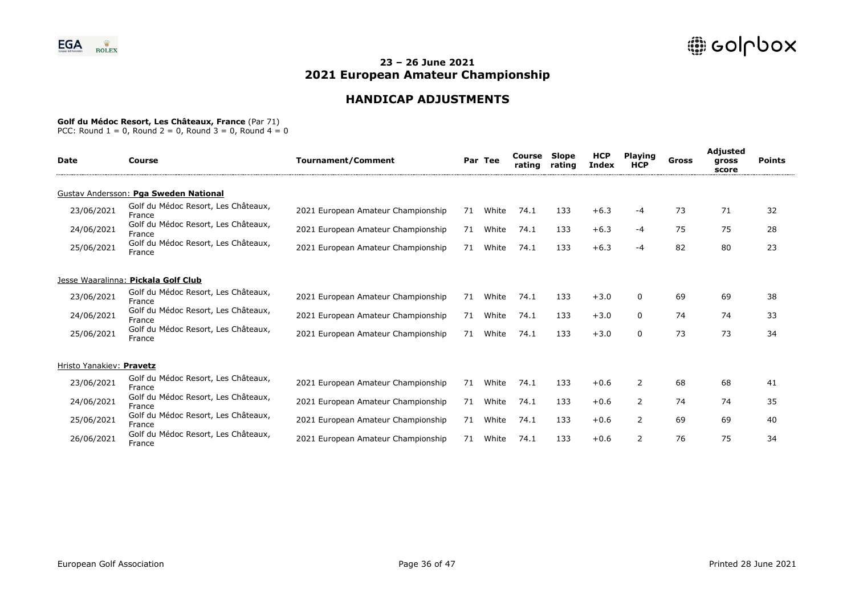# **HANDICAP ADJUSTMENTS**

#### **Golf du Médoc Resort, Les Châteaux, France** (Par 71)

| <b>Date</b>              | Course                                        | <b>Tournament/Comment</b>          |    | Par Tee | Course<br>rating | <b>Slope</b><br>rating | <b>HCP</b><br>Index | <b>Playing</b><br><b>HCP</b> | Gross | Adjusted<br>gross<br>score | <b>Points</b> |
|--------------------------|-----------------------------------------------|------------------------------------|----|---------|------------------|------------------------|---------------------|------------------------------|-------|----------------------------|---------------|
|                          | Gustav Andersson: Pga Sweden National         |                                    |    |         |                  |                        |                     |                              |       |                            |               |
| 23/06/2021               | Golf du Médoc Resort, Les Châteaux,<br>France | 2021 European Amateur Championship | 71 | White   | 74.1             | 133                    | $+6.3$              | -4                           | 73    | 71                         | 32            |
| 24/06/2021               | Golf du Médoc Resort, Les Châteaux,<br>France | 2021 European Amateur Championship | 71 | White   | 74.1             | 133                    | $+6.3$              | -4                           | 75    | 75                         | 28            |
| 25/06/2021               | Golf du Médoc Resort, Les Châteaux,<br>France | 2021 European Amateur Championship | 71 | White   | 74.1             | 133                    | $+6.3$              | -4                           | 82    | 80                         | 23            |
|                          | Jesse Waaralinna: Pickala Golf Club           |                                    |    |         |                  |                        |                     |                              |       |                            |               |
| 23/06/2021               | Golf du Médoc Resort, Les Châteaux,<br>France | 2021 European Amateur Championship | 71 | White   | 74.1             | 133                    | $+3.0$              | $\mathbf{0}$                 | 69    | 69                         | 38            |
| 24/06/2021               | Golf du Médoc Resort, Les Châteaux,<br>France | 2021 European Amateur Championship | 71 | White   | 74.1             | 133                    | $+3.0$              | 0                            | 74    | 74                         | 33            |
| 25/06/2021               | Golf du Médoc Resort, Les Châteaux,<br>France | 2021 European Amateur Championship | 71 | White   | 74.1             | 133                    | $+3.0$              | $\mathbf{0}$                 | 73    | 73                         | 34            |
| Hristo Yanakiev: Pravetz |                                               |                                    |    |         |                  |                        |                     |                              |       |                            |               |
| 23/06/2021               | Golf du Médoc Resort, Les Châteaux,<br>France | 2021 European Amateur Championship | 71 | White   | 74.1             | 133                    | $+0.6$              | 2                            | 68    | 68                         | 41            |
| 24/06/2021               | Golf du Médoc Resort, Les Châteaux,<br>France | 2021 European Amateur Championship | 71 | White   | 74.1             | 133                    | $+0.6$              | 2                            | 74    | 74                         | 35            |
| 25/06/2021               | Golf du Médoc Resort, Les Châteaux,<br>France | 2021 European Amateur Championship | 71 | White   | 74.1             | 133                    | $+0.6$              | 2                            | 69    | 69                         | 40            |
| 26/06/2021               | Golf du Médoc Resort, Les Châteaux,<br>France | 2021 European Amateur Championship | 71 | White   | 74.1             | 133                    | $+0.6$              | $\overline{2}$               | 76    | 75                         | 34            |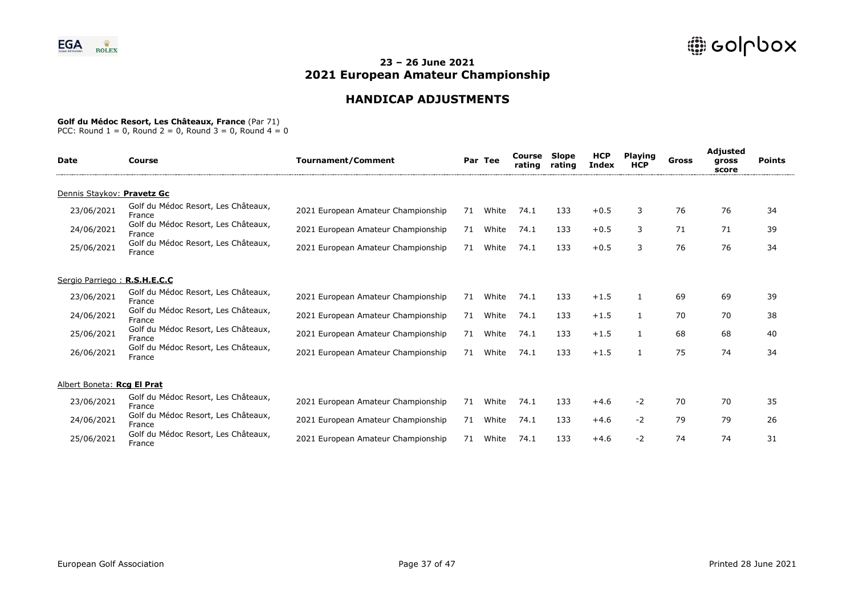# **HANDICAP ADJUSTMENTS**

### **Golf du Médoc Resort, Les Châteaux, France** (Par 71)

| <b>Date</b>                  | Course                                        | <b>Tournament/Comment</b>          |    | Par Tee | Course<br>rating | Slope<br>rating | <b>HCP</b><br><b>Index</b> | <b>Playing</b><br><b>HCP</b> | Gross | <b>Adjusted</b><br>gross<br>score | <b>Points</b> |
|------------------------------|-----------------------------------------------|------------------------------------|----|---------|------------------|-----------------|----------------------------|------------------------------|-------|-----------------------------------|---------------|
| Dennis Staykov: Pravetz Gc   |                                               |                                    |    |         |                  |                 |                            |                              |       |                                   |               |
| 23/06/2021                   | Golf du Médoc Resort, Les Châteaux,<br>France | 2021 European Amateur Championship | 71 | White   | 74.1             | 133             | $+0.5$                     | 3                            | 76    | 76                                | 34            |
| 24/06/2021                   | Golf du Médoc Resort, Les Châteaux,<br>France | 2021 European Amateur Championship | 71 | White   | 74.1             | 133             | $+0.5$                     | 3                            | 71    | 71                                | 39            |
| 25/06/2021                   | Golf du Médoc Resort, Les Châteaux,<br>France | 2021 European Amateur Championship | 71 | White   | 74.1             | 133             | $+0.5$                     | 3                            | 76    | 76                                | 34            |
| Sergio Parriego: R.S.H.E.C.C |                                               |                                    |    |         |                  |                 |                            |                              |       |                                   |               |
| 23/06/2021                   | Golf du Médoc Resort, Les Châteaux,<br>France | 2021 European Amateur Championship | 71 | White   | 74.1             | 133             | $+1.5$                     | 1                            | 69    | 69                                | 39            |
| 24/06/2021                   | Golf du Médoc Resort, Les Châteaux,<br>France | 2021 European Amateur Championship | 71 | White   | 74.1             | 133             | $+1.5$                     | 1                            | 70    | 70                                | 38            |
| 25/06/2021                   | Golf du Médoc Resort, Les Châteaux,<br>France | 2021 European Amateur Championship | 71 | White   | 74.1             | 133             | $+1.5$                     |                              | 68    | 68                                | 40            |
| 26/06/2021                   | Golf du Médoc Resort, Les Châteaux,<br>France | 2021 European Amateur Championship | 71 | White   | 74.1             | 133             | $+1.5$                     |                              | 75    | 74                                | 34            |
| Albert Boneta: Rcg El Prat   |                                               |                                    |    |         |                  |                 |                            |                              |       |                                   |               |
| 23/06/2021                   | Golf du Médoc Resort, Les Châteaux,<br>France | 2021 European Amateur Championship | 71 | White   | 74.1             | 133             | $+4.6$                     | $-2$                         | 70    | 70                                | 35            |
| 24/06/2021                   | Golf du Médoc Resort, Les Châteaux,<br>France | 2021 European Amateur Championship | 71 | White   | 74.1             | 133             | $+4.6$                     | $-2$                         | 79    | 79                                | 26            |
| 25/06/2021                   | Golf du Médoc Resort, Les Châteaux,<br>France | 2021 European Amateur Championship | 71 | White   | 74.1             | 133             | $+4.6$                     | $-2$                         | 74    | 74                                | 31            |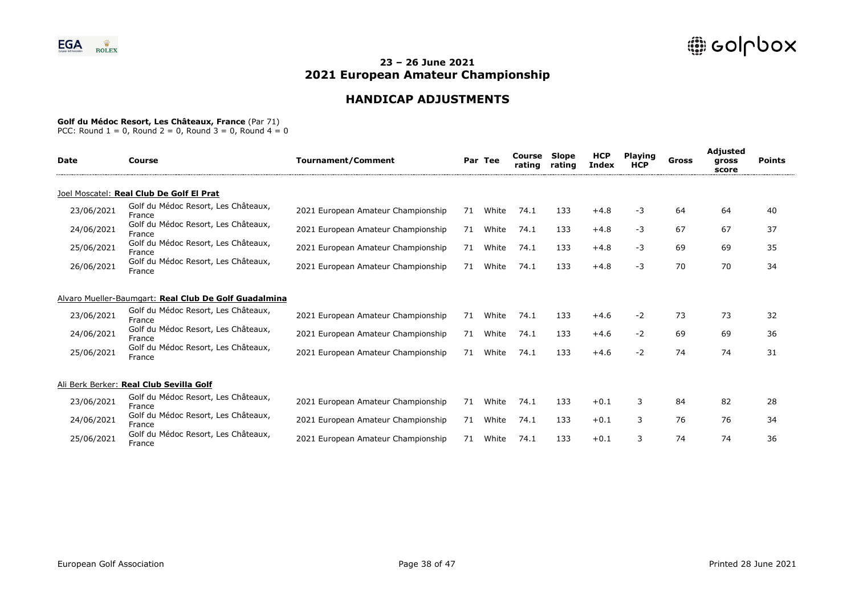# **HANDICAP ADJUSTMENTS**

### **Golf du Médoc Resort, Les Châteaux, France** (Par 71)

| <b>Date</b> | Course                                                | <b>Tournament/Comment</b>          |    | Par Tee | Course<br>rating | Slope<br>rating | <b>HCP</b><br>Index | <b>Playing</b><br><b>HCP</b> | Gross | Adjusted<br>gross<br>score | <b>Points</b> |  |
|-------------|-------------------------------------------------------|------------------------------------|----|---------|------------------|-----------------|---------------------|------------------------------|-------|----------------------------|---------------|--|
|             | Joel Moscatel: Real Club De Golf El Prat              |                                    |    |         |                  |                 |                     |                              |       |                            |               |  |
| 23/06/2021  | Golf du Médoc Resort, Les Châteaux,<br>France         | 2021 European Amateur Championship | 71 | White   | 74.1             | 133             | $+4.8$              | -3                           | 64    | 64                         | 40            |  |
| 24/06/2021  | Golf du Médoc Resort, Les Châteaux,<br>France         | 2021 European Amateur Championship | 71 | White   | 74.1             | 133             | $+4.8$              | -3                           | 67    | 67                         | 37            |  |
| 25/06/2021  | Golf du Médoc Resort, Les Châteaux,<br>France         | 2021 European Amateur Championship | 71 | White   | 74.1             | 133             | $+4.8$              | $-3$                         | 69    | 69                         | 35            |  |
| 26/06/2021  | Golf du Médoc Resort, Les Châteaux,<br>France         | 2021 European Amateur Championship | 71 | White   | 74.1             | 133             | $+4.8$              | -3                           | 70    | 70                         | 34            |  |
|             | Alvaro Mueller-Baumgart: Real Club De Golf Guadalmina |                                    |    |         |                  |                 |                     |                              |       |                            |               |  |
| 23/06/2021  | Golf du Médoc Resort, Les Châteaux,<br>France         | 2021 European Amateur Championship | 71 | White   | 74.1             | 133             | $+4.6$              | $-2$                         | 73    | 73                         | 32            |  |
| 24/06/2021  | Golf du Médoc Resort, Les Châteaux,<br>France         | 2021 European Amateur Championship | 71 | White   | 74.1             | 133             | $+4.6$              | $-2$                         | 69    | 69                         | 36            |  |
| 25/06/2021  | Golf du Médoc Resort, Les Châteaux,<br>France         | 2021 European Amateur Championship | 71 | White   | 74.1             | 133             | $+4.6$              | $-2$                         | 74    | 74                         | 31            |  |
|             | Ali Berk Berker: Real Club Sevilla Golf               |                                    |    |         |                  |                 |                     |                              |       |                            |               |  |
| 23/06/2021  | Golf du Médoc Resort, Les Châteaux,<br>France         | 2021 European Amateur Championship | 71 | White   | 74.1             | 133             | $+0.1$              | 3                            | 84    | 82                         | 28            |  |
| 24/06/2021  | Golf du Médoc Resort, Les Châteaux,<br>France         | 2021 European Amateur Championship | 71 | White   | 74.1             | 133             | $+0.1$              | 3                            | 76    | 76                         | 34            |  |
| 25/06/2021  | Golf du Médoc Resort, Les Châteaux,<br>France         | 2021 European Amateur Championship | 71 | White   | 74.1             | 133             | $+0.1$              | 3                            | 74    | 74                         | 36            |  |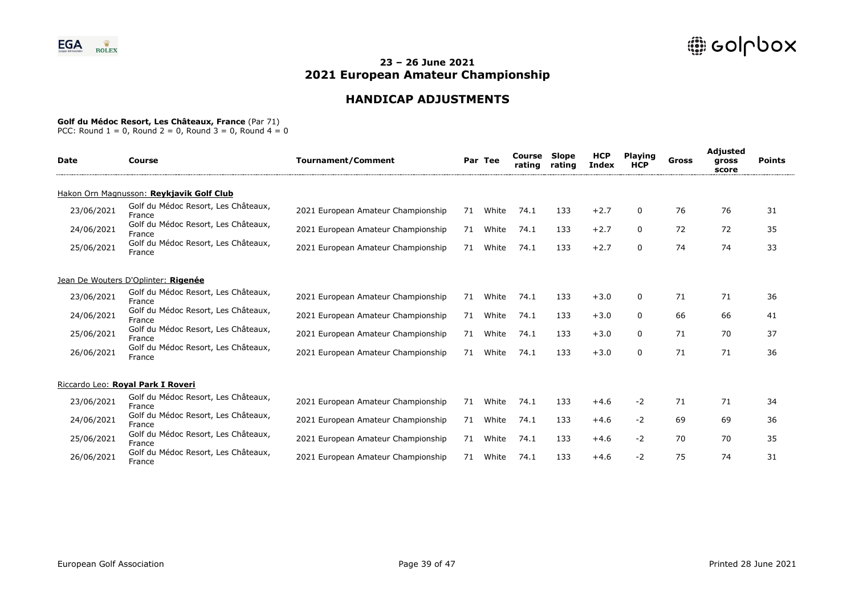# **HANDICAP ADJUSTMENTS**

### **Golf du Médoc Resort, Les Châteaux, France** (Par 71)

| <b>Date</b> | Course                                        | <b>Tournament/Comment</b>          |    | Par Tee | Course<br>rating | Slope<br>rating | <b>HCP</b><br>Index | <b>Playing</b><br><b>HCP</b> | Gross | <b>Adjusted</b><br>gross<br>score | <b>Points</b> |
|-------------|-----------------------------------------------|------------------------------------|----|---------|------------------|-----------------|---------------------|------------------------------|-------|-----------------------------------|---------------|
|             | Hakon Orn Magnusson: Reykjavik Golf Club      |                                    |    |         |                  |                 |                     |                              |       |                                   |               |
| 23/06/2021  | Golf du Médoc Resort, Les Châteaux,<br>France | 2021 European Amateur Championship | 71 | White   | 74.1             | 133             | $+2.7$              | 0                            | 76    | 76                                | 31            |
| 24/06/2021  | Golf du Médoc Resort, Les Châteaux,<br>France | 2021 European Amateur Championship | 71 | White   | 74.1             | 133             | $+2.7$              | 0                            | 72    | 72                                | 35            |
| 25/06/2021  | Golf du Médoc Resort, Les Châteaux,<br>France | 2021 European Amateur Championship | 71 | White   | 74.1             | 133             | $+2.7$              | $\Omega$                     | 74    | 74                                | 33            |
|             | Jean De Wouters D'Oplinter: Rigenée           |                                    |    |         |                  |                 |                     |                              |       |                                   |               |
| 23/06/2021  | Golf du Médoc Resort, Les Châteaux,<br>France | 2021 European Amateur Championship | 71 | White   | 74.1             | 133             | $+3.0$              | 0                            | 71    | 71                                | 36            |
| 24/06/2021  | Golf du Médoc Resort, Les Châteaux,<br>France | 2021 European Amateur Championship | 71 | White   | 74.1             | 133             | $+3.0$              | 0                            | 66    | 66                                | 41            |
| 25/06/2021  | Golf du Médoc Resort, Les Châteaux,<br>France | 2021 European Amateur Championship | 71 | White   | 74.1             | 133             | $+3.0$              | $\mathbf{0}$                 | 71    | 70                                | 37            |
| 26/06/2021  | Golf du Médoc Resort, Les Châteaux,<br>France | 2021 European Amateur Championship | 71 | White   | 74.1             | 133             | $+3.0$              | $\Omega$                     | 71    | 71                                | 36            |
|             | Riccardo Leo: Royal Park I Roveri             |                                    |    |         |                  |                 |                     |                              |       |                                   |               |
| 23/06/2021  | Golf du Médoc Resort, Les Châteaux,<br>France | 2021 European Amateur Championship | 71 | White   | 74.1             | 133             | $+4.6$              | $-2$                         | 71    | 71                                | 34            |
| 24/06/2021  | Golf du Médoc Resort, Les Châteaux,<br>France | 2021 European Amateur Championship | 71 | White   | 74.1             | 133             | $+4.6$              | $-2$                         | 69    | 69                                | 36            |
| 25/06/2021  | Golf du Médoc Resort, Les Châteaux,<br>France | 2021 European Amateur Championship | 71 | White   | 74.1             | 133             | $+4.6$              | -2                           | 70    | 70                                | 35            |
| 26/06/2021  | Golf du Médoc Resort, Les Châteaux,<br>France | 2021 European Amateur Championship | 71 | White   | 74.1             | 133             | $+4.6$              | -2                           | 75    | 74                                | 31            |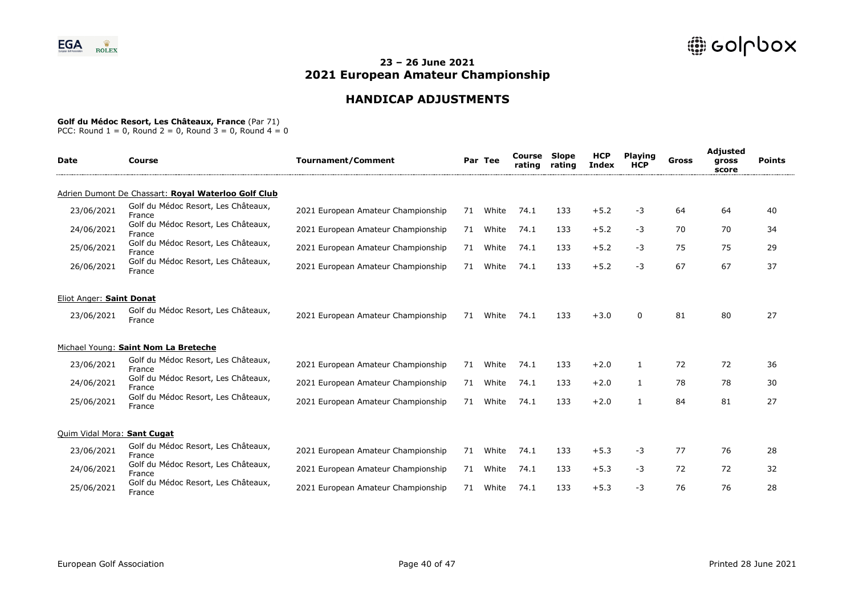# **HANDICAP ADJUSTMENTS**

### **Golf du Médoc Resort, Les Châteaux, France** (Par 71)

| <b>Date</b>                 | <b>Course</b>                                       | <b>Tournament/Comment</b>          |    | Par Tee | Course<br>rating | <b>Slope</b><br>rating | <b>HCP</b><br><b>Index</b> | <b>Playing</b><br><b>HCP</b> | <b>Gross</b> | <b>Adjusted</b><br>gross<br>score | <b>Points</b> |
|-----------------------------|-----------------------------------------------------|------------------------------------|----|---------|------------------|------------------------|----------------------------|------------------------------|--------------|-----------------------------------|---------------|
|                             | Adrien Dumont De Chassart: Royal Waterloo Golf Club |                                    |    |         |                  |                        |                            |                              |              |                                   |               |
| 23/06/2021                  | Golf du Médoc Resort, Les Châteaux,<br>France       | 2021 European Amateur Championship | 71 | White   | 74.1             | 133                    | $+5.2$                     | -3                           | 64           | 64                                | 40            |
| 24/06/2021                  | Golf du Médoc Resort, Les Châteaux,<br>France       | 2021 European Amateur Championship | 71 | White   | 74.1             | 133                    | $+5.2$                     | -3                           | 70           | 70                                | 34            |
| 25/06/2021                  | Golf du Médoc Resort, Les Châteaux,<br>France       | 2021 European Amateur Championship | 71 | White   | 74.1             | 133                    | $+5.2$                     | -3                           | 75           | 75                                | 29            |
| 26/06/2021                  | Golf du Médoc Resort, Les Châteaux,<br>France       | 2021 European Amateur Championship | 71 | White   | 74.1             | 133                    | $+5.2$                     | -3                           | 67           | 67                                | 37            |
| Eliot Anger: Saint Donat    |                                                     |                                    |    |         |                  |                        |                            |                              |              |                                   |               |
| 23/06/2021                  | Golf du Médoc Resort, Les Châteaux,<br>France       | 2021 European Amateur Championship | 71 | White   | 74.1             | 133                    | $+3.0$                     | 0                            | 81           | 80                                | 27            |
|                             | Michael Young: Saint Nom La Breteche                |                                    |    |         |                  |                        |                            |                              |              |                                   |               |
| 23/06/2021                  | Golf du Médoc Resort, Les Châteaux,<br>France       | 2021 European Amateur Championship | 71 | White   | 74.1             | 133                    | $+2.0$                     | $\mathbf{1}$                 | 72           | 72                                | 36            |
| 24/06/2021                  | Golf du Médoc Resort, Les Châteaux,<br>France       | 2021 European Amateur Championship | 71 | White   | 74.1             | 133                    | $+2.0$                     | $\mathbf{1}$                 | 78           | 78                                | 30            |
| 25/06/2021                  | Golf du Médoc Resort, Les Châteaux,<br>France       | 2021 European Amateur Championship | 71 | White   | 74.1             | 133                    | $+2.0$                     | 1                            | 84           | 81                                | 27            |
| Quim Vidal Mora: Sant Cugat |                                                     |                                    |    |         |                  |                        |                            |                              |              |                                   |               |
| 23/06/2021                  | Golf du Médoc Resort, Les Châteaux,<br>France       | 2021 European Amateur Championship | 71 | White   | 74.1             | 133                    | $+5.3$                     | -3                           | 77           | 76                                | 28            |
| 24/06/2021                  | Golf du Médoc Resort, Les Châteaux,<br>France       | 2021 European Amateur Championship | 71 | White   | 74.1             | 133                    | $+5.3$                     | -3                           | 72           | 72                                | 32            |
| 25/06/2021                  | Golf du Médoc Resort, Les Châteaux,<br>France       | 2021 European Amateur Championship | 71 | White   | 74.1             | 133                    | $+5.3$                     | $-3$                         | 76           | 76                                | 28            |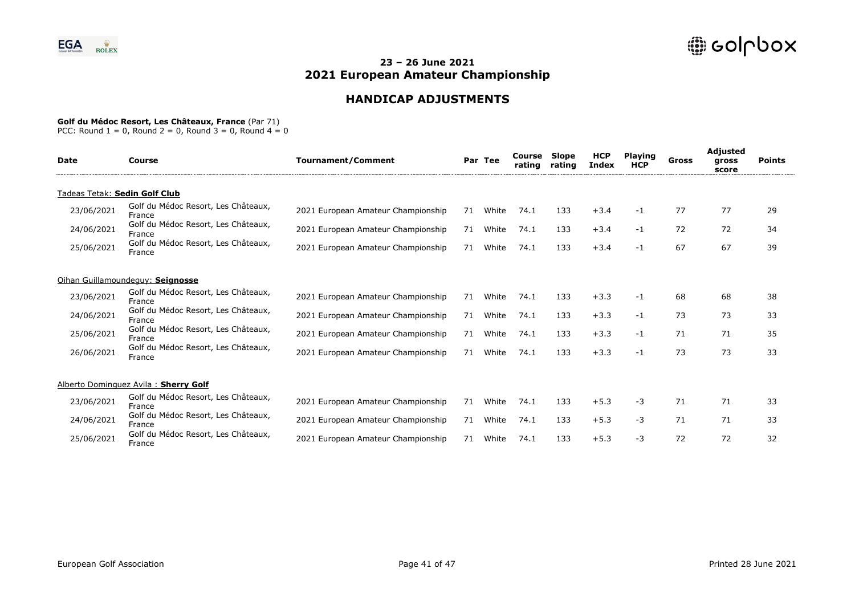# **HANDICAP ADJUSTMENTS**

### **Golf du Médoc Resort, Les Châteaux, France** (Par 71)

| <b>Date</b>                   | Course                                        | <b>Tournament/Comment</b>          |    | Par Tee | Course<br>rating | <b>Slope</b><br>rating | <b>HCP</b><br>Index | <b>Playing</b><br><b>HCP</b> | Gross | Adjusted<br>gross<br>score | <b>Points</b> |
|-------------------------------|-----------------------------------------------|------------------------------------|----|---------|------------------|------------------------|---------------------|------------------------------|-------|----------------------------|---------------|
| Tadeas Tetak: Sedin Golf Club |                                               |                                    |    |         |                  |                        |                     |                              |       |                            |               |
| 23/06/2021                    | Golf du Médoc Resort, Les Châteaux,<br>France | 2021 European Amateur Championship | 71 | White   | 74.1             | 133                    | $+3.4$              | -1                           | 77    | 77                         | 29            |
| 24/06/2021                    | Golf du Médoc Resort, Les Châteaux,<br>France | 2021 European Amateur Championship | 71 | White   | 74.1             | 133                    | $+3.4$              | -1                           | 72    | 72                         | 34            |
| 25/06/2021                    | Golf du Médoc Resort, Les Châteaux,<br>France | 2021 European Amateur Championship | 71 | White   | 74.1             | 133                    | $+3.4$              | -1                           | 67    | 67                         | 39            |
|                               | Oihan Guillamoundequy: Seignosse              |                                    |    |         |                  |                        |                     |                              |       |                            |               |
| 23/06/2021                    | Golf du Médoc Resort, Les Châteaux,<br>France | 2021 European Amateur Championship | 71 | White   | 74.1             | 133                    | $+3.3$              | -1                           | 68    | 68                         | 38            |
| 24/06/2021                    | Golf du Médoc Resort, Les Châteaux,<br>France | 2021 European Amateur Championship | 71 | White   | 74.1             | 133                    | $+3.3$              | -1                           | 73    | 73                         | 33            |
| 25/06/2021                    | Golf du Médoc Resort, Les Châteaux,<br>France | 2021 European Amateur Championship | 71 | White   | 74.1             | 133                    | $+3.3$              | -1                           | 71    | 71                         | 35            |
| 26/06/2021                    | Golf du Médoc Resort, Les Châteaux,<br>France | 2021 European Amateur Championship | 71 | White   | 74.1             | 133                    | $+3.3$              | -1                           | 73    | 73                         | 33            |
|                               | Alberto Dominguez Avila: Sherry Golf          |                                    |    |         |                  |                        |                     |                              |       |                            |               |
| 23/06/2021                    | Golf du Médoc Resort, Les Châteaux,<br>France | 2021 European Amateur Championship | 71 | White   | 74.1             | 133                    | $+5.3$              | -3                           | 71    | 71                         | 33            |
| 24/06/2021                    | Golf du Médoc Resort, Les Châteaux,<br>France | 2021 European Amateur Championship | 71 | White   | 74.1             | 133                    | $+5.3$              | -3                           | 71    | 71                         | 33            |
| 25/06/2021                    | Golf du Médoc Resort, Les Châteaux,<br>France | 2021 European Amateur Championship | 71 | White   | 74.1             | 133                    | $+5.3$              | -3                           | 72    | 72                         | 32            |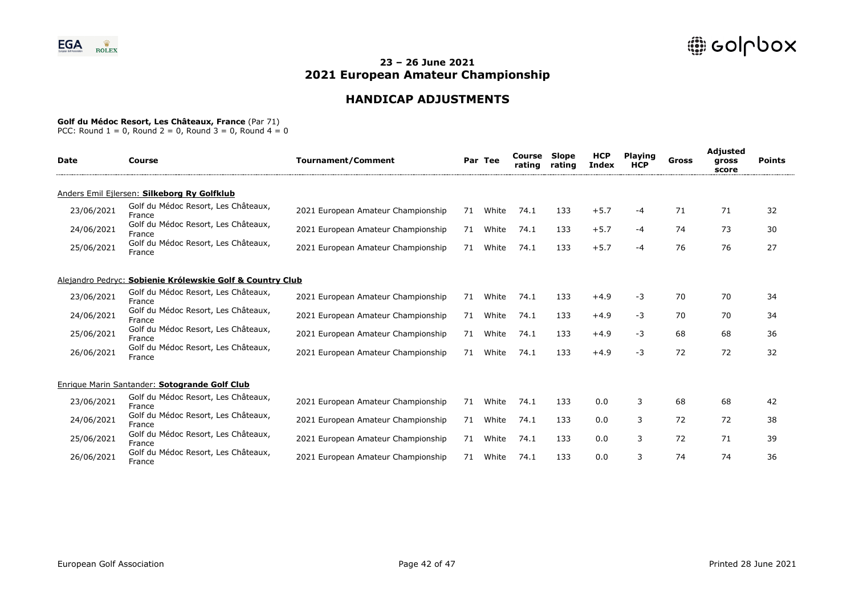# **HANDICAP ADJUSTMENTS**

#### **Golf du Médoc Resort, Les Châteaux, France** (Par 71)

| Date       | Course                                                    | <b>Tournament/Comment</b>          |    | Par Tee | Course<br>rating | Slope<br>rating | <b>HCP</b><br>Index | <b>Playing</b><br><b>HCP</b> | Gross | Adjusted<br>gross<br>score | <b>Points</b> |  |
|------------|-----------------------------------------------------------|------------------------------------|----|---------|------------------|-----------------|---------------------|------------------------------|-------|----------------------------|---------------|--|
|            | Anders Emil Ejlersen: Silkeborg Ry Golfklub               |                                    |    |         |                  |                 |                     |                              |       |                            |               |  |
| 23/06/2021 | Golf du Médoc Resort, Les Châteaux,<br>France             | 2021 European Amateur Championship | 71 | White   | 74.1             | 133             | $+5.7$              | $-4$                         | 71    | 71                         | 32            |  |
| 24/06/2021 | Golf du Médoc Resort, Les Châteaux,<br>France             | 2021 European Amateur Championship | 71 | White   | 74.1             | 133             | $+5.7$              | $-4$                         | 74    | 73                         | 30            |  |
| 25/06/2021 | Golf du Médoc Resort, Les Châteaux,<br>France             | 2021 European Amateur Championship | 71 | White   | 74.1             | 133             | $+5.7$              | $-4$                         | 76    | 76                         | 27            |  |
|            | Alejandro Pedryc: Sobienie Królewskie Golf & Country Club |                                    |    |         |                  |                 |                     |                              |       |                            |               |  |
| 23/06/2021 | Golf du Médoc Resort, Les Châteaux,<br>France             | 2021 European Amateur Championship | 71 | White   | 74.1             | 133             | $+4.9$              | $-3$                         | 70    | 70                         | 34            |  |
| 24/06/2021 | Golf du Médoc Resort, Les Châteaux,<br>France             | 2021 European Amateur Championship | 71 | White   | 74.1             | 133             | $+4.9$              | $-3$                         | 70    | 70                         | 34            |  |
| 25/06/2021 | Golf du Médoc Resort, Les Châteaux,<br>France             | 2021 European Amateur Championship | 71 | White   | 74.1             | 133             | $+4.9$              | $-3$                         | 68    | 68                         | 36            |  |
| 26/06/2021 | Golf du Médoc Resort, Les Châteaux,<br>France             | 2021 European Amateur Championship | 71 | White   | 74.1             | 133             | $+4.9$              | -3                           | 72    | 72                         | 32            |  |
|            | Enrique Marin Santander: Sotogrande Golf Club             |                                    |    |         |                  |                 |                     |                              |       |                            |               |  |
| 23/06/2021 | Golf du Médoc Resort, Les Châteaux,<br>France             | 2021 European Amateur Championship | 71 | White   | 74.1             | 133             | 0.0                 | 3                            | 68    | 68                         | 42            |  |
| 24/06/2021 | Golf du Médoc Resort, Les Châteaux,<br>France             | 2021 European Amateur Championship | 71 | White   | 74.1             | 133             | 0.0                 | 3                            | 72    | 72                         | 38            |  |
| 25/06/2021 | Golf du Médoc Resort, Les Châteaux,<br>France             | 2021 European Amateur Championship | 71 | White   | 74.1             | 133             | 0.0                 | 3                            | 72    | 71                         | 39            |  |
| 26/06/2021 | Golf du Médoc Resort, Les Châteaux,<br>France             | 2021 European Amateur Championship | 71 | White   | 74.1             | 133             | 0.0                 | 3                            | 74    | 74                         | 36            |  |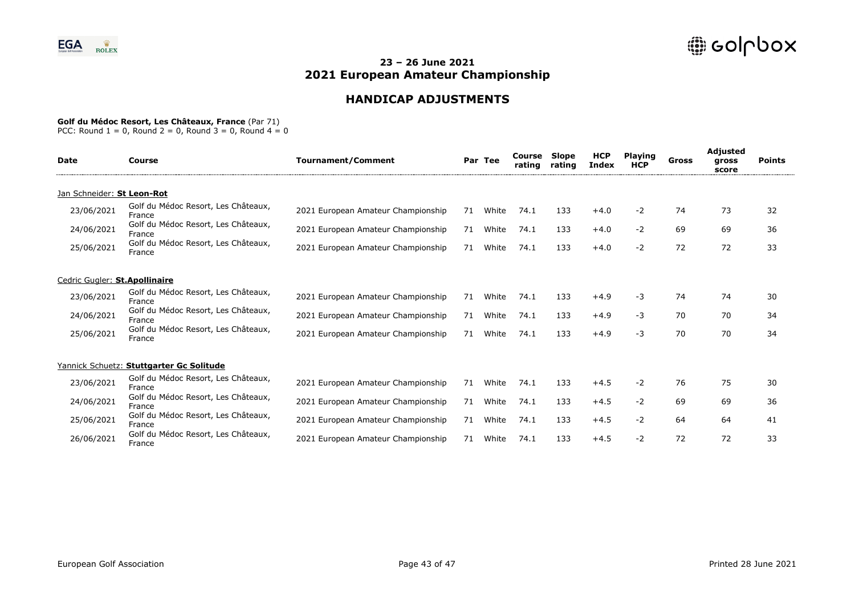# **HANDICAP ADJUSTMENTS**

### **Golf du Médoc Resort, Les Châteaux, France** (Par 71)

| <b>Date</b>                   | Course                                        | <b>Tournament/Comment</b>          |    | Par Tee | Course<br>rating | Slope<br>rating | <b>HCP</b><br><b>Index</b> | <b>Playing</b><br><b>HCP</b> | Gross | <b>Adjusted</b><br>gross<br>score | <b>Points</b> |
|-------------------------------|-----------------------------------------------|------------------------------------|----|---------|------------------|-----------------|----------------------------|------------------------------|-------|-----------------------------------|---------------|
| Jan Schneider: St Leon-Rot    |                                               |                                    |    |         |                  |                 |                            |                              |       |                                   |               |
| 23/06/2021                    | Golf du Médoc Resort, Les Châteaux,<br>France | 2021 European Amateur Championship | 71 | White   | 74.1             | 133             | $+4.0$                     | $-2$                         | 74    | 73                                | 32            |
| 24/06/2021                    | Golf du Médoc Resort, Les Châteaux,<br>France | 2021 European Amateur Championship | 71 | White   | 74.1             | 133             | $+4.0$                     | $-2$                         | 69    | 69                                | 36            |
| 25/06/2021                    | Golf du Médoc Resort, Les Châteaux,<br>France | 2021 European Amateur Championship | 71 | White   | 74.1             | 133             | $+4.0$                     | -2                           | 72    | 72                                | 33            |
| Cedric Gugler: St.Apollinaire |                                               |                                    |    |         |                  |                 |                            |                              |       |                                   |               |
| 23/06/2021                    | Golf du Médoc Resort, Les Châteaux,<br>France | 2021 European Amateur Championship | 71 | White   | 74.1             | 133             | $+4.9$                     | -3                           | 74    | 74                                | 30            |
| 24/06/2021                    | Golf du Médoc Resort, Les Châteaux,<br>France | 2021 European Amateur Championship | 71 | White   | 74.1             | 133             | $+4.9$                     | -3                           | 70    | 70                                | 34            |
| 25/06/2021                    | Golf du Médoc Resort, Les Châteaux,<br>France | 2021 European Amateur Championship | 71 | White   | 74.1             | 133             | $+4.9$                     | -3                           | 70    | 70                                | 34            |
|                               | Yannick Schuetz: Stuttgarter Gc Solitude      |                                    |    |         |                  |                 |                            |                              |       |                                   |               |
| 23/06/2021                    | Golf du Médoc Resort, Les Châteaux,<br>France | 2021 European Amateur Championship | 71 | White   | 74.1             | 133             | $+4.5$                     | $-2$                         | 76    | 75                                | 30            |
| 24/06/2021                    | Golf du Médoc Resort, Les Châteaux,<br>France | 2021 European Amateur Championship | 71 | White   | 74.1             | 133             | $+4.5$                     | $-2$                         | 69    | 69                                | 36            |
| 25/06/2021                    | Golf du Médoc Resort, Les Châteaux,<br>France | 2021 European Amateur Championship | 71 | White   | 74.1             | 133             | $+4.5$                     | $-2$                         | 64    | 64                                | 41            |
| 26/06/2021                    | Golf du Médoc Resort, Les Châteaux,<br>France | 2021 European Amateur Championship | 71 | White   | 74.1             | 133             | $+4.5$                     | -2                           | 72    | 72                                | 33            |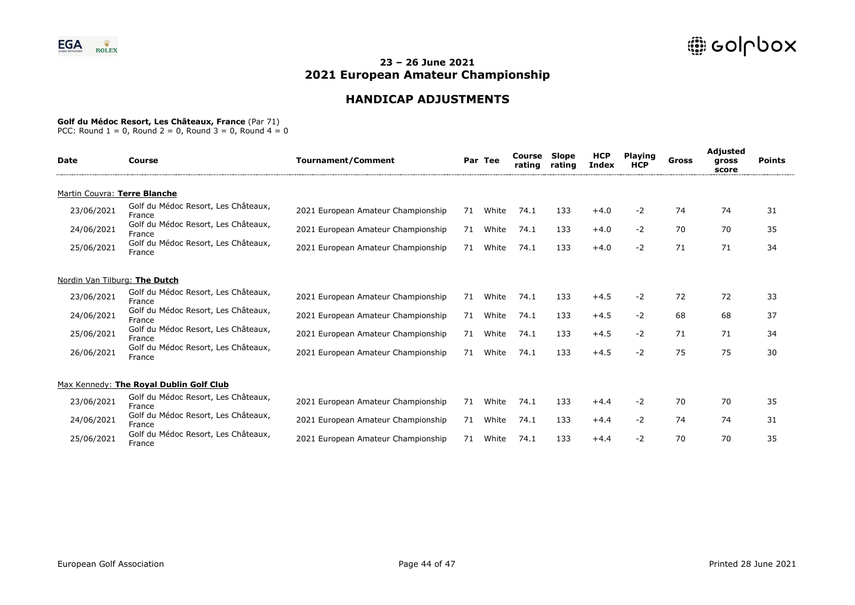# **HANDICAP ADJUSTMENTS**

### **Golf du Médoc Resort, Les Châteaux, France** (Par 71)

| Date                          | Course                                        | <b>Tournament/Comment</b>          |    | Par Tee | Course<br>rating | <b>Slope</b><br>rating | <b>HCP</b><br><b>Index</b> | <b>Playing</b><br><b>HCP</b> | Gross | Adjusted<br>gross<br>score | <b>Points</b> |
|-------------------------------|-----------------------------------------------|------------------------------------|----|---------|------------------|------------------------|----------------------------|------------------------------|-------|----------------------------|---------------|
| Martin Couvra: Terre Blanche  |                                               |                                    |    |         |                  |                        |                            |                              |       |                            |               |
| 23/06/2021                    | Golf du Médoc Resort, Les Châteaux,<br>France | 2021 European Amateur Championship | 71 | White   | 74.1             | 133                    | $+4.0$                     | $-2$                         | 74    | 74                         | 31            |
| 24/06/2021                    | Golf du Médoc Resort, Les Châteaux,<br>France | 2021 European Amateur Championship | 71 | White   | 74.1             | 133                    | $+4.0$                     | $-2$                         | 70    | 70                         | 35            |
| 25/06/2021                    | Golf du Médoc Resort, Les Châteaux,<br>France | 2021 European Amateur Championship | 71 | White   | 74.1             | 133                    | $+4.0$                     | -2                           | 71    | 71                         | 34            |
| Nordin Van Tilburg: The Dutch |                                               |                                    |    |         |                  |                        |                            |                              |       |                            |               |
| 23/06/2021                    | Golf du Médoc Resort, Les Châteaux,<br>France | 2021 European Amateur Championship | 71 | White   | 74.1             | 133                    | $+4.5$                     | $-2$                         | 72    | 72                         | 33            |
| 24/06/2021                    | Golf du Médoc Resort, Les Châteaux,<br>France | 2021 European Amateur Championship | 71 | White   | 74.1             | 133                    | $+4.5$                     | $-2$                         | 68    | 68                         | 37            |
| 25/06/2021                    | Golf du Médoc Resort, Les Châteaux,<br>France | 2021 European Amateur Championship | 71 | White   | 74.1             | 133                    | $+4.5$                     | $-2$                         | 71    | 71                         | 34            |
| 26/06/2021                    | Golf du Médoc Resort, Les Châteaux,<br>France | 2021 European Amateur Championship | 71 | White   | 74.1             | 133                    | $+4.5$                     | $-2$                         | 75    | 75                         | 30            |
|                               | Max Kennedy: The Royal Dublin Golf Club       |                                    |    |         |                  |                        |                            |                              |       |                            |               |
| 23/06/2021                    | Golf du Médoc Resort, Les Châteaux,<br>France | 2021 European Amateur Championship | 71 | White   | 74.1             | 133                    | $+4.4$                     | $-2$                         | 70    | 70                         | 35            |
| 24/06/2021                    | Golf du Médoc Resort, Les Châteaux,<br>France | 2021 European Amateur Championship | 71 | White   | 74.1             | 133                    | $+4.4$                     | $-2$                         | 74    | 74                         | 31            |
| 25/06/2021                    | Golf du Médoc Resort, Les Châteaux,<br>France | 2021 European Amateur Championship | 71 | White   | 74.1             | 133                    | $+4.4$                     | $-2$                         | 70    | 70                         | 35            |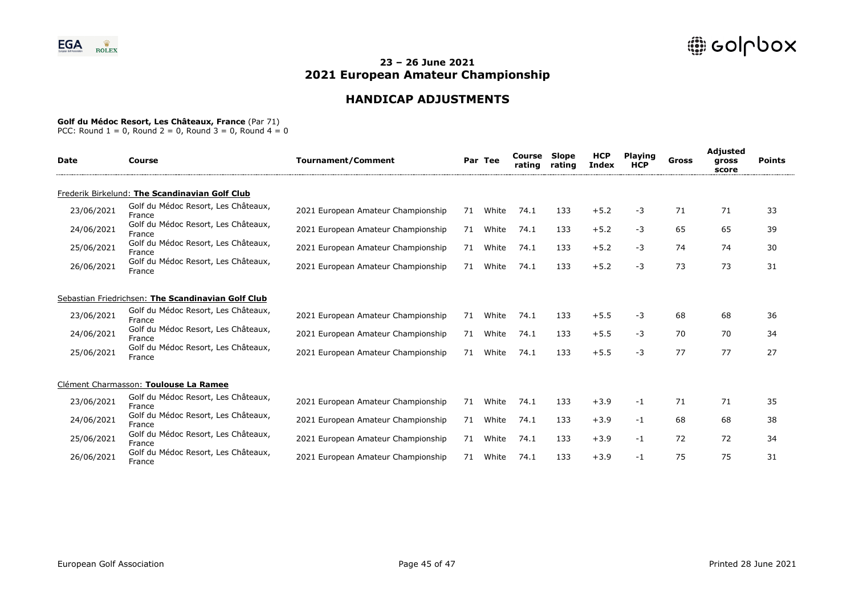# **HANDICAP ADJUSTMENTS**

#### **Golf du Médoc Resort, Les Châteaux, France** (Par 71)

| <b>Date</b> | Course                                             | <b>Tournament/Comment</b>          |    | Par Tee | Course<br>rating | Slope<br>rating | <b>HCP</b><br><b>Index</b> | <b>Playing</b><br><b>HCP</b> | Gross | Adjusted<br>gross<br>score | <b>Points</b> |
|-------------|----------------------------------------------------|------------------------------------|----|---------|------------------|-----------------|----------------------------|------------------------------|-------|----------------------------|---------------|
|             | Frederik Birkelund: The Scandinavian Golf Club     |                                    |    |         |                  |                 |                            |                              |       |                            |               |
| 23/06/2021  | Golf du Médoc Resort, Les Châteaux,<br>France      | 2021 European Amateur Championship | 71 | White   | 74.1             | 133             | $+5.2$                     | -3                           | 71    | 71                         | 33            |
| 24/06/2021  | Golf du Médoc Resort, Les Châteaux,<br>France      | 2021 European Amateur Championship | 71 | White   | 74.1             | 133             | $+5.2$                     | -3                           | 65    | 65                         | 39            |
| 25/06/2021  | Golf du Médoc Resort, Les Châteaux,<br>France      | 2021 European Amateur Championship | 71 | White   | 74.1             | 133             | $+5.2$                     | -3                           | 74    | 74                         | 30            |
| 26/06/2021  | Golf du Médoc Resort, Les Châteaux,<br>France      | 2021 European Amateur Championship | 71 | White   | 74.1             | 133             | $+5.2$                     | -3                           | 73    | 73                         | 31            |
|             | Sebastian Friedrichsen: The Scandinavian Golf Club |                                    |    |         |                  |                 |                            |                              |       |                            |               |
| 23/06/2021  | Golf du Médoc Resort, Les Châteaux,<br>France      | 2021 European Amateur Championship | 71 | White   | 74.1             | 133             | $+5.5$                     | -3                           | 68    | 68                         | 36            |
| 24/06/2021  | Golf du Médoc Resort, Les Châteaux,<br>France      | 2021 European Amateur Championship | 71 | White   | 74.1             | 133             | $+5.5$                     | -3                           | 70    | 70                         | 34            |
| 25/06/2021  | Golf du Médoc Resort, Les Châteaux,<br>France      | 2021 European Amateur Championship | 71 | White   | 74.1             | 133             | $+5.5$                     | -3                           | 77    | 77                         | 27            |
|             | Clément Charmasson: Toulouse La Ramee              |                                    |    |         |                  |                 |                            |                              |       |                            |               |
| 23/06/2021  | Golf du Médoc Resort, Les Châteaux,<br>France      | 2021 European Amateur Championship | 71 | White   | 74.1             | 133             | $+3.9$                     | -1                           | 71    | 71                         | 35            |
| 24/06/2021  | Golf du Médoc Resort, Les Châteaux,<br>France      | 2021 European Amateur Championship | 71 | White   | 74.1             | 133             | $+3.9$                     | -1                           | 68    | 68                         | 38            |
| 25/06/2021  | Golf du Médoc Resort, Les Châteaux,<br>France      | 2021 European Amateur Championship | 71 | White   | 74.1             | 133             | $+3.9$                     | -1                           | 72    | 72                         | 34            |
| 26/06/2021  | Golf du Médoc Resort, Les Châteaux,<br>France      | 2021 European Amateur Championship | 71 | White   | 74.1             | 133             | $+3.9$                     | -1                           | 75    | 75                         | 31            |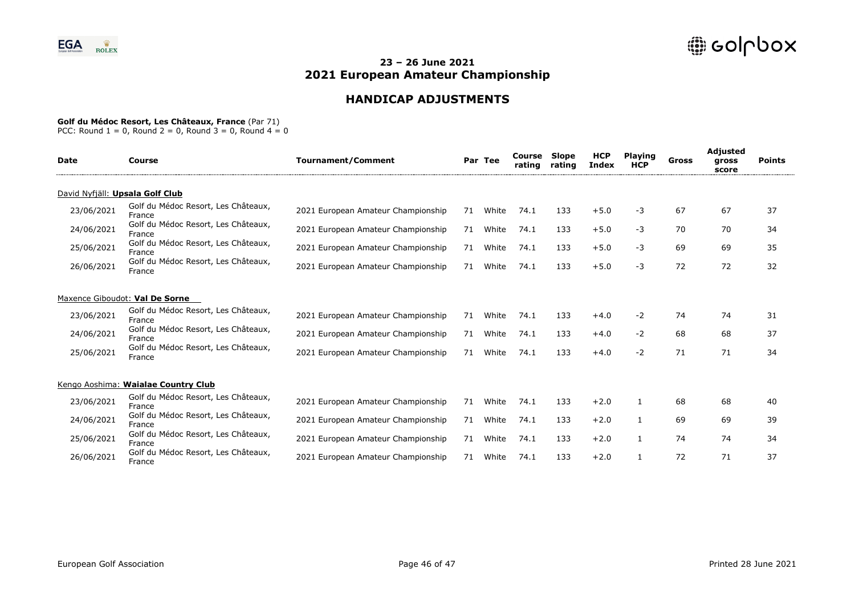# **HANDICAP ADJUSTMENTS**

### **Golf du Médoc Resort, Les Châteaux, France** (Par 71)

| <b>Date</b> | Course                                        | <b>Tournament/Comment</b>          |    | Par Tee | Course<br>rating | Slope<br>rating | <b>HCP</b><br>Index | <b>Plaving</b><br><b>HCP</b> | Gross | Adjusted<br>gross<br>score | <b>Points</b> |
|-------------|-----------------------------------------------|------------------------------------|----|---------|------------------|-----------------|---------------------|------------------------------|-------|----------------------------|---------------|
|             | David Nyfjäll: Upsala Golf Club               |                                    |    |         |                  |                 |                     |                              |       |                            |               |
| 23/06/2021  | Golf du Médoc Resort, Les Châteaux,<br>France | 2021 European Amateur Championship | 71 | White   | 74.1             | 133             | $+5.0$              | $-3$                         | 67    | 67                         | 37            |
| 24/06/2021  | Golf du Médoc Resort, Les Châteaux,<br>France | 2021 European Amateur Championship | 71 | White   | 74.1             | 133             | $+5.0$              | -3                           | 70    | 70                         | 34            |
| 25/06/2021  | Golf du Médoc Resort, Les Châteaux,<br>France | 2021 European Amateur Championship | 71 | White   | 74.1             | 133             | $+5.0$              | $-3$                         | 69    | 69                         | 35            |
| 26/06/2021  | Golf du Médoc Resort, Les Châteaux,<br>France | 2021 European Amateur Championship | 71 | White   | 74.1             | 133             | $+5.0$              | -3                           | 72    | 72                         | 32            |
|             | Maxence Giboudot: Val De Sorne                |                                    |    |         |                  |                 |                     |                              |       |                            |               |
| 23/06/2021  | Golf du Médoc Resort, Les Châteaux,<br>France | 2021 European Amateur Championship | 71 | White   | 74.1             | 133             | $+4.0$              | $-2$                         | 74    | 74                         | 31            |
| 24/06/2021  | Golf du Médoc Resort, Les Châteaux,<br>France | 2021 European Amateur Championship | 71 | White   | 74.1             | 133             | $+4.0$              | $-2$                         | 68    | 68                         | 37            |
| 25/06/2021  | Golf du Médoc Resort, Les Châteaux,<br>France | 2021 European Amateur Championship | 71 | White   | 74.1             | 133             | $+4.0$              | $-2$                         | 71    | 71                         | 34            |
|             | Kengo Aoshima: Waialae Country Club           |                                    |    |         |                  |                 |                     |                              |       |                            |               |
| 23/06/2021  | Golf du Médoc Resort, Les Châteaux,<br>France | 2021 European Amateur Championship | 71 | White   | 74.1             | 133             | $+2.0$              | 1                            | 68    | 68                         | 40            |
| 24/06/2021  | Golf du Médoc Resort, Les Châteaux,<br>France | 2021 European Amateur Championship | 71 | White   | 74.1             | 133             | $+2.0$              | $\mathbf{1}$                 | 69    | 69                         | 39            |
| 25/06/2021  | Golf du Médoc Resort, Les Châteaux,<br>France | 2021 European Amateur Championship | 71 | White   | 74.1             | 133             | $+2.0$              | 1                            | 74    | 74                         | 34            |
| 26/06/2021  | Golf du Médoc Resort, Les Châteaux,<br>France | 2021 European Amateur Championship | 71 | White   | 74.1             | 133             | $+2.0$              |                              | 72    | 71                         | 37            |